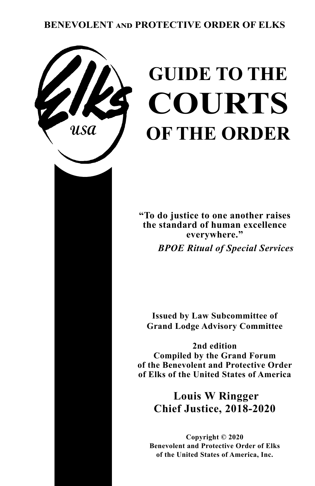# **BENEVOLENT and PROTECTIVE ORDER OF ELKS**



# **GUIDE TO THE COURTS OF THE ORDER**

**"To do justice to one another raises the standard of human excellence everywhere."**

 *BPOE Ritual of Special Services*

**Issued by Law Subcommittee of Grand Lodge Advisory Committee**

**2nd edition Compiled by the Grand Forum of the Benevolent and Protective Order of Elks of the United States of America**

**Louis W Ringger Chief Justice, 2018-2020**

**Copyright © 2020 Benevolent and Protective Order of Elks of the United States of America, Inc.**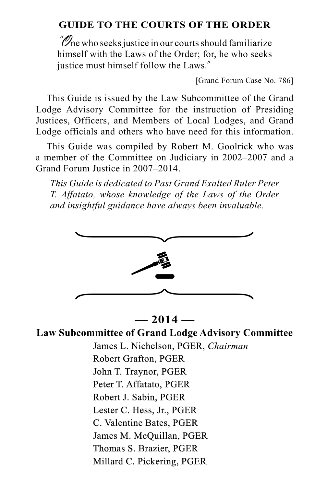# **GUIDE TO THE COURTS OF THE ORDER**

 $\mathscr{O}_\mathsf{ne}$  who seeks justice in our courts should familiarize himself with the Laws of the Order; for, he who seeks justice must himself follow the Laws."

[Grand Forum Case No. 786]

This Guide is issued by the Law Subcommittee of the Grand Lodge Advisory Committee for the instruction of Presiding Justices, Officers, and Members of Local Lodges, and Grand Lodge officials and others who have need for this information.

This Guide was compiled by Robert M. Goolrick who was a member of the Committee on Judiciary in 2002–2007 and a Grand Forum Justice in 2007–2014.

*This Guide is dedicated to Past Grand Exalted Ruler Peter T. Affatato, whose knowledge of the Laws of the Order and insightful guidance have always been invaluable.*



## **— 2014 —**

**Law Subcommittee of Grand Lodge Advisory Committee** James L. Nichelson, PGER, *Chairman* Robert Grafton, PGER John T. Traynor, PGER Peter T. Affatato, PGER Robert J. Sabin, PGER Lester C. Hess, Jr., PGER C. Valentine Bates, PGER James M. McQuillan, PGER Thomas S. Brazier, PGER Millard C. Pickering, PGER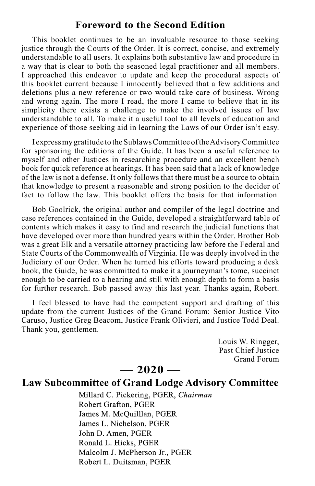## **Foreword to the Second Edition**

This booklet continues to be an invaluable resource to those seeking justice through the Courts of the Order. It is correct, concise, and extremely understandable to all users. It explains both substantive law and procedure in a way that is clear to both the seasoned legal practitioner and all members. I approached this endeavor to update and keep the procedural aspects of this booklet current because I innocently believed that a few additions and deletions plus a new reference or two would take care of business. Wrong and wrong again. The more I read, the more I came to believe that in its simplicity there exists a challenge to make the involved issues of law understandable to all. To make it a useful tool to all levels of education and experience of those seeking aid in learning the Laws of our Order isn't easy.

I express my gratitude to the Sublaws Committee of the Advisory Committee for sponsoring the editions of the Guide. It has been a useful reference to myself and other Justices in researching procedure and an excellent bench book for quick reference at hearings. It has been said that a lack of knowledge of the law is not a defense. It only follows that there must be a source to obtain that knowledge to present a reasonable and strong position to the decider of fact to follow the law. This booklet offers the basis for that information.

Bob Goolrick, the original author and compiler of the legal doctrine and case references contained in the Guide, developed a straightforward table of contents which makes it easy to find and research the judicial functions that have developed over more than hundred years within the Order. Brother Bob was a great Elk and a versatile attorney practicing law before the Federal and State Courts of the Commonwealth of Virginia. He was deeply involved in the Judiciary of our Order. When he turned his efforts toward producing a desk book, the Guide, he was committed to make it a journeyman's tome, succinct enough to be carried to a hearing and still with enough depth to form a basis for further research. Bob passed away this last year. Thanks again, Robert.

I feel blessed to have had the competent support and drafting of this update from the current Justices of the Grand Forum: Senior Justice Vito Caruso, Justice Greg Beacom, Justice Frank Olivieri, and Justice Todd Deal. Thank you, gentlemen.

> Louis W. Ringger, Past Chief Justice Grand Forum

## **— 2020 —**

# **Law Subcommittee of Grand Lodge Advisory Committee**

Millard C. Pickering, PGER, *Chairman* Robert Grafton, PGER James M. McQuilllan, PGER James L. Nichelson, PGER John D. Amen, PGER Ronald L. Hicks, PGER Malcolm J. McPherson Jr., PGER Robert L. Duitsman, PGER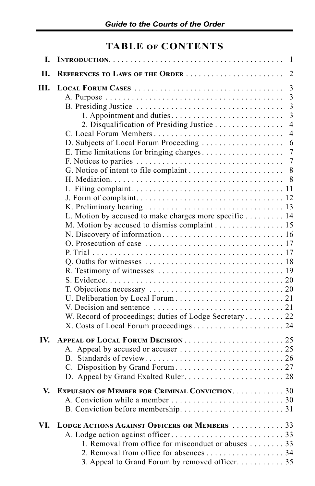# **TABLE of CONTENTS**

| I.  |                                                                                                                                                                                                  | $\overline{1}$                                     |
|-----|--------------------------------------------------------------------------------------------------------------------------------------------------------------------------------------------------|----------------------------------------------------|
| H.  | REFERENCES TO LAWS OF THE ORDER                                                                                                                                                                  | $\overline{2}$                                     |
| Ш.  |                                                                                                                                                                                                  | 3<br>$\overline{\mathbf{3}}$<br>$\overline{3}$     |
|     | 2. Disqualification of Presiding Justice                                                                                                                                                         | $\overline{3}$<br>$\overline{4}$<br>$\overline{4}$ |
|     | D. Subjects of Local Forum Proceeding<br>E. Time limitations for bringing charges                                                                                                                | 6<br>$\boldsymbol{7}$                              |
|     |                                                                                                                                                                                                  | $\overline{7}$<br>8                                |
|     |                                                                                                                                                                                                  |                                                    |
|     | L. Motion by accused to make charges more specific 14<br>M. Motion by accused to dismiss complaint 15                                                                                            |                                                    |
|     |                                                                                                                                                                                                  |                                                    |
|     |                                                                                                                                                                                                  |                                                    |
|     | W. Record of proceedings; duties of Lodge Secretary 22                                                                                                                                           |                                                    |
| IV. |                                                                                                                                                                                                  |                                                    |
| V.  | <b>EXPULSION OF MEMBER FOR CRIMINAL CONVICTION. 30</b>                                                                                                                                           |                                                    |
| VI. | LODGE ACTIONS AGAINST OFFICERS OR MEMBERS  33<br>1. Removal from office for misconduct or abuses 33<br>2. Removal from office for absences 34<br>3. Appeal to Grand Forum by removed officer. 35 |                                                    |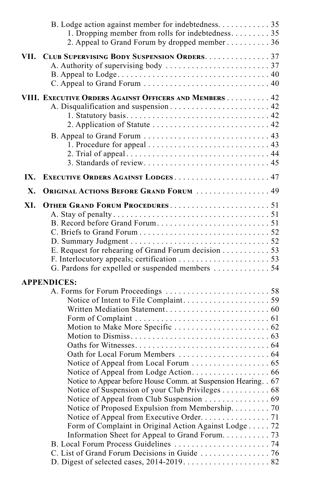|      | B. Lodge action against member for indebtedness. 35<br>1. Dropping member from rolls for indebtedness. 35<br>2. Appeal to Grand Forum by dropped member 36                                                                                                                   |  |
|------|------------------------------------------------------------------------------------------------------------------------------------------------------------------------------------------------------------------------------------------------------------------------------|--|
| VII. | CLUB SUPERVISING BODY SUSPENSION ORDERS. 37                                                                                                                                                                                                                                  |  |
|      | VIII. EXECUTIVE ORDERS AGAINST OFFICERS AND MEMBERS 42                                                                                                                                                                                                                       |  |
| IX.  | EXECUTIVE ORDERS AGAINST LODGES 47                                                                                                                                                                                                                                           |  |
| Х.   | <b>ORIGINAL ACTIONS BEFORE GRAND FORUM  49</b>                                                                                                                                                                                                                               |  |
| XI.  | E. Request for rehearing of Grand Forum decision 53<br>G. Pardons for expelled or suspended members  54                                                                                                                                                                      |  |
|      | <b>APPENDICES:</b>                                                                                                                                                                                                                                                           |  |
|      | Notice to Appear before House Comm. at Suspension Hearing. . 67<br>Notice of Suspension of your Club Privileges 68<br>Notice of Proposed Expulsion from Membership. 70<br>Notice of Appeal from Executive Order. 71<br>Form of Complaint in Original Action Against Lodge 72 |  |
|      |                                                                                                                                                                                                                                                                              |  |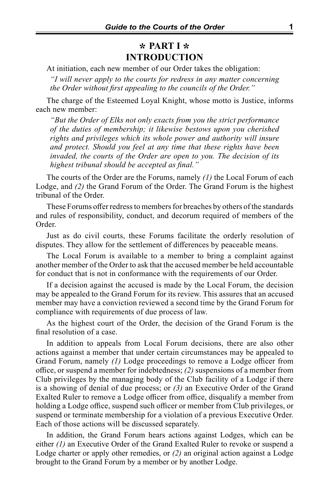# **\* PART I \* INTRODUCTION**

At initiation, each new member of our Order takes the obligation:

*"I will never apply to the courts for redress in any matter concerning the Order without first appealing to the councils of the Order."* 

The charge of the Esteemed Loyal Knight, whose motto is Justice, informs each new member:

*"But the Order of Elks not only exacts from you the strict performance of the duties of membership; it likewise bestows upon you cherished rights and privileges which its whole power and authority will insure and protect. Should you feel at any time that these rights have been invaded, the courts of the Order are open to you. The decision of its highest tribunal should be accepted as final."* 

The courts of the Order are the Forums, namely *(1)* the Local Forum of each Lodge, and *(2)* the Grand Forum of the Order. The Grand Forum is the highest tribunal of the Order.

These Forums offer redress to members for breaches by others of the standards and rules of responsibility, conduct, and decorum required of members of the Order.

Just as do civil courts, these Forums facilitate the orderly resolution of disputes. They allow for the settlement of differences by peaceable means.

The Local Forum is available to a member to bring a complaint against another member of the Order to ask that the accused member be held accountable for conduct that is not in conformance with the requirements of our Order.

If a decision against the accused is made by the Local Forum, the decision may be appealed to the Grand Forum for its review. This assures that an accused member may have a conviction reviewed a second time by the Grand Forum for compliance with requirements of due process of law.

As the highest court of the Order, the decision of the Grand Forum is the final resolution of a case.

In addition to appeals from Local Forum decisions, there are also other actions against a member that under certain circumstances may be appealed to Grand Forum, namely *(1)* Lodge proceedings to remove a Lodge officer from office, or suspend a member for indebtedness; *(2)* suspensions of a member from Club privileges by the managing body of the Club facility of a Lodge if there is a showing of denial of due process; or *(3)* an Executive Order of the Grand Exalted Ruler to remove a Lodge officer from office, disqualify a member from holding a Lodge office, suspend such officer or member from Club privileges, or suspend or terminate membership for a violation of a previous Executive Order. Each of those actions will be discussed separately.

In addition, the Grand Forum hears actions against Lodges, which can be either *(1)* an Executive Order of the Grand Exalted Ruler to revoke or suspend a Lodge charter or apply other remedies, or *(2)* an original action against a Lodge brought to the Grand Forum by a member or by another Lodge.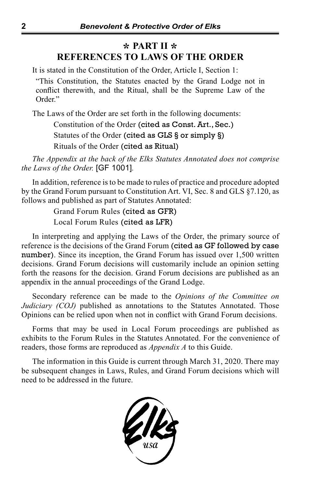# **\* PART II \* REFERENCES TO LAWS OF THE ORDER**

It is stated in the Constitution of the Order, Article I, Section 1:

"This Constitution, the Statutes enacted by the Grand Lodge not in conflict therewith, and the Ritual, shall be the Supreme Law of the Order."

The Laws of the Order are set forth in the following documents:

Constitution of the Order (cited as Const. Art., Sec.) Statutes of the Order (cited as GLS § or simply §) Rituals of the Order (cited as Ritual)

*The Appendix at the back of the Elks Statutes Annotated does not comprise the Laws of the Order.* [GF 1001]*.*

In addition, reference is to be made to rules of practice and procedure adopted by the Grand Forum pursuant to Constitution Art. VI, Sec. 8 and GLS §7.120, as follows and published as part of Statutes Annotated:

> Grand Forum Rules (cited as GFR) Local Forum Rules (cited as LFR)

In interpreting and applying the Laws of the Order, the primary source of reference is the decisions of the Grand Forum (cited as GF followed by case number). Since its inception, the Grand Forum has issued over 1,500 written decisions. Grand Forum decisions will customarily include an opinion setting forth the reasons for the decision. Grand Forum decisions are published as an appendix in the annual proceedings of the Grand Lodge.

Secondary reference can be made to the *Opinions of the Committee on Judiciary (COJ)* published as annotations to the Statutes Annotated. Those Opinions can be relied upon when not in conflict with Grand Forum decisions.

Forms that may be used in Local Forum proceedings are published as exhibits to the Forum Rules in the Statutes Annotated. For the convenience of readers, those forms are reproduced as *Appendix A* to this Guide.

The information in this Guide is current through March 31, 2020. There may be subsequent changes in Laws, Rules, and Grand Forum decisions which will need to be addressed in the future.

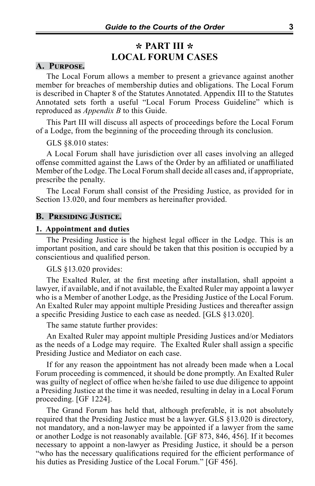## **\* PART III \* LOCAL FORUM CASES**

## **A. Purpose.**

The Local Forum allows a member to present a grievance against another member for breaches of membership duties and obligations. The Local Forum is described in Chapter 8 of the Statutes Annotated. Appendix III to the Statutes Annotated sets forth a useful "Local Forum Process Guideline" which is reproduced as *Appendix B* to this Guide.

This Part III will discuss all aspects of proceedings before the Local Forum of a Lodge, from the beginning of the proceeding through its conclusion.

GLS §8.010 states:

A Local Forum shall have jurisdiction over all cases involving an alleged offense committed against the Laws of the Order by an affiliated or unaffiliated Member of the Lodge. The Local Forum shall decide all cases and, if appropriate, prescribe the penalty.

The Local Forum shall consist of the Presiding Justice, as provided for in Section 13.020, and four members as hereinafter provided.

#### **B. Presiding Justice.**

## **1. Appointment and duties**

The Presiding Justice is the highest legal officer in the Lodge. This is an important position, and care should be taken that this position is occupied by a conscientious and qualified person.

#### GLS §13.020 provides:

The Exalted Ruler, at the first meeting after installation, shall appoint a lawyer, if available, and if not available, the Exalted Ruler may appoint a lawyer who is a Member of another Lodge, as the Presiding Justice of the Local Forum. An Exalted Ruler may appoint multiple Presiding Justices and thereafter assign a specific Presiding Justice to each case as needed. [GLS §13.020].

The same statute further provides:

An Exalted Ruler may appoint multiple Presiding Justices and/or Mediators as the needs of a Lodge may require. The Exalted Ruler shall assign a specific Presiding Justice and Mediator on each case.

If for any reason the appointment has not already been made when a Local Forum proceeding is commenced, it should be done promptly. An Exalted Ruler was guilty of neglect of office when he/she failed to use due diligence to appoint a Presiding Justice at the time it was needed, resulting in delay in a Local Forum proceeding. [GF 1224].

The Grand Forum has held that, although preferable, it is not absolutely required that the Presiding Justice must be a lawyer. GLS §13.020 is directory, not mandatory, and a non-lawyer may be appointed if a lawyer from the same or another Lodge is not reasonably available. [GF 873, 846, 456]. If it becomes necessary to appoint a non-lawyer as Presiding Justice, it should be a person "who has the necessary qualifications required for the efficient performance of his duties as Presiding Justice of the Local Forum." [GF 456].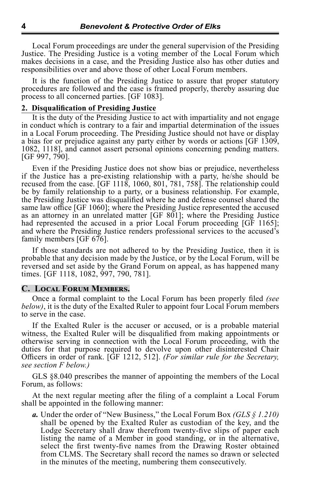Local Forum proceedings are under the general supervision of the Presiding Justice. The Presiding Justice is a voting member of the Local Forum which makes decisions in a case, and the Presiding Justice also has other duties and responsibilities over and above those of other Local Forum members.

It is the function of the Presiding Justice to assure that proper statutory procedures are followed and the case is framed properly, thereby assuring due process to all concerned parties. [GF 1083].

#### **2. Disqualification of Presiding Justice**

It is the duty of the Presiding Justice to act with impartiality and not engage in conduct which is contrary to a fair and impartial determination of the issues in a Local Forum proceeding. The Presiding Justice should not have or display a bias for or prejudice against any party either by words or actions [GF 1309, 1082, 1118], and cannot assert personal opinions concerning pending matters. [GF 997, 790].

Even if the Presiding Justice does not show bias or prejudice, nevertheless if the Justice has a pre-existing relationship with a party, he/she should be recused from the case. [GF 1118, 1060, 801, 781, 758]. The relationship could be by family relationship to a party, or a business relationship. For example, the Presiding Justice was disqualified where he and defense counsel shared the same law office [GF 1060]; where the Presiding Justice represented the accused as an attorney in an unrelated matter [GF 801]; where the Presiding Justice had represented the accused in a prior Local Forum proceeding [GF 1165]; and where the Presiding Justice renders professional services to the accused's family members [GF 676].

If those standards are not adhered to by the Presiding Justice, then it is probable that any decision made by the Justice, or by the Local Forum, will be reversed and set aside by the Grand Forum on appeal, as has happened many times. [GF 1118, 1082, 997, 790, 781].

## **C. Local Forum Members.**

Once a formal complaint to the Local Forum has been properly filed *(see below)*, it is the duty of the Exalted Ruler to appoint four Local Forum members to serve in the case.

If the Exalted Ruler is the accuser or accused, or is a probable material witness, the Exalted Ruler will be disqualified from making appointments or otherwise serving in connection with the Local Forum proceeding, with the duties for that purpose required to devolve upon other disinterested Chair Officers in order of rank. [GF 1212, 512]. *(For similar rule for the Secretary, see section F below.)*

GLS §8.040 prescribes the manner of appointing the members of the Local Forum, as follows:

At the next regular meeting after the filing of a complaint a Local Forum shall be appointed in the following manner:

*a.* Under the order of "New Business," the Local Forum Box *(GLS § 1.210)*  shall be opened by the Exalted Ruler as custodian of the key, and the Lodge Secretary shall draw therefrom twenty-five slips of paper each listing the name of a Member in good standing, or in the alternative, select the first twenty-five names from the Drawing Roster obtained from CLMS. The Secretary shall record the names so drawn or selected in the minutes of the meeting, numbering them consecutively.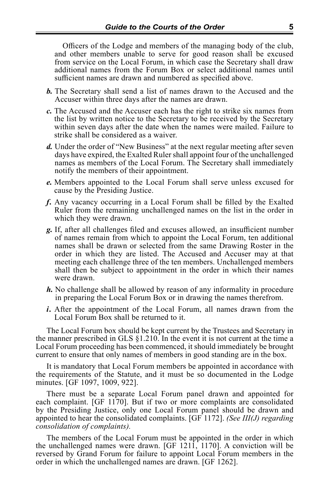Officers of the Lodge and members of the managing body of the club, and other members unable to serve for good reason shall be excused from service on the Local Forum, in which case the Secretary shall draw additional names from the Forum Box or select additional names until sufficient names are drawn and numbered as specified above.

- *b.* The Secretary shall send a list of names drawn to the Accused and the Accuser within three days after the names are drawn.
- *c.* The Accused and the Accuser each has the right to strike six names from the list by written notice to the Secretary to be received by the Secretary within seven days after the date when the names were mailed. Failure to strike shall be considered as a waiver.
- *d.* Under the order of "New Business" at the next regular meeting after seven days have expired, the Exalted Ruler shall appoint four of the unchallenged names as members of the Local Forum. The Secretary shall immediately notify the members of their appointment.
- *e.* Members appointed to the Local Forum shall serve unless excused for cause by the Presiding Justice.
- *f.* Any vacancy occurring in a Local Forum shall be filled by the Exalted Ruler from the remaining unchallenged names on the list in the order in which they were drawn.
- *g.* If, after all challenges filed and excuses allowed, an insufficient number of names remain from which to appoint the Local Forum, ten additional names shall be drawn or selected from the same Drawing Roster in the order in which they are listed. The Accused and Accuser may at that meeting each challenge three of the ten members. Unchallenged members shall then be subject to appointment in the order in which their names were drawn.
- *h.* No challenge shall be allowed by reason of any informality in procedure in preparing the Local Forum Box or in drawing the names therefrom.
- *i.* After the appointment of the Local Forum, all names drawn from the Local Forum Box shall be returned to it.

The Local Forum box should be kept current by the Trustees and Secretary in the manner prescribed in GLS  $\S 1.210$ . In the event it is not current at the time a Local Forum proceeding has been commenced, it should immediately be brought current to ensure that only names of members in good standing are in the box.

It is mandatory that Local Forum members be appointed in accordance with the requirements of the Statute, and it must be so documented in the Lodge minutes. [GF 1097, 1009, 922].

There must be a separate Local Forum panel drawn and appointed for each complaint. [GF 1170]. But if two or more complaints are consolidated by the Presiding Justice, only one Local Forum panel should be drawn and appointed to hear the consolidated complaints. [GF 1172]. *(See III(J) regarding consolidation of complaints).*

The members of the Local Forum must be appointed in the order in which the unchallenged names were drawn. [GF 1211, 1170]. A conviction will be reversed by Grand Forum for failure to appoint Local Forum members in the order in which the unchallenged names are drawn. [GF 1262].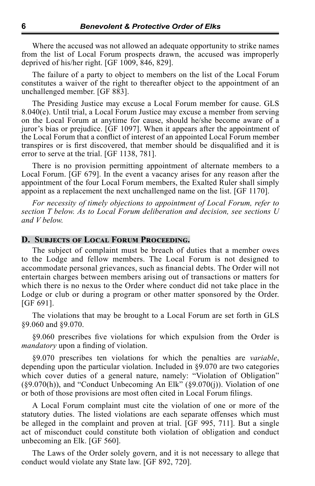Where the accused was not allowed an adequate opportunity to strike names from the list of Local Forum prospects drawn, the accused was improperly deprived of his/her right. [GF 1009, 846, 829].

The failure of a party to object to members on the list of the Local Forum constitutes a waiver of the right to thereafter object to the appointment of an unchallenged member. [GF 883].

The Presiding Justice may excuse a Local Forum member for cause. GLS 8.040(e). Until trial, a Local Forum Justice may excuse a member from serving on the Local Forum at anytime for cause, should he/she become aware of a juror's bias or prejudice. [GF 1097]. When it appears after the appointment of the Local Forum that a conflict of interest of an appointed Local Forum member transpires or is first discovered, that member should be disqualified and it is error to serve at the trial. [GF 1138, 781].

There is no provision permitting appointment of alternate members to a Local Forum. [GF 679]. In the event a vacancy arises for any reason after the appointment of the four Local Forum members, the Exalted Ruler shall simply appoint as a replacement the next unchallenged name on the list. [GF 1170].

*For necessity of timely objections to appointment of Local Forum, refer to section T below. As to Local Forum deliberation and decision, see sections U and V below.*

## **D. Subjects of Local Forum Proceeding.**

The subject of complaint must be breach of duties that a member owes to the Lodge and fellow members. The Local Forum is not designed to accommodate personal grievances, such as financial debts. The Order will not entertain charges between members arising out of transactions or matters for which there is no nexus to the Order where conduct did not take place in the Lodge or club or during a program or other matter sponsored by the Order. [GF 691].

The violations that may be brought to a Local Forum are set forth in GLS §9.060 and §9.070.

§9.060 prescribes five violations for which expulsion from the Order is *mandatory* upon a finding of violation.

§9.070 prescribes ten violations for which the penalties are *variable*, depending upon the particular violation. Included in §9.070 are two categories which cover duties of a general nature, namely: "Violation of Obligation"  $(\S 9.070(h))$ , and "Conduct Unbecoming An Elk"  $(\S 9.070(j))$ . Violation of one or both of those provisions are most often cited in Local Forum filings.

A Local Forum complaint must cite the violation of one or more of the statutory duties. The listed violations are each separate offenses which must be alleged in the complaint and proven at trial. [GF 995, 711]. But a single act of misconduct could constitute both violation of obligation and conduct unbecoming an Elk. [GF 560].

The Laws of the Order solely govern, and it is not necessary to allege that conduct would violate any State law. [GF 892, 720].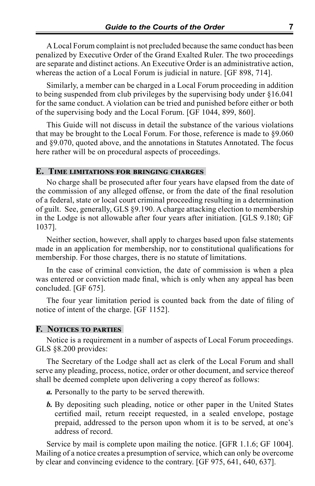A Local Forum complaint is not precluded because the same conduct has been penalized by Executive Order of the Grand Exalted Ruler. The two proceedings are separate and distinct actions. An Executive Order is an administrative action, whereas the action of a Local Forum is judicial in nature. [GF 898, 714].

Similarly, a member can be charged in a Local Forum proceeding in addition to being suspended from club privileges by the supervising body under §16.041 for the same conduct. A violation can be tried and punished before either or both of the supervising body and the Local Forum. [GF 1044, 899, 860].

This Guide will not discuss in detail the substance of the various violations that may be brought to the Local Forum. For those, reference is made to §9.060 and §9.070, quoted above, and the annotations in Statutes Annotated. The focus here rather will be on procedural aspects of proceedings.

## **E. Time limitations for bringing charges**

No charge shall be prosecuted after four years have elapsed from the date of the commission of any alleged offense, or from the date of the final resolution of a federal, state or local court criminal proceeding resulting in a determination of guilt. See, generally, GLS §9.190. A charge attacking election to membership in the Lodge is not allowable after four years after initiation. [GLS 9.180; GF 1037].

Neither section, however, shall apply to charges based upon false statements made in an application for membership, nor to constitutional qualifications for membership. For those charges, there is no statute of limitations.

In the case of criminal conviction, the date of commission is when a plea was entered or conviction made final, which is only when any appeal has been concluded. [GF 675].

The four year limitation period is counted back from the date of filing of notice of intent of the charge. [GF 1152].

## **F. Notices to parties**

Notice is a requirement in a number of aspects of Local Forum proceedings. GLS §8.200 provides:

The Secretary of the Lodge shall act as clerk of the Local Forum and shall serve any pleading, process, notice, order or other document, and service thereof shall be deemed complete upon delivering a copy thereof as follows:

*a.* Personally to the party to be served therewith.

*b.* By depositing such pleading, notice or other paper in the United States certified mail, return receipt requested, in a sealed envelope, postage prepaid, addressed to the person upon whom it is to be served, at one's address of record.

Service by mail is complete upon mailing the notice. [GFR 1.1.6; GF 1004]. Mailing of a notice creates a presumption of service, which can only be overcome by clear and convincing evidence to the contrary. [GF 975, 641, 640, 637].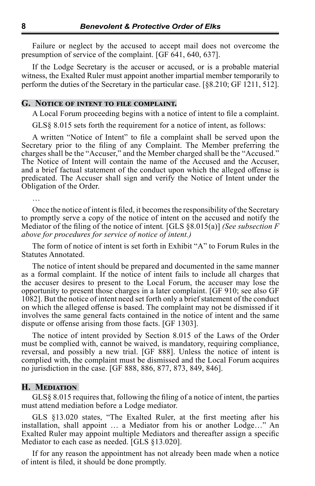Failure or neglect by the accused to accept mail does not overcome the presumption of service of the complaint. [GF 641, 640, 637].

If the Lodge Secretary is the accuser or accused, or is a probable material witness, the Exalted Ruler must appoint another impartial member temporarily to perform the duties of the Secretary in the particular case. [§8.210; GF 1211, 512].

## **G. Notice of intent to file complaint.**

A Local Forum proceeding begins with a notice of intent to file a complaint.

GLS§ 8.015 sets forth the requirement for a notice of intent, as follows:

A written "Notice of Intent" to file a complaint shall be served upon the Secretary prior to the filing of any Complaint. The Member preferring the charges shall be the "Accuser," and the Member charged shall be the "Accused." The Notice of Intent will contain the name of the Accused and the Accuser, and a brief factual statement of the conduct upon which the alleged offense is predicated. The Accuser shall sign and verify the Notice of Intent under the Obligation of the Order.

…

Once the notice of intent is filed, it becomes the responsibility of the Secretary to promptly serve a copy of the notice of intent on the accused and notify the Mediator of the filing of the notice of intent*.* [GLS §8.015(a)] *(See subsection F above for procedures for service of notice of intent.)*

The form of notice of intent is set forth in Exhibit "A" to Forum Rules in the Statutes Annotated.

The notice of intent should be prepared and documented in the same manner as a formal complaint. If the notice of intent fails to include all charges that the accuser desires to present to the Local Forum, the accuser may lose the opportunity to present those charges in a later complaint. [GF 910; see also GF 1082]. But the notice of intent need set forth only a brief statement of the conduct on which the alleged offense is based. The complaint may not be dismissed if it involves the same general facts contained in the notice of intent and the same dispute or offense arising from those facts. [GF 1303].

The notice of intent provided by Section 8.015 of the Laws of the Order must be complied with, cannot be waived, is mandatory, requiring compliance, reversal, and possibly a new trial. [GF 888]. Unless the notice of intent is complied with, the complaint must be dismissed and the Local Forum acquires no jurisdiction in the case. [GF 888, 886, 877, 873, 849, 846].

## **H. Mediation**

GLS§ 8.015 requires that, following the filing of a notice of intent, the parties must attend mediation before a Lodge mediator.

GLS §13.020 states, "The Exalted Ruler, at the first meeting after his installation, shall appoint … a Mediator from his or another Lodge…" An Exalted Ruler may appoint multiple Mediators and thereafter assign a specific Mediator to each case as needed. [GLS §13.020].

If for any reason the appointment has not already been made when a notice of intent is filed, it should be done promptly.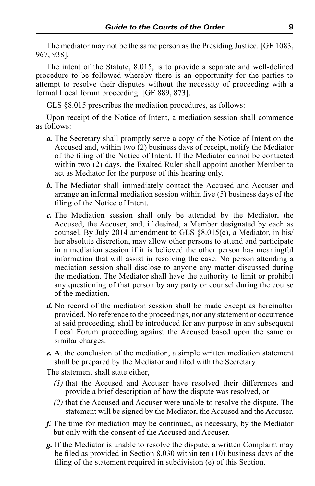The mediator may not be the same person as the Presiding Justice. [GF 1083, 967, 938].

The intent of the Statute, 8.015, is to provide a separate and well-defined procedure to be followed whereby there is an opportunity for the parties to attempt to resolve their disputes without the necessity of proceeding with a formal Local forum proceeding. [GF 889, 873].

GLS §8.015 prescribes the mediation procedures, as follows:

Upon receipt of the Notice of Intent, a mediation session shall commence as follows:

- *a.* The Secretary shall promptly serve a copy of the Notice of Intent on the Accused and, within two (2) business days of receipt, notify the Mediator of the filing of the Notice of Intent. If the Mediator cannot be contacted within two (2) days, the Exalted Ruler shall appoint another Member to act as Mediator for the purpose of this hearing only.
- *b.* The Mediator shall immediately contact the Accused and Accuser and arrange an informal mediation session within five (5) business days of the filing of the Notice of Intent.
- *c.* The Mediation session shall only be attended by the Mediator, the Accused, the Accuser, and, if desired, a Member designated by each as counsel. By July 2014 amendment to GLS §8.015(c), a Mediator, in his/ her absolute discretion, may allow other persons to attend and participate in a mediation session if it is believed the other person has meaningful information that will assist in resolving the case. No person attending a mediation session shall disclose to anyone any matter discussed during the mediation. The Mediator shall have the authority to limit or prohibit any questioning of that person by any party or counsel during the course of the mediation.
- *d.* No record of the mediation session shall be made except as hereinafter provided. No reference to the proceedings, nor any statement or occurrence at said proceeding, shall be introduced for any purpose in any subsequent Local Forum proceeding against the Accused based upon the same or similar charges.
- *e.* At the conclusion of the mediation, a simple written mediation statement shall be prepared by the Mediator and filed with the Secretary.

The statement shall state either,

- *(1)* that the Accused and Accuser have resolved their differences and provide a brief description of how the dispute was resolved, or
- *(2)* that the Accused and Accuser were unable to resolve the dispute. The statement will be signed by the Mediator, the Accused and the Accuser.
- *f.* The time for mediation may be continued, as necessary, by the Mediator but only with the consent of the Accused and Accuser.
- *g.* If the Mediator is unable to resolve the dispute, a written Complaint may be filed as provided in Section 8.030 within ten (10) business days of the filing of the statement required in subdivision (e) of this Section.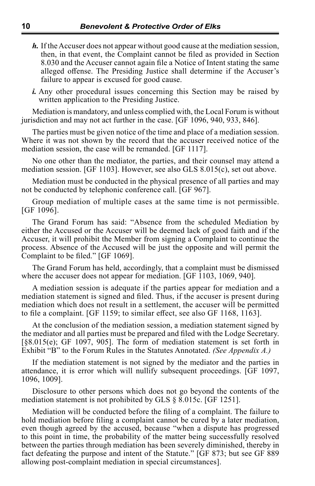- *h.* If the Accuser does not appear without good cause at the mediation session, then, in that event, the Complaint cannot be filed as provided in Section 8.030 and the Accuser cannot again file a Notice of Intent stating the same alleged offense. The Presiding Justice shall determine if the Accuser's failure to appear is excused for good cause.
- *i.* Any other procedural issues concerning this Section may be raised by written application to the Presiding Justice.

Mediation is mandatory, and unless complied with, the Local Forum is without jurisdiction and may not act further in the case. [GF 1096, 940, 933, 846].

The parties must be given notice of the time and place of a mediation session. Where it was not shown by the record that the accuser received notice of the mediation session, the case will be remanded. [GF 1117].

No one other than the mediator, the parties, and their counsel may attend a mediation session. [GF 1103]. However, see also GLS 8.015(c), set out above.

Mediation must be conducted in the physical presence of all parties and may not be conducted by telephonic conference call. [GF 967].

Group mediation of multiple cases at the same time is not permissible. [GF 1096].

The Grand Forum has said: "Absence from the scheduled Mediation by either the Accused or the Accuser will be deemed lack of good faith and if the Accuser, it will prohibit the Member from signing a Complaint to continue the process. Absence of the Accused will be just the opposite and will permit the Complaint to be filed." [GF 1069].

The Grand Forum has held, accordingly, that a complaint must be dismissed where the accuser does not appear for mediation. [GF 1103, 1069, 940].

A mediation session is adequate if the parties appear for mediation and a mediation statement is signed and filed. Thus, if the accuser is present during mediation which does not result in a settlement, the accuser will be permitted to file a complaint. [GF 1159; to similar effect, see also GF 1168, 1163].

At the conclusion of the mediation session, a mediation statement signed by the mediator and all parties must be prepared and filed with the Lodge Secretary. [§8.015(e); GF 1097, 905]. The form of mediation statement is set forth in Exhibit "B" to the Forum Rules in the Statutes Annotated. *(See Appendix A.)*

If the mediation statement is not signed by the mediator and the parties in attendance, it is error which will nullify subsequent proceedings. [GF 1097, 1096, 1009].

Disclosure to other persons which does not go beyond the contents of the mediation statement is not prohibited by GLS § 8.015c. [GF 1251].

Mediation will be conducted before the filing of a complaint. The failure to hold mediation before filing a complaint cannot be cured by a later mediation, even though agreed by the accused, because "when a dispute has progressed to this point in time, the probability of the matter being successfully resolved between the parties through mediation has been severely diminished, thereby in fact defeating the purpose and intent of the Statute." [GF 873; but see GF 889 allowing post-complaint mediation in special circumstances].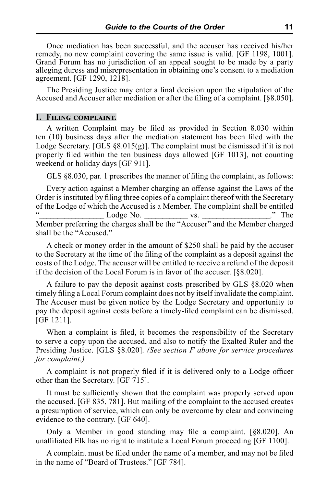Once mediation has been successful, and the accuser has received his/her remedy, no new complaint covering the same issue is valid. [GF 1198, 1001]. Grand Forum has no jurisdiction of an appeal sought to be made by a party alleging duress and misrepresentation in obtaining one's consent to a mediation agreement. [GF 1290, 1218].

The Presiding Justice may enter a final decision upon the stipulation of the Accused and Accuser after mediation or after the filing of a complaint. [§8.050].

## **I. Filing complaint.**

A written Complaint may be filed as provided in Section 8.030 within ten (10) business days after the mediation statement has been filed with the Lodge Secretary. [GLS  $\S 8.015(g)$ ]. The complaint must be dismissed if it is not properly filed within the ten business days allowed [GF 1013], not counting weekend or holiday days [GF 911].

GLS §8.030, par. 1 prescribes the manner of filing the complaint, as follows:

Every action against a Member charging an offense against the Laws of the Order is instituted by filing three copies of a complaint thereof with the Secretary of the Lodge of which the Accused is a Member. The complaint shall be entitled "\_\_\_\_\_\_\_\_\_\_\_\_\_\_\_\_\_\_ Lodge No. \_\_\_\_\_\_\_\_\_\_\_\_ vs. \_\_\_\_\_\_\_\_\_\_\_\_\_\_\_\_\_\_\_." The Member preferring the charges shall be the "Accuser" and the Member charged shall be the "Accused."

A check or money order in the amount of \$250 shall be paid by the accuser to the Secretary at the time of the filing of the complaint as a deposit against the costs of the Lodge. The accuser will be entitled to receive a refund of the deposit if the decision of the Local Forum is in favor of the accuser. [§8.020].

A failure to pay the deposit against costs prescribed by GLS §8.020 when timely filing a Local Forum complaint does not by itself invalidate the complaint. The Accuser must be given notice by the Lodge Secretary and opportunity to pay the deposit against costs before a timely-filed complaint can be dismissed. [GF 1211].

When a complaint is filed, it becomes the responsibility of the Secretary to serve a copy upon the accused, and also to notify the Exalted Ruler and the Presiding Justice. [GLS §8.020]. *(See section F above for service procedures for complaint.)*

A complaint is not properly filed if it is delivered only to a Lodge officer other than the Secretary. [GF 715].

It must be sufficiently shown that the complaint was properly served upon the accused. [GF 835, 781]. But mailing of the complaint to the accused creates a presumption of service, which can only be overcome by clear and convincing evidence to the contrary. [GF 640].

Only a Member in good standing may file a complaint. [§8.020]. An unaffiliated Elk has no right to institute a Local Forum proceeding [GF 1100].

A complaint must be filed under the name of a member, and may not be filed in the name of "Board of Trustees." [GF 784].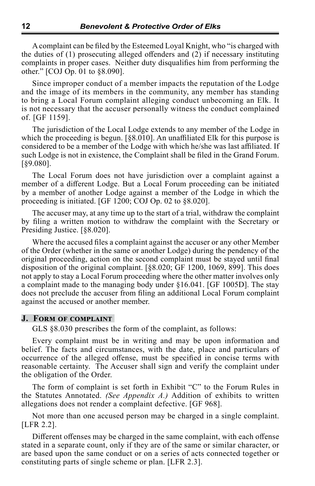A complaint can be filed by the Esteemed Loyal Knight, who "is charged with the duties of (1) prosecuting alleged offenders and (2) if necessary instituting complaints in proper cases. Neither duty disqualifies him from performing the other." [COJ Op. 01 to §8.090].

Since improper conduct of a member impacts the reputation of the Lodge and the image of its members in the community, any member has standing to bring a Local Forum complaint alleging conduct unbecoming an Elk. It is not necessary that the accuser personally witness the conduct complained of. [GF 1159].

The jurisdiction of the Local Lodge extends to any member of the Lodge in which the proceeding is begun. [§8.010]. An unaffiliated Elk for this purpose is considered to be a member of the Lodge with which he/she was last affiliated. If such Lodge is not in existence, the Complaint shall be filed in the Grand Forum. [§9.080].

The Local Forum does not have jurisdiction over a complaint against a member of a different Lodge. But a Local Forum proceeding can be initiated by a member of another Lodge against a member of the Lodge in which the proceeding is initiated. [GF 1200; COJ Op. 02 to §8.020].

The accuser may, at any time up to the start of a trial, withdraw the complaint by filing a written motion to withdraw the complaint with the Secretary or Presiding Justice. [§8.020].

Where the accused files a complaint against the accuser or any other Member of the Order (whether in the same or another Lodge) during the pendency of the original proceeding, action on the second complaint must be stayed until final disposition of the original complaint. [§8.020; GF 1200, 1069, 899]. This does not apply to stay a Local Forum proceeding where the other matter involves only a complaint made to the managing body under §16.041. [GF 1005D]. The stay does not preclude the accuser from filing an additional Local Forum complaint against the accused or another member.

## **J. Form of complaint**

GLS §8.030 prescribes the form of the complaint, as follows:

Every complaint must be in writing and may be upon information and belief. The facts and circumstances, with the date, place and particulars of occurrence of the alleged offense, must be specified in concise terms with reasonable certainty. The Accuser shall sign and verify the complaint under the obligation of the Order.

The form of complaint is set forth in Exhibit "C" to the Forum Rules in the Statutes Annotated. *(See Appendix A.)* Addition of exhibits to written allegations does not render a complaint defective. [GF 968].

Not more than one accused person may be charged in a single complaint. [LFR 2.2].

Different offenses may be charged in the same complaint, with each offense stated in a separate count, only if they are of the same or similar character, or are based upon the same conduct or on a series of acts connected together or constituting parts of single scheme or plan. [LFR 2.3].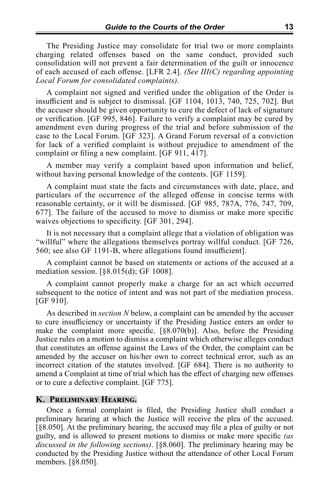The Presiding Justice may consolidate for trial two or more complaints charging related offenses based on the same conduct, provided such consolidation will not prevent a fair determination of the guilt or innocence of each accused of each offense. [LFR 2.4]. *(See III(C) regarding appointing Local Forum for consolidated complaints).*

A complaint not signed and verified under the obligation of the Order is insufficient and is subject to dismissal. [GF 1104, 1013, 740, 725, 702]. But the accuser should be given opportunity to cure the defect of lack of signature or verification. [GF 995, 846]. Failure to verify a complaint may be cured by amendment even during progress of the trial and before submission of the case to the Local Forum. [GF 323]. A Grand Forum reversal of a conviction for lack of a verified complaint is without prejudice to amendment of the complaint or filing a new complaint. [GF 911, 417].

A member may verify a complaint based upon information and belief, without having personal knowledge of the contents. [GF 1159].

A complaint must state the facts and circumstances with date, place, and particulars of the occurrence of the alleged offense in concise terms with reasonable certainty, or it will be dismissed. [GF 985, 787A, 776, 747, 709, 677]. The failure of the accused to move to dismiss or make more specific waives objections to specificity. [GF 301, 294].

It is not necessary that a complaint allege that a violation of obligation was "willful" where the allegations themselves portray willful conduct. [GF 726, 560; see also GF 1191-B, where allegations found insufficient].

A complaint cannot be based on statements or actions of the accused at a mediation session. [§8.015(d); GF 1008].

A complaint cannot properly make a charge for an act which occurred subsequent to the notice of intent and was not part of the mediation process. [GF 910].

As described in *section N* below, a complaint can be amended by the accuser to cure insufficiency or uncertainty if the Presiding Justice enters an order to make the complaint more specific. [§8.070(b)]. Also, before the Presiding Justice rules on a motion to dismiss a complaint which otherwise alleges conduct that constitutes an offense against the Laws of the Order, the complaint can be amended by the accuser on his/her own to correct technical error, such as an incorrect citation of the statutes involved. [GF 684]. There is no authority to amend a Complaint at time of trial which has the effect of charging new offenses or to cure a defective complaint. [GF 775].

## **K. Preliminary Hearing.**

Once a formal complaint is filed, the Presiding Justice shall conduct a preliminary hearing at which the Justice will receive the plea of the accused. [§8.050]. At the preliminary hearing, the accused may file a plea of guilty or not guilty, and is allowed to present motions to dismiss or make more specific *(as discussed in the following sections)*. [§8.060]. The preliminary hearing may be conducted by the Presiding Justice without the attendance of other Local Forum members. [§8.050].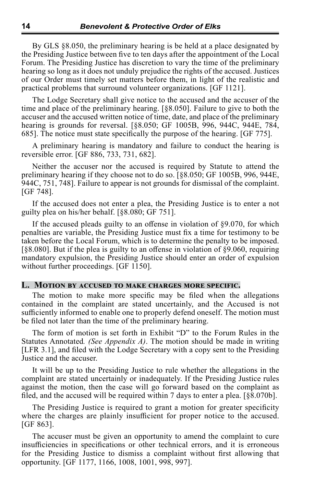By GLS §8.050, the preliminary hearing is be held at a place designated by the Presiding Justice between five to ten days after the appointment of the Local Forum. The Presiding Justice has discretion to vary the time of the preliminary hearing so long as it does not unduly prejudice the rights of the accused. Justices of our Order must timely set matters before them, in light of the realistic and practical problems that surround volunteer organizations. [GF 1121].

The Lodge Secretary shall give notice to the accused and the accuser of the time and place of the preliminary hearing. [§8.050]. Failure to give to both the accuser and the accused written notice of time, date, and place of the preliminary hearing is grounds for reversal. [§8.050; GF 1005B, 996, 944C, 944E, 784, 685]. The notice must state specifically the purpose of the hearing. [GF 775].

A preliminary hearing is mandatory and failure to conduct the hearing is reversible error. [GF 886, 733, 731, 682].

Neither the accuser nor the accused is required by Statute to attend the preliminary hearing if they choose not to do so. [§8.050; GF 1005B, 996, 944E, 944C, 751, 748]. Failure to appear is not grounds for dismissal of the complaint. [GF 748].

If the accused does not enter a plea, the Presiding Justice is to enter a not guilty plea on his/her behalf. [§8.080; GF 751].

If the accused pleads guilty to an offense in violation of §9.070, for which penalties are variable, the Presiding Justice must fix a time for testimony to be taken before the Local Forum, which is to determine the penalty to be imposed. [§8.080]. But if the plea is guilty to an offense in violation of §9.060, requiring mandatory expulsion, the Presiding Justice should enter an order of expulsion without further proceedings. [GF 1150].

## **L. Motion by accused to make charges more specific.**

The motion to make more specific may be filed when the allegations contained in the complaint are stated uncertainly, and the Accused is not sufficiently informed to enable one to properly defend oneself. The motion must be filed not later than the time of the preliminary hearing.

The form of motion is set forth in Exhibit "D" to the Forum Rules in the Statutes Annotated*. (See Appendix A)*. The motion should be made in writing [LFR 3.1], and filed with the Lodge Secretary with a copy sent to the Presiding Justice and the accuser.

It will be up to the Presiding Justice to rule whether the allegations in the complaint are stated uncertainly or inadequately. If the Presiding Justice rules against the motion, then the case will go forward based on the complaint as filed, and the accused will be required within 7 days to enter a plea. [§8.070b].

The Presiding Justice is required to grant a motion for greater specificity where the charges are plainly insufficient for proper notice to the accused. [GF 863].

The accuser must be given an opportunity to amend the complaint to cure insufficiencies in specifications or other technical errors, and it is erroneous for the Presiding Justice to dismiss a complaint without first allowing that opportunity. [GF 1177, 1166, 1008, 1001, 998, 997].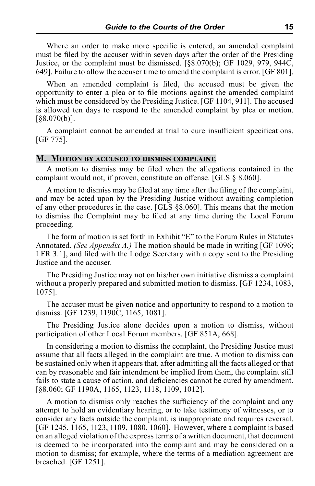Where an order to make more specific is entered, an amended complaint must be filed by the accuser within seven days after the order of the Presiding Justice, or the complaint must be dismissed. [§8.070(b); GF 1029, 979, 944C, 649]. Failure to allow the accuser time to amend the complaint is error. [GF 801].

When an amended complaint is filed, the accused must be given the opportunity to enter a plea or to file motions against the amended complaint which must be considered by the Presiding Justice. [GF 1104, 911]. The accused is allowed ten days to respond to the amended complaint by plea or motion. [§8.070(b)].

A complaint cannot be amended at trial to cure insufficient specifications. [GF 775].

## **M. Motion by accused to dismiss complaint.**

A motion to dismiss may be filed when the allegations contained in the complaint would not, if proven, constitute an offense. [GLS § 8.060].

A motion to dismiss may be filed at any time after the filing of the complaint, and may be acted upon by the Presiding Justice without awaiting completion of any other procedures in the case. [GLS §8.060]. This means that the motion to dismiss the Complaint may be filed at any time during the Local Forum proceeding.

The form of motion is set forth in Exhibit "E" to the Forum Rules in Statutes Annotated. *(See Appendix A.)* The motion should be made in writing [GF 1096; LFR 3.1], and filed with the Lodge Secretary with a copy sent to the Presiding Justice and the accuser.

The Presiding Justice may not on his/her own initiative dismiss a complaint without a properly prepared and submitted motion to dismiss. [GF 1234, 1083, 1075].

The accuser must be given notice and opportunity to respond to a motion to dismiss. [GF 1239, 1190C, 1165, 1081].

The Presiding Justice alone decides upon a motion to dismiss, without participation of other Local Forum members. [GF 851A, 668].

In considering a motion to dismiss the complaint, the Presiding Justice must assume that all facts alleged in the complaint are true. A motion to dismiss can be sustained only when it appears that, after admitting all the facts alleged or that can by reasonable and fair intendment be implied from them, the complaint still fails to state a cause of action, and deficiencies cannot be cured by amendment. [§8.060; GF 1190A, 1165, 1123, 1118, 1109, 1012].

A motion to dismiss only reaches the sufficiency of the complaint and any attempt to hold an evidentiary hearing, or to take testimony of witnesses, or to consider any facts outside the complaint, is inappropriate and requires reversal. [GF 1245, 1165, 1123, 1109, 1080, 1060]. However, where a complaint is based on an alleged violation of the express terms of a written document, that document is deemed to be incorporated into the complaint and may be considered on a motion to dismiss; for example, where the terms of a mediation agreement are breached. [GF 1251].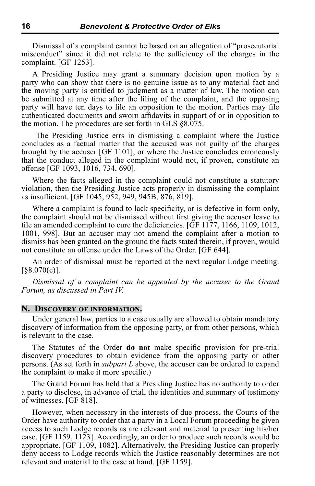Dismissal of a complaint cannot be based on an allegation of "prosecutorial misconduct" since it did not relate to the sufficiency of the charges in the complaint. [GF 1253].

A Presiding Justice may grant a summary decision upon motion by a party who can show that there is no genuine issue as to any material fact and the moving party is entitled to judgment as a matter of law. The motion can be submitted at any time after the filing of the complaint, and the opposing party will have ten days to file an opposition to the motion. Parties may file authenticated documents and sworn affidavits in support of or in opposition to the motion. The procedures are set forth in GLS §8.075.

 The Presiding Justice errs in dismissing a complaint where the Justice concludes as a factual matter that the accused was not guilty of the charges brought by the accuser [GF 1101], or where the Justice concludes erroneously that the conduct alleged in the complaint would not, if proven, constitute an offense [GF 1093, 1016, 734, 690].

Where the facts alleged in the complaint could not constitute a statutory violation, then the Presiding Justice acts properly in dismissing the complaint as insufficient. [GF 1045, 952, 949, 945B, 876, 819].

Where a complaint is found to lack specificity, or is defective in form only, the complaint should not be dismissed without first giving the accuser leave to file an amended complaint to cure the deficiencies. [GF 1177, 1166, 1109, 1012, 1001, 998]. But an accuser may not amend the complaint after a motion to dismiss has been granted on the ground the facts stated therein, if proven, would not constitute an offense under the Laws of the Order. [GF 644].

An order of dismissal must be reported at the next regular Lodge meeting.  $\left[\frac{88.070(c)}{c}\right]$ .

*Dismissal of a complaint can be appealed by the accuser to the Grand Forum, as discussed in Part IV.*

## **N. Discovery of information.**

Under general law, parties to a case usually are allowed to obtain mandatory discovery of information from the opposing party, or from other persons, which is relevant to the case.

The Statutes of the Order **do not** make specific provision for pre-trial discovery procedures to obtain evidence from the opposing party or other persons. (As set forth in *subpart L* above, the accuser can be ordered to expand the complaint to make it more specific.)

The Grand Forum has held that a Presiding Justice has no authority to order a party to disclose, in advance of trial, the identities and summary of testimony of witnesses. [GF 818].

However, when necessary in the interests of due process, the Courts of the Order have authority to order that a party in a Local Forum proceeding be given access to such Lodge records as are relevant and material to presenting his/her case. [GF 1159, 1123]. Accordingly, an order to produce such records would be appropriate. [GF 1109, 1082]. Alternatively, the Presiding Justice can properly deny access to Lodge records which the Justice reasonably determines are not relevant and material to the case at hand. [GF 1159].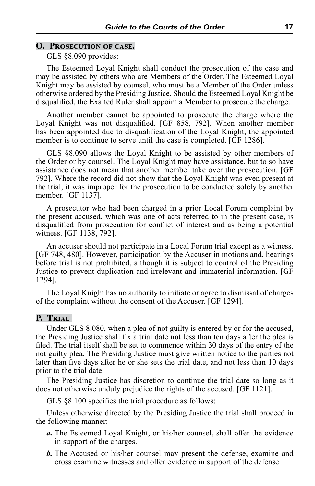## **O. Prosecution of case.**

GLS §8.090 provides:

The Esteemed Loyal Knight shall conduct the prosecution of the case and may be assisted by others who are Members of the Order. The Esteemed Loyal Knight may be assisted by counsel, who must be a Member of the Order unless otherwise ordered by the Presiding Justice. Should the Esteemed Loyal Knight be disqualified, the Exalted Ruler shall appoint a Member to prosecute the charge.

Another member cannot be appointed to prosecute the charge where the Loyal Knight was not disqualified. [GF 858, 792]. When another member has been appointed due to disqualification of the Loyal Knight, the appointed member is to continue to serve until the case is completed. [GF 1286].

GLS §8.090 allows the Loyal Knight to be assisted by other members of the Order or by counsel. The Loyal Knight may have assistance, but to so have assistance does not mean that another member take over the prosecution. [GF 792]. Where the record did not show that the Loyal Knight was even present at the trial, it was improper for the prosecution to be conducted solely by another member. [GF 1137].

A prosecutor who had been charged in a prior Local Forum complaint by the present accused, which was one of acts referred to in the present case, is disqualified from prosecution for conflict of interest and as being a potential witness. [GF 1138, 792].

An accuser should not participate in a Local Forum trial except as a witness. [GF 748, 480]. However, participation by the Accuser in motions and, hearings before trial is not prohibited, although it is subject to control of the Presiding Justice to prevent duplication and irrelevant and immaterial information. [GF 1294].

The Loyal Knight has no authority to initiate or agree to dismissal of charges of the complaint without the consent of the Accuser. [GF 1294].

## **P. Trial**

Under GLS 8.080, when a plea of not guilty is entered by or for the accused, the Presiding Justice shall fix a trial date not less than ten days after the plea is filed. The trial itself shall be set to commence within 30 days of the entry of the not guilty plea. The Presiding Justice must give written notice to the parties not later than five days after he or she sets the trial date, and not less than 10 days prior to the trial date.

The Presiding Justice has discretion to continue the trial date so long as it does not otherwise unduly prejudice the rights of the accused. [GF 1121].

GLS §8.100 specifies the trial procedure as follows:

Unless otherwise directed by the Presiding Justice the trial shall proceed in the following manner:

- *a.* The Esteemed Loyal Knight, or his/her counsel, shall offer the evidence in support of the charges.
- *b.* The Accused or his/her counsel may present the defense, examine and cross examine witnesses and offer evidence in support of the defense.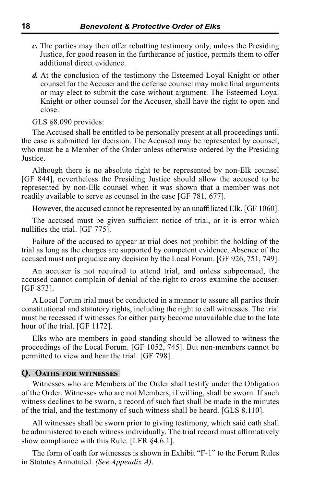- *c.* The parties may then offer rebutting testimony only, unless the Presiding Justice, for good reason in the furtherance of justice, permits them to offer additional direct evidence.
- *d.* At the conclusion of the testimony the Esteemed Loyal Knight or other counsel for the Accuser and the defense counsel may make final arguments or may elect to submit the case without argument. The Esteemed Loyal Knight or other counsel for the Accuser, shall have the right to open and close.

GLS §8.090 provides:

The Accused shall be entitled to be personally present at all proceedings until the case is submitted for decision. The Accused may be represented by counsel, who must be a Member of the Order unless otherwise ordered by the Presiding Justice.

Although there is no absolute right to be represented by non-Elk counsel [GF 844], nevertheless the Presiding Justice should allow the accused to be represented by non-Elk counsel when it was shown that a member was not readily available to serve as counsel in the case [GF 781, 677].

However, the accused cannot be represented by an unaffiliated Elk. [GF 1060].

The accused must be given sufficient notice of trial, or it is error which nullifies the trial. [GF 775].

Failure of the accused to appear at trial does not prohibit the holding of the trial as long as the charges are supported by competent evidence. Absence of the accused must not prejudice any decision by the Local Forum. [GF 926, 751, 749].

An accuser is not required to attend trial, and unless subpoenaed, the accused cannot complain of denial of the right to cross examine the accuser. [GF 873].

A Local Forum trial must be conducted in a manner to assure all parties their constitutional and statutory rights, including the right to call witnesses. The trial must be recessed if witnesses for either party become unavailable due to the late hour of the trial. [GF 1172].

Elks who are members in good standing should be allowed to witness the proceedings of the Local Forum. [GF 1052, 745]. But non-members cannot be permitted to view and hear the trial. [GF 798].

## **Q. Oaths for witnesses**

Witnesses who are Members of the Order shall testify under the Obligation of the Order. Witnesses who are not Members, if willing, shall be sworn. If such witness declines to be sworn, a record of such fact shall be made in the minutes of the trial, and the testimony of such witness shall be heard. [GLS 8.110].

All witnesses shall be sworn prior to giving testimony, which said oath shall be administered to each witness individually. The trial record must affirmatively show compliance with this Rule. [LFR §4.6.1].

The form of oath for witnesses is shown in Exhibit "F-1" to the Forum Rules in Statutes Annotated. *(See Appendix A)*.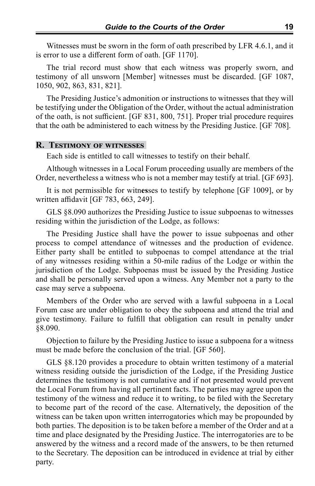Witnesses must be sworn in the form of oath prescribed by LFR 4.6.1, and it is error to use a different form of oath. [GF 1170].

The trial record must show that each witness was properly sworn, and testimony of all unsworn [Member] witnesses must be discarded. [GF 1087, 1050, 902, 863, 831, 821].

The Presiding Justice's admonition or instructions to witnesses that they will be testifying under the Obligation of the Order, without the actual administration of the oath, is not sufficient. [GF 831, 800, 751]. Proper trial procedure requires that the oath be administered to each witness by the Presiding Justice. [GF 708].

## **R. Testimony of witnesses**

Each side is entitled to call witnesses to testify on their behalf.

Although witnesses in a Local Forum proceeding usually are members of the Order, nevertheless a witness who is not a member may testify at trial. [GF 693].

It is not permissible for witn**es**ses to testify by telephone [GF 1009], or by written affidavit [GF 783, 663, 249].

GLS §8.090 authorizes the Presiding Justice to issue subpoenas to witnesses residing within the jurisdiction of the Lodge, as follows:

The Presiding Justice shall have the power to issue subpoenas and other process to compel attendance of witnesses and the production of evidence. Either party shall be entitled to subpoenas to compel attendance at the trial of any witnesses residing within a 50-mile radius of the Lodge or within the jurisdiction of the Lodge. Subpoenas must be issued by the Presiding Justice and shall be personally served upon a witness. Any Member not a party to the case may serve a subpoena.

Members of the Order who are served with a lawful subpoena in a Local Forum case are under obligation to obey the subpoena and attend the trial and give testimony. Failure to fulfill that obligation can result in penalty under §8.090.

Objection to failure by the Presiding Justice to issue a subpoena for a witness must be made before the conclusion of the trial. [GF 560].

GLS §8.120 provides a procedure to obtain written testimony of a material witness residing outside the jurisdiction of the Lodge, if the Presiding Justice determines the testimony is not cumulative and if not presented would prevent the Local Forum from having all pertinent facts. The parties may agree upon the testimony of the witness and reduce it to writing, to be filed with the Secretary to become part of the record of the case. Alternatively, the deposition of the witness can be taken upon written interrogatories which may be propounded by both parties. The deposition is to be taken before a member of the Order and at a time and place designated by the Presiding Justice. The interrogatories are to be answered by the witness and a record made of the answers, to be then returned to the Secretary. The deposition can be introduced in evidence at trial by either party.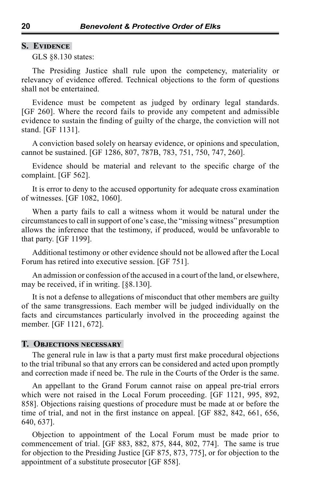## **S. Evidence**

GLS §8.130 states:

The Presiding Justice shall rule upon the competency, materiality or relevancy of evidence offered. Technical objections to the form of questions shall not be entertained.

Evidence must be competent as judged by ordinary legal standards. [GF 260]. Where the record fails to provide any competent and admissible evidence to sustain the finding of guilty of the charge, the conviction will not stand. [GF 1131].

A conviction based solely on hearsay evidence, or opinions and speculation, cannot be sustained. [GF 1286, 807, 787B, 783, 751, 750, 747, 260].

Evidence should be material and relevant to the specific charge of the complaint. [GF 562].

It is error to deny to the accused opportunity for adequate cross examination of witnesses. [GF 1082, 1060].

When a party fails to call a witness whom it would be natural under the circumstances to call in support of one's case, the "missing witness" presumption allows the inference that the testimony, if produced, would be unfavorable to that party. [GF 1199].

Additional testimony or other evidence should not be allowed after the Local Forum has retired into executive session. [GF 751].

An admission or confession of the accused in a court of the land, or elsewhere, may be received, if in writing. [§8.130].

It is not a defense to allegations of misconduct that other members are guilty of the same transgressions. Each member will be judged individually on the facts and circumstances particularly involved in the proceeding against the member. [GF 1121, 672].

## **T. Objections necessary**

The general rule in law is that a party must first make procedural objections to the trial tribunal so that any errors can be considered and acted upon promptly and correction made if need be. The rule in the Courts of the Order is the same.

An appellant to the Grand Forum cannot raise on appeal pre-trial errors which were not raised in the Local Forum proceeding. [GF 1121, 995, 892, 858]. Objections raising questions of procedure must be made at or before the time of trial, and not in the first instance on appeal. [GF 882, 842, 661, 656, 640, 637].

Objection to appointment of the Local Forum must be made prior to commencement of trial. [GF 883, 882, 875, 844, 802, 774]. The same is true for objection to the Presiding Justice [GF 875, 873, 775], or for objection to the appointment of a substitute prosecutor [GF 858].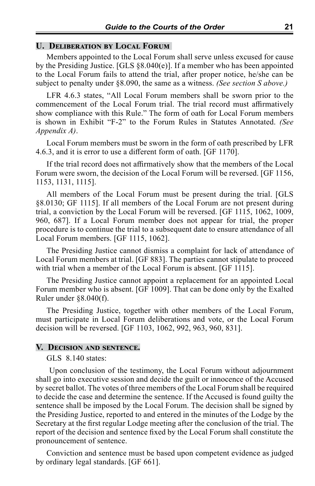## **U. Deliberation by Local Forum**

Members appointed to the Local Forum shall serve unless excused for cause by the Presiding Justice. [GLS §8.040(e)]. If a member who has been appointed to the Local Forum fails to attend the trial, after proper notice, he/she can be subject to penalty under §8.090, the same as a witness. *(See section S above.)*

LFR 4.6.3 states, "All Local Forum members shall be sworn prior to the commencement of the Local Forum trial. The trial record must affirmatively show compliance with this Rule." The form of oath for Local Forum members is shown in Exhibit "F-2" to the Forum Rules in Statutes Annotated. *(See Appendix A)*.

Local Forum members must be sworn in the form of oath prescribed by LFR 4.6.3, and it is error to use a different form of oath. [GF 1170].

If the trial record does not affirmatively show that the members of the Local Forum were sworn, the decision of the Local Forum will be reversed. [GF 1156, 1153, 1131, 1115].

All members of the Local Forum must be present during the trial. [GLS §8.0130; GF 1115]. If all members of the Local Forum are not present during trial, a conviction by the Local Forum will be reversed. [GF 1115, 1062, 1009, 960, 687]. If a Local Forum member does not appear for trial, the proper procedure is to continue the trial to a subsequent date to ensure attendance of all Local Forum members. [GF 1115, 1062].

The Presiding Justice cannot dismiss a complaint for lack of attendance of Local Forum members at trial. [GF 883]. The parties cannot stipulate to proceed with trial when a member of the Local Forum is absent. [GF 1115].

The Presiding Justice cannot appoint a replacement for an appointed Local Forum member who is absent. [GF 1009]. That can be done only by the Exalted Ruler under §8.040(f).

The Presiding Justice, together with other members of the Local Forum, must participate in Local Forum deliberations and vote, or the Local Forum decision will be reversed. [GF 1103, 1062, 992, 963, 960, 831].

## **V. Decision and sentence.**

GLS 8.140 states:

Upon conclusion of the testimony, the Local Forum without adjournment shall go into executive session and decide the guilt or innocence of the Accused by secret ballot. The votes of three members of the Local Forum shall be required to decide the case and determine the sentence. If the Accused is found guilty the sentence shall be imposed by the Local Forum. The decision shall be signed by the Presiding Justice, reported to and entered in the minutes of the Lodge by the Secretary at the first regular Lodge meeting after the conclusion of the trial. The report of the decision and sentence fixed by the Local Forum shall constitute the pronouncement of sentence.

Conviction and sentence must be based upon competent evidence as judged by ordinary legal standards. [GF 661].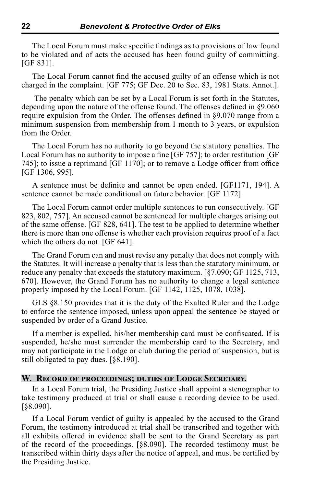The Local Forum must make specific findings as to provisions of law found to be violated and of acts the accused has been found guilty of committing. [GF 831].

The Local Forum cannot find the accused guilty of an offense which is not charged in the complaint. [GF 775; GF Dec. 20 to Sec. 83, 1981 Stats. Annot.].

 The penalty which can be set by a Local Forum is set forth in the Statutes, depending upon the nature of the offense found. The offenses defined in §9.060 require expulsion from the Order. The offenses defined in §9.070 range from a minimum suspension from membership from 1 month to 3 years, or expulsion from the Order.

The Local Forum has no authority to go beyond the statutory penalties. The Local Forum has no authority to impose a fine [GF 757]; to order restitution [GF 745]; to issue a reprimand [GF 1170]; or to remove a Lodge officer from office [GF 1306, 995].

A sentence must be definite and cannot be open ended. [GF1171, 194]. A sentence cannot be made conditional on future behavior. [GF 1172].

The Local Forum cannot order multiple sentences to run consecutively. [GF 823, 802, 757]. An accused cannot be sentenced for multiple charges arising out of the same offense. [GF 828, 641]. The test to be applied to determine whether there is more than one offense is whether each provision requires proof of a fact which the others do not. [GF 641].

The Grand Forum can and must revise any penalty that does not comply with the Statutes. It will increase a penalty that is less than the statutory minimum, or reduce any penalty that exceeds the statutory maximum. [§7.090; GF 1125, 713, 670]. However, the Grand Forum has no authority to change a legal sentence properly imposed by the Local Forum. [GF 1142, 1125, 1078, 1038].

GLS §8.150 provides that it is the duty of the Exalted Ruler and the Lodge to enforce the sentence imposed, unless upon appeal the sentence be stayed or suspended by order of a Grand Justice.

If a member is expelled, his/her membership card must be confiscated. If is suspended, he/she must surrender the membership card to the Secretary, and may not participate in the Lodge or club during the period of suspension, but is still obligated to pay dues. [§8.190].

## **W. Record of proceedings; duties of Lodge Secretary.**

In a Local Forum trial, the Presiding Justice shall appoint a stenographer to take testimony produced at trial or shall cause a recording device to be used. [§8.090].

If a Local Forum verdict of guilty is appealed by the accused to the Grand Forum, the testimony introduced at trial shall be transcribed and together with all exhibits offered in evidence shall be sent to the Grand Secretary as part of the record of the proceedings. [§8.090]. The recorded testimony must be transcribed within thirty days after the notice of appeal, and must be certified by the Presiding Justice.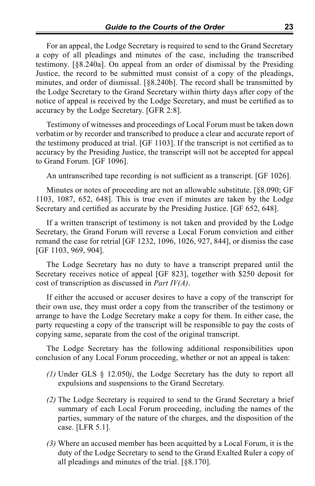For an appeal, the Lodge Secretary is required to send to the Grand Secretary a copy of all pleadings and minutes of the case, including the transcribed testimony. [§8.240a]. On appeal from an order of dismissal by the Presiding Justice, the record to be submitted must consist of a copy of the pleadings, minutes, and order of dismissal. [§8.240b]. The record shall be transmitted by the Lodge Secretary to the Grand Secretary within thirty days after copy of the notice of appeal is received by the Lodge Secretary, and must be certified as to accuracy by the Lodge Secretary. [GFR 2:8].

Testimony of witnesses and proceedings of Local Forum must be taken down verbatim or by recorder and transcribed to produce a clear and accurate report of the testimony produced at trial. [GF 1103]. If the transcript is not certified as to accuracy by the Presiding Justice, the transcript will not be accepted for appeal to Grand Forum. [GF 1096].

An untranscribed tape recording is not sufficient as a transcript. [GF 1026].

Minutes or notes of proceeding are not an allowable substitute. [§8.090; GF 1103, 1087, 652, 648]. This is true even if minutes are taken by the Lodge Secretary and certified as accurate by the Presiding Justice. [GF 652, 648].

If a written transcript of testimony is not taken and provided by the Lodge Secretary, the Grand Forum will reverse a Local Forum conviction and either remand the case for retrial [GF 1232, 1096, 1026, 927, 844], or dismiss the case [GF 1103, 969, 904].

The Lodge Secretary has no duty to have a transcript prepared until the Secretary receives notice of appeal [GF 823], together with \$250 deposit for cost of transcription as discussed in *Part IV(A)*.

If either the accused or accuser desires to have a copy of the transcript for their own use, they must order a copy from the transcriber of the testimony or arrange to have the Lodge Secretary make a copy for them. In either case, the party requesting a copy of the transcript will be responsible to pay the costs of copying same, separate from the cost of the original transcript.

The Lodge Secretary has the following additional responsibilities upon conclusion of any Local Forum proceeding, whether or not an appeal is taken:

- *(1)* Under GLS § 12.050*j*, the Lodge Secretary has the duty to report all expulsions and suspensions to the Grand Secretary.
- *(2)* The Lodge Secretary is required to send to the Grand Secretary a brief summary of each Local Forum proceeding, including the names of the parties, summary of the nature of the charges, and the disposition of the case. [LFR 5.1].
- *(3)* Where an accused member has been acquitted by a Local Forum, it is the duty of the Lodge Secretary to send to the Grand Exalted Ruler a copy of all pleadings and minutes of the trial. [§8.170].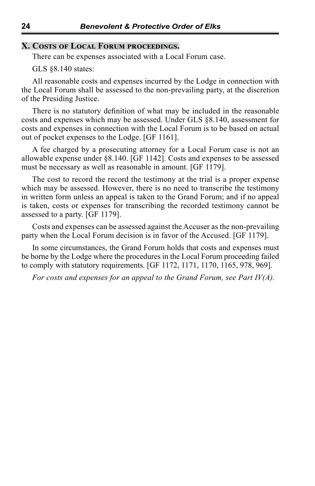## **X. Costs of Local Forum proceedings.**

There can be expenses associated with a Local Forum case.

GLS §8.140 states:

All reasonable costs and expenses incurred by the Lodge in connection with the Local Forum shall be assessed to the non-prevailing party, at the discretion of the Presiding Justice.

There is no statutory definition of what may be included in the reasonable costs and expenses which may be assessed. Under GLS §8.140, assessment for costs and expenses in connection with the Local Forum is to be based on actual out of pocket expenses to the Lodge. [GF 1161].

A fee charged by a prosecuting attorney for a Local Forum case is not an allowable expense under §8.140. [GF 1142]. Costs and expenses to be assessed must be necessary as well as reasonable in amount. [GF 1179].

The cost to record the record the testimony at the trial is a proper expense which may be assessed. However, there is no need to transcribe the testimony in written form unless an appeal is taken to the Grand Forum; and if no appeal is taken, costs or expenses for transcribing the recorded testimony cannot be assessed to a party. [GF 1179].

Costs and expenses can be assessed against the Accuser as the non-prevailing party when the Local Forum decision is in favor of the Accused. [GF 1179].

In some circumstances, the Grand Forum holds that costs and expenses must be borne by the Lodge where the procedures in the Local Forum proceeding failed to comply with statutory requirements. [GF 1172, 1171, 1170, 1165, 978, 969].

*For costs and expenses for an appeal to the Grand Forum, see Part IV(A).*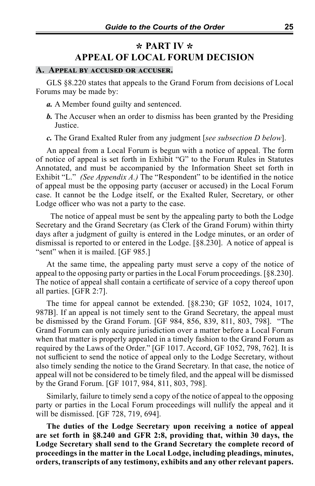# **\* PART IV \* APPEAL OF LOCAL FORUM DECISION**

## **A. Appeal by accused or accuser.**

GLS §8.220 states that appeals to the Grand Forum from decisions of Local Forums may be made by:

- *a.* A Member found guilty and sentenced.
- *b.* The Accuser when an order to dismiss has been granted by the Presiding Justice.
- *c.* The Grand Exalted Ruler from any judgment [*see subsection D below*].

An appeal from a Local Forum is begun with a notice of appeal. The form of notice of appeal is set forth in Exhibit "G" to the Forum Rules in Statutes Annotated, and must be accompanied by the Information Sheet set forth in Exhibit "L." *(See Appendix A.)* The "Respondent" to be identified in the notice of appeal must be the opposing party (accuser or accused) in the Local Forum case. It cannot be the Lodge itself, or the Exalted Ruler, Secretary, or other Lodge officer who was not a party to the case.

 The notice of appeal must be sent by the appealing party to both the Lodge Secretary and the Grand Secretary (as Clerk of the Grand Forum) within thirty days after a judgment of guilty is entered in the Lodge minutes, or an order of dismissal is reported to or entered in the Lodge. [§8.230]. A notice of appeal is "sent" when it is mailed. [GF 985.]

At the same time, the appealing party must serve a copy of the notice of appeal to the opposing party or parties in the Local Forum proceedings. [§8.230]. The notice of appeal shall contain a certificate of service of a copy thereof upon all parties. [GFR 2:7].

The time for appeal cannot be extended. [§8.230; GF 1052, 1024, 1017, 987B]. If an appeal is not timely sent to the Grand Secretary, the appeal must be dismissed by the Grand Forum. [GF 984, 856, 839, 811, 803, 798]. "The Grand Forum can only acquire jurisdiction over a matter before a Local Forum when that matter is properly appealed in a timely fashion to the Grand Forum as required by the Laws of the Order." [GF 1017. Accord, GF 1052, 798, 762]. It is not sufficient to send the notice of appeal only to the Lodge Secretary, without also timely sending the notice to the Grand Secretary. In that case, the notice of appeal will not be considered to be timely filed, and the appeal will be dismissed by the Grand Forum. [GF 1017, 984, 811, 803, 798].

Similarly, failure to timely send a copy of the notice of appeal to the opposing party or parties in the Local Forum proceedings will nullify the appeal and it will be dismissed. [GF 728, 719, 694].

**The duties of the Lodge Secretary upon receiving a notice of appeal are set forth in §8.240 and GFR 2:8, providing that, within 30 days, the Lodge Secretary shall send to the Grand Secretary the complete record of proceedings in the matter in the Local Lodge, including pleadings, minutes, orders, transcripts of any testimony, exhibits and any other relevant papers.**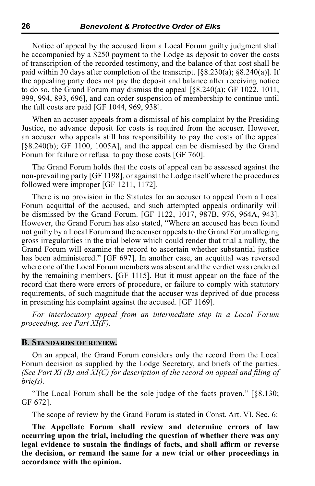Notice of appeal by the accused from a Local Forum guilty judgment shall be accompanied by a \$250 payment to the Lodge as deposit to cover the costs of transcription of the recorded testimony, and the balance of that cost shall be paid within 30 days after completion of the transcript. [§8.230(a); §8.240(a)]. If the appealing party does not pay the deposit and balance after receiving notice to do so, the Grand Forum may dismiss the appeal [§8.240(a); GF 1022, 1011, 999, 994, 893, 696], and can order suspension of membership to continue until the full costs are paid [GF 1044, 969, 938].

When an accuser appeals from a dismissal of his complaint by the Presiding Justice, no advance deposit for costs is required from the accuser. However, an accuser who appeals still has responsibility to pay the costs of the appeal [§8.240(b); GF 1100, 1005A], and the appeal can be dismissed by the Grand Forum for failure or refusal to pay those costs [GF 760].

The Grand Forum holds that the costs of appeal can be assessed against the non-prevailing party [GF 1198], or against the Lodge itself where the procedures followed were improper [GF 1211, 1172].

There is no provision in the Statutes for an accuser to appeal from a Local Forum acquittal of the accused, and such attempted appeals ordinarily will be dismissed by the Grand Forum. [GF 1122, 1017, 987B, 976, 964A, 943]. However, the Grand Forum has also stated, "Where an accused has been found not guilty by a Local Forum and the accuser appeals to the Grand Forum alleging gross irregularities in the trial below which could render that trial a nullity, the Grand Forum will examine the record to ascertain whether substantial justice has been administered." [GF 697]. In another case, an acquittal was reversed where one of the Local Forum members was absent and the verdict was rendered by the remaining members. [GF 1115]. But it must appear on the face of the record that there were errors of procedure, or failure to comply with statutory requirements, of such magnitude that the accuser was deprived of due process in presenting his complaint against the accused. [GF 1169].

*For interlocutory appeal from an intermediate step in a Local Forum proceeding, see Part XI(F).*

## **B. Standards of review.**

On an appeal, the Grand Forum considers only the record from the Local Forum decision as supplied by the Lodge Secretary, and briefs of the parties. *(See Part XI (B) and XI(C) for description of the record on appeal and filing of briefs)*.

"The Local Forum shall be the sole judge of the facts proven." [§8.130; GF 672].

The scope of review by the Grand Forum is stated in Const. Art. VI, Sec. 6:

**The Appellate Forum shall review and determine errors of law occurring upon the trial, including the question of whether there was any legal evidence to sustain the findings of facts, and shall affirm or reverse the decision, or remand the same for a new trial or other proceedings in accordance with the opinion.**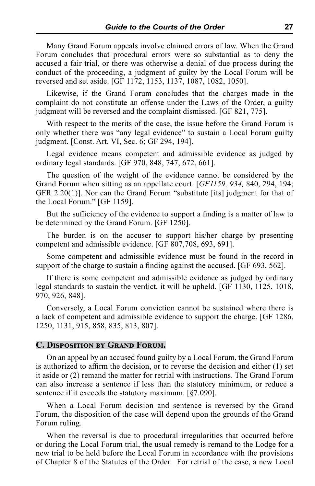Many Grand Forum appeals involve claimed errors of law. When the Grand Forum concludes that procedural errors were so substantial as to deny the accused a fair trial, or there was otherwise a denial of due process during the conduct of the proceeding, a judgment of guilty by the Local Forum will be reversed and set aside. [GF 1172, 1153, 1137, 1087, 1082, 1050].

Likewise, if the Grand Forum concludes that the charges made in the complaint do not constitute an offense under the Laws of the Order, a guilty judgment will be reversed and the complaint dismissed. [GF 821, 775].

With respect to the merits of the case, the issue before the Grand Forum is only whether there was "any legal evidence" to sustain a Local Forum guilty judgment. [Const. Art. VI, Sec. 6; GF 294, 194].

Legal evidence means competent and admissible evidence as judged by ordinary legal standards. [GF 970, 848, 747, 672, 661].

The question of the weight of the evidence cannot be considered by the Grand Forum when sitting as an appellate court. [*GF1159, 934,* 840, 294, 194; GFR 2.20(1)]. Nor can the Grand Forum "substitute [its] judgment for that of the Local Forum." [GF 1159].

But the sufficiency of the evidence to support a finding is a matter of law to be determined by the Grand Forum. [GF 1250].

The burden is on the accuser to support his/her charge by presenting competent and admissible evidence. [GF 807,708, 693, 691].

Some competent and admissible evidence must be found in the record in support of the charge to sustain a finding against the accused. [GF 693, 562].

If there is some competent and admissible evidence as judged by ordinary legal standards to sustain the verdict, it will be upheld. [GF 1130, 1125, 1018, 970, 926, 848].

Conversely, a Local Forum conviction cannot be sustained where there is a lack of competent and admissible evidence to support the charge. [GF 1286, 1250, 1131, 915, 858, 835, 813, 807].

## **C. Disposition by Grand Forum.**

On an appeal by an accused found guilty by a Local Forum, the Grand Forum is authorized to affirm the decision, or to reverse the decision and either (1) set it aside or (2) remand the matter for retrial with instructions. The Grand Forum can also increase a sentence if less than the statutory minimum, or reduce a sentence if it exceeds the statutory maximum. [§7.090].

When a Local Forum decision and sentence is reversed by the Grand Forum, the disposition of the case will depend upon the grounds of the Grand Forum ruling.

When the reversal is due to procedural irregularities that occurred before or during the Local Forum trial, the usual remedy is remand to the Lodge for a new trial to be held before the Local Forum in accordance with the provisions of Chapter 8 of the Statutes of the Order. For retrial of the case, a new Local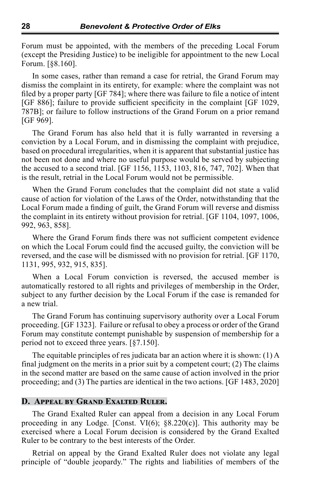Forum must be appointed, with the members of the preceding Local Forum (except the Presiding Justice) to be ineligible for appointment to the new Local Forum. [§8.160].

In some cases, rather than remand a case for retrial, the Grand Forum may dismiss the complaint in its entirety, for example: where the complaint was not filed by a proper party [GF 784]; where there was failure to file a notice of intent [GF 886]; failure to provide sufficient specificity in the complaint [GF 1029, 787B]; or failure to follow instructions of the Grand Forum on a prior remand [GF 969].

The Grand Forum has also held that it is fully warranted in reversing a conviction by a Local Forum, and in dismissing the complaint with prejudice, based on procedural irregularities, when it is apparent that substantial justice has not been not done and where no useful purpose would be served by subjecting the accused to a second trial. [GF 1156, 1153, 1103, 816, 747, 702]. When that is the result, retrial in the Local Forum would not be permissible.

When the Grand Forum concludes that the complaint did not state a valid cause of action for violation of the Laws of the Order, notwithstanding that the Local Forum made a finding of guilt, the Grand Forum will reverse and dismiss the complaint in its entirety without provision for retrial. [GF 1104, 1097, 1006, 992, 963, 858].

Where the Grand Forum finds there was not sufficient competent evidence on which the Local Forum could find the accused guilty, the conviction will be reversed, and the case will be dismissed with no provision for retrial. [GF 1170, 1131, 995, 932, 915, 835].

When a Local Forum conviction is reversed, the accused member is automatically restored to all rights and privileges of membership in the Order, subject to any further decision by the Local Forum if the case is remanded for a new trial.

The Grand Forum has continuing supervisory authority over a Local Forum proceeding. [GF 1323]. Failure or refusal to obey a process or order of the Grand Forum may constitute contempt punishable by suspension of membership for a period not to exceed three years. [§7.150].

The equitable principles of res judicata bar an action where it is shown: (1) A final judgment on the merits in a prior suit by a competent court; (2) The claims in the second matter are based on the same cause of action involved in the prior proceeding; and (3) The parties are identical in the two actions. [GF 1483, 2020]

## **D. Appeal by Grand Exalted Ruler.**

The Grand Exalted Ruler can appeal from a decision in any Local Forum proceeding in any Lodge. [Const. VI(6); §8.220(c)]. This authority may be exercised where a Local Forum decision is considered by the Grand Exalted Ruler to be contrary to the best interests of the Order.

Retrial on appeal by the Grand Exalted Ruler does not violate any legal principle of "double jeopardy." The rights and liabilities of members of the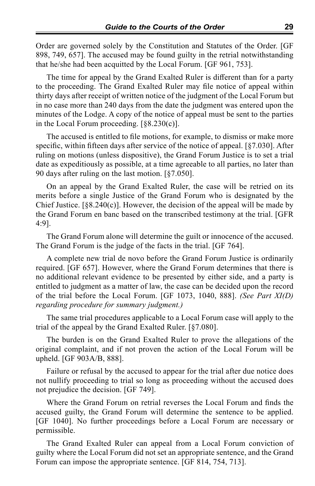Order are governed solely by the Constitution and Statutes of the Order. [GF 898, 749, 657]. The accused may be found guilty in the retrial notwithstanding that he/she had been acquitted by the Local Forum. [GF 961, 753].

The time for appeal by the Grand Exalted Ruler is different than for a party to the proceeding. The Grand Exalted Ruler may file notice of appeal within thirty days after receipt of written notice of the judgment of the Local Forum but in no case more than 240 days from the date the judgment was entered upon the minutes of the Lodge. A copy of the notice of appeal must be sent to the parties in the Local Forum proceeding. [§8.230(c)].

The accused is entitled to file motions, for example, to dismiss or make more specific, within fifteen days after service of the notice of appeal. [§7.030]. After ruling on motions (unless dispositive), the Grand Forum Justice is to set a trial date as expeditiously as possible, at a time agreeable to all parties, no later than 90 days after ruling on the last motion. [§7.050].

On an appeal by the Grand Exalted Ruler, the case will be retried on its merits before a single Justice of the Grand Forum who is designated by the Chief Justice.  $[\frac{88.240(c)}{80.240(c)}]$ . However, the decision of the appeal will be made by the Grand Forum en banc based on the transcribed testimony at the trial. [GFR 4:9].

The Grand Forum alone will determine the guilt or innocence of the accused. The Grand Forum is the judge of the facts in the trial. [GF 764].

A complete new trial de novo before the Grand Forum Justice is ordinarily required. [GF 657]. However, where the Grand Forum determines that there is no additional relevant evidence to be presented by either side, and a party is entitled to judgment as a matter of law, the case can be decided upon the record of the trial before the Local Forum. [GF 1073, 1040, 888]. *(See Part XI(D) regarding procedure for summary judgment.)*

The same trial procedures applicable to a Local Forum case will apply to the trial of the appeal by the Grand Exalted Ruler. [§7.080].

The burden is on the Grand Exalted Ruler to prove the allegations of the original complaint, and if not proven the action of the Local Forum will be upheld. [GF 903A/B, 888].

Failure or refusal by the accused to appear for the trial after due notice does not nullify proceeding to trial so long as proceeding without the accused does not prejudice the decision. [GF 749].

Where the Grand Forum on retrial reverses the Local Forum and finds the accused guilty, the Grand Forum will determine the sentence to be applied. [GF 1040]. No further proceedings before a Local Forum are necessary or permissible.

The Grand Exalted Ruler can appeal from a Local Forum conviction of guilty where the Local Forum did not set an appropriate sentence, and the Grand Forum can impose the appropriate sentence. [GF 814, 754, 713].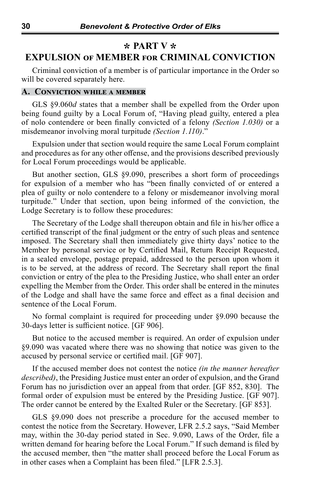## **\* PART V \* EXPULSION of MEMBER for CRIMINAL CONVICTION**

Criminal conviction of a member is of particular importance in the Order so will be covered separately here.

## **A. Conviction while a member**

GLS §9.060*d* states that a member shall be expelled from the Order upon being found guilty by a Local Forum of, "Having plead guilty, entered a plea of nolo contendere or been finally convicted of a felony *(Section 1.030)* or a misdemeanor involving moral turpitude *(Section 1.110)*."

Expulsion under that section would require the same Local Forum complaint and procedures as for any other offense, and the provisions described previously for Local Forum proceedings would be applicable.

But another section, GLS §9.090, prescribes a short form of proceedings for expulsion of a member who has "been finally convicted of or entered a plea of guilty or nolo contendere to a felony or misdemeanor involving moral turpitude." Under that section, upon being informed of the conviction, the Lodge Secretary is to follow these procedures:

The Secretary of the Lodge shall thereupon obtain and file in his/her office a certified transcript of the final judgment or the entry of such pleas and sentence imposed. The Secretary shall then immediately give thirty days' notice to the Member by personal service or by Certified Mail, Return Receipt Requested, in a sealed envelope, postage prepaid, addressed to the person upon whom it is to be served, at the address of record. The Secretary shall report the final conviction or entry of the plea to the Presiding Justice, who shall enter an order expelling the Member from the Order. This order shall be entered in the minutes of the Lodge and shall have the same force and effect as a final decision and sentence of the Local Forum.

No formal complaint is required for proceeding under §9.090 because the 30-days letter is sufficient notice. [GF 906].

But notice to the accused member is required. An order of expulsion under §9.090 was vacated where there was no showing that notice was given to the accused by personal service or certified mail. [GF 907].

If the accused member does not contest the notice *(in the manner hereafter described)*, the Presiding Justice must enter an order of expulsion, and the Grand Forum has no jurisdiction over an appeal from that order. [GF 852, 830]. The formal order of expulsion must be entered by the Presiding Justice. [GF 907]. The order cannot be entered by the Exalted Ruler or the Secretary. [GF 853].

GLS §9.090 does not prescribe a procedure for the accused member to contest the notice from the Secretary. However, LFR 2.5.2 says, "Said Member may, within the 30-day period stated in Sec. 9.090, Laws of the Order, file a written demand for hearing before the Local Forum." If such demand is filed by the accused member, then "the matter shall proceed before the Local Forum as in other cases when a Complaint has been filed." [LFR 2.5.3].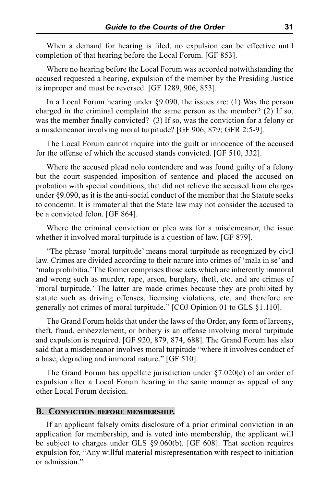When a demand for hearing is filed, no expulsion can be effective until completion of that hearing before the Local Forum. [GF 853].

Where no hearing before the Local Forum was accorded notwithstanding the accused requested a hearing, expulsion of the member by the Presiding Justice is improper and must be reversed. [GF 1289, 906, 853].

In a Local Forum hearing under §9.090, the issues are: (1) Was the person charged in the criminal complaint the same person as the member? (2) If so, was the member finally convicted? (3) If so, was the conviction for a felony or a misdemeanor involving moral turpitude? [GF 906, 879; GFR 2:5-9].

The Local Forum cannot inquire into the guilt or innocence of the accused for the offense of which the accused stands convicted. [GF 510, 332].

Where the accused plead nolo contendere and was found guilty of a felony but the court suspended imposition of sentence and placed the accused on probation with special conditions, that did not relieve the accused from charges under §9.090, as it is the anti-social conduct of the member that the Statute seeks to condemn. It is immaterial that the State law may not consider the accused to be a convicted felon. [GF 864].

Where the criminal conviction or plea was for a misdemeanor, the issue whether it involved moral turpitude is a question of law. [GF 879].

"The phrase 'moral turpitude' means moral turpitude as recognized by civil law. Crimes are divided according to their nature into crimes of 'mala in se' and 'mala prohibitia.' The former comprises those acts which are inherently immoral and wrong such as murder, rape, arson, burglary, theft, etc. and are crimes of 'moral turpitude.' The latter are made crimes because they are prohibited by statute such as driving offenses, licensing violations, etc. and therefore are generally not crimes of moral turpitude." [COJ Opinion 01 to GLS §1.110].

The Grand Forum holds that under the laws of the Order, any form of larceny, theft, fraud, embezzlement, or bribery is an offense involving moral turpitude and expulsion is required. [GF 920, 879, 874, 688]. The Grand Forum has also said that a misdemeanor involves moral turpitude "where it involves conduct of a base, degrading and immoral nature." [GF 510].

The Grand Forum has appellate jurisdiction under §7.020(c) of an order of expulsion after a Local Forum hearing in the same manner as appeal of any other Local Forum decision.

#### **B. Conviction before membership.**

If an applicant falsely omits disclosure of a prior criminal conviction in an application for membership, and is voted into membership, the applicant will be subject to charges under GLS §9.060(b). [GF 608]. That section requires expulsion for, "Any willful material misrepresentation with respect to initiation or admission."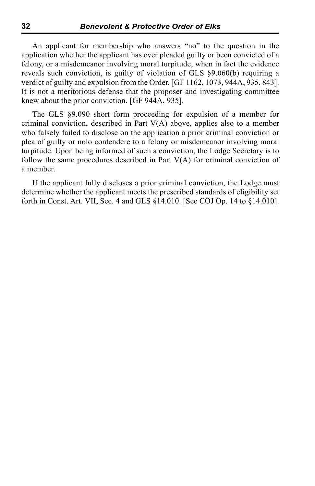An applicant for membership who answers "no" to the question in the application whether the applicant has ever pleaded guilty or been convicted of a felony, or a misdemeanor involving moral turpitude, when in fact the evidence reveals such conviction, is guilty of violation of GLS §9.060(b) requiring a verdict of guilty and expulsion from the Order. [GF 1162, 1073, 944A, 935, 843]. It is not a meritorious defense that the proposer and investigating committee knew about the prior conviction. [GF 944A, 935].

The GLS §9.090 short form proceeding for expulsion of a member for criminal conviction, described in Part V(A) above, applies also to a member who falsely failed to disclose on the application a prior criminal conviction or plea of guilty or nolo contendere to a felony or misdemeanor involving moral turpitude. Upon being informed of such a conviction, the Lodge Secretary is to follow the same procedures described in Part V(A) for criminal conviction of a member.

If the applicant fully discloses a prior criminal conviction, the Lodge must determine whether the applicant meets the prescribed standards of eligibility set forth in Const. Art. VII, Sec. 4 and GLS §14.010. [See COJ Op. 14 to §14.010].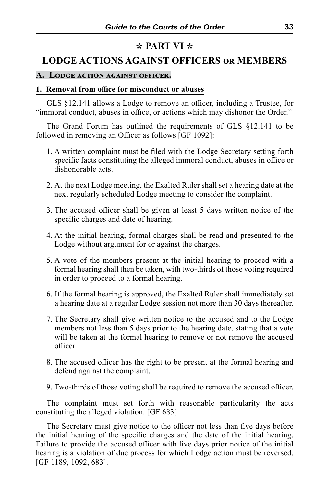## **\* PART VI \***

## **LODGE ACTIONS AGAINST OFFICERS or MEMBERS**

#### **A. Lodge action against officer.**

#### **1. Removal from office for misconduct or abuses**

GLS §12.141 allows a Lodge to remove an officer, including a Trustee, for "immoral conduct, abuses in office, or actions which may dishonor the Order."

The Grand Forum has outlined the requirements of GLS §12.141 to be followed in removing an Officer as follows [GF 1092]:

- 1. A written complaint must be filed with the Lodge Secretary setting forth specific facts constituting the alleged immoral conduct, abuses in office or dishonorable acts.
- 2. At the next Lodge meeting, the Exalted Ruler shall set a hearing date at the next regularly scheduled Lodge meeting to consider the complaint.
- 3. The accused officer shall be given at least 5 days written notice of the specific charges and date of hearing.
- 4. At the initial hearing, formal charges shall be read and presented to the Lodge without argument for or against the charges.
- 5. A vote of the members present at the initial hearing to proceed with a formal hearing shall then be taken, with two-thirds of those voting required in order to proceed to a formal hearing.
- 6. If the formal hearing is approved, the Exalted Ruler shall immediately set a hearing date at a regular Lodge session not more than 30 days thereafter.
- 7. The Secretary shall give written notice to the accused and to the Lodge members not less than 5 days prior to the hearing date, stating that a vote will be taken at the formal hearing to remove or not remove the accused officer.
- 8. The accused officer has the right to be present at the formal hearing and defend against the complaint.
- 9. Two-thirds of those voting shall be required to remove the accused officer.

The complaint must set forth with reasonable particularity the acts constituting the alleged violation. [GF 683].

The Secretary must give notice to the officer not less than five days before the initial hearing of the specific charges and the date of the initial hearing. Failure to provide the accused officer with five days prior notice of the initial hearing is a violation of due process for which Lodge action must be reversed. [GF 1189, 1092, 683].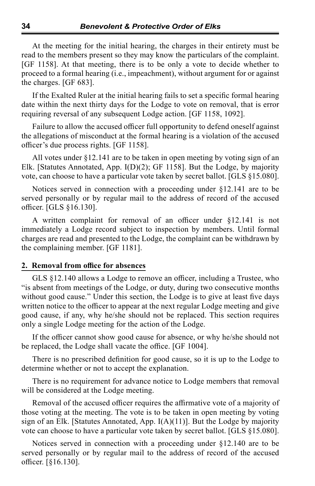At the meeting for the initial hearing, the charges in their entirety must be read to the members present so they may know the particulars of the complaint. [GF 1158]. At that meeting, there is to be only a vote to decide whether to proceed to a formal hearing (i.e., impeachment), without argument for or against the charges. [GF 683].

If the Exalted Ruler at the initial hearing fails to set a specific formal hearing date within the next thirty days for the Lodge to vote on removal, that is error requiring reversal of any subsequent Lodge action. [GF 1158, 1092].

Failure to allow the accused officer full opportunity to defend oneself against the allegations of misconduct at the formal hearing is a violation of the accused officer's due process rights. [GF 1158].

All votes under §12.141 are to be taken in open meeting by voting sign of an Elk. [Statutes Annotated, App. I(D)(2); GF 1158]. But the Lodge, by majority vote, can choose to have a particular vote taken by secret ballot. [GLS §15.080].

Notices served in connection with a proceeding under §12.141 are to be served personally or by regular mail to the address of record of the accused officer. [GLS §16.130].

A written complaint for removal of an officer under §12.141 is not immediately a Lodge record subject to inspection by members. Until formal charges are read and presented to the Lodge, the complaint can be withdrawn by the complaining member. [GF 1181].

#### **2. Removal from office for absences**

GLS §12.140 allows a Lodge to remove an officer, including a Trustee, who "is absent from meetings of the Lodge, or duty, during two consecutive months without good cause." Under this section, the Lodge is to give at least five days written notice to the officer to appear at the next regular Lodge meeting and give good cause, if any, why he/she should not be replaced. This section requires only a single Lodge meeting for the action of the Lodge.

If the officer cannot show good cause for absence, or why he/she should not be replaced, the Lodge shall vacate the office. [GF 1004].

There is no prescribed definition for good cause, so it is up to the Lodge to determine whether or not to accept the explanation.

There is no requirement for advance notice to Lodge members that removal will be considered at the Lodge meeting.

Removal of the accused officer requires the affirmative vote of a majority of those voting at the meeting. The vote is to be taken in open meeting by voting sign of an Elk. [Statutes Annotated, App.  $I(A)(11)$ ]. But the Lodge by majority vote can choose to have a particular vote taken by secret ballot. [GLS §15.080].

Notices served in connection with a proceeding under §12.140 are to be served personally or by regular mail to the address of record of the accused officer. [§16.130].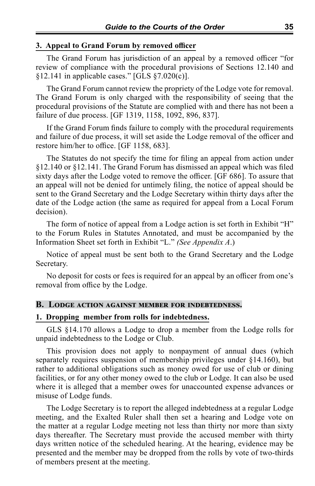#### **3. Appeal to Grand Forum by removed officer**

The Grand Forum has jurisdiction of an appeal by a removed officer "for review of compliance with the procedural provisions of Sections 12.140 and  $§12.141$  in applicable cases." [GLS  $§7.020(c)$ ].

The Grand Forum cannot review the propriety of the Lodge vote for removal. The Grand Forum is only charged with the responsibility of seeing that the procedural provisions of the Statute are complied with and there has not been a failure of due process. [GF 1319, 1158, 1092, 896, 837].

If the Grand Forum finds failure to comply with the procedural requirements and failure of due process, it will set aside the Lodge removal of the officer and restore him/her to office. [GF 1158, 683].

The Statutes do not specify the time for filing an appeal from action under §12.140 or §12.141. The Grand Forum has dismissed an appeal which was filed sixty days after the Lodge voted to remove the officer. [GF 686]. To assure that an appeal will not be denied for untimely filing, the notice of appeal should be sent to the Grand Secretary and the Lodge Secretary within thirty days after the date of the Lodge action (the same as required for appeal from a Local Forum decision).

The form of notice of appeal from a Lodge action is set forth in Exhibit "H" to the Forum Rules in Statutes Annotated, and must be accompanied by the Information Sheet set forth in Exhibit "L." *(See Appendix A*.)

Notice of appeal must be sent both to the Grand Secretary and the Lodge Secretary.

No deposit for costs or fees is required for an appeal by an officer from one's removal from office by the Lodge.

#### **B. Lodge action against member for indebtedness.**

#### **1. Dropping member from rolls for indebtedness.**

GLS §14.170 allows a Lodge to drop a member from the Lodge rolls for unpaid indebtedness to the Lodge or Club.

This provision does not apply to nonpayment of annual dues (which separately requires suspension of membership privileges under §14.160), but rather to additional obligations such as money owed for use of club or dining facilities, or for any other money owed to the club or Lodge. It can also be used where it is alleged that a member owes for unaccounted expense advances or misuse of Lodge funds.

The Lodge Secretary is to report the alleged indebtedness at a regular Lodge meeting, and the Exalted Ruler shall then set a hearing and Lodge vote on the matter at a regular Lodge meeting not less than thirty nor more than sixty days thereafter. The Secretary must provide the accused member with thirty days written notice of the scheduled hearing. At the hearing, evidence may be presented and the member may be dropped from the rolls by vote of two-thirds of members present at the meeting.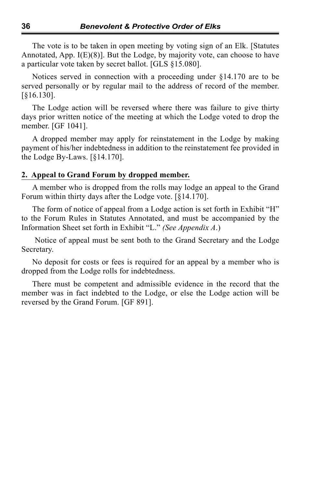The vote is to be taken in open meeting by voting sign of an Elk. [Statutes Annotated, App.  $I(E)(8)$ . But the Lodge, by majority vote, can choose to have a particular vote taken by secret ballot. [GLS §15.080].

Notices served in connection with a proceeding under §14.170 are to be served personally or by regular mail to the address of record of the member. [§16.130].

The Lodge action will be reversed where there was failure to give thirty days prior written notice of the meeting at which the Lodge voted to drop the member. [GF 1041].

A dropped member may apply for reinstatement in the Lodge by making payment of his/her indebtedness in addition to the reinstatement fee provided in the Lodge By-Laws. [§14.170].

#### **2. Appeal to Grand Forum by dropped member.**

A member who is dropped from the rolls may lodge an appeal to the Grand Forum within thirty days after the Lodge vote. [§14.170].

The form of notice of appeal from a Lodge action is set forth in Exhibit "H" to the Forum Rules in Statutes Annotated, and must be accompanied by the Information Sheet set forth in Exhibit "L." *(See Appendix A*.)

 Notice of appeal must be sent both to the Grand Secretary and the Lodge Secretary.

No deposit for costs or fees is required for an appeal by a member who is dropped from the Lodge rolls for indebtedness.

There must be competent and admissible evidence in the record that the member was in fact indebted to the Lodge, or else the Lodge action will be reversed by the Grand Forum. [GF 891].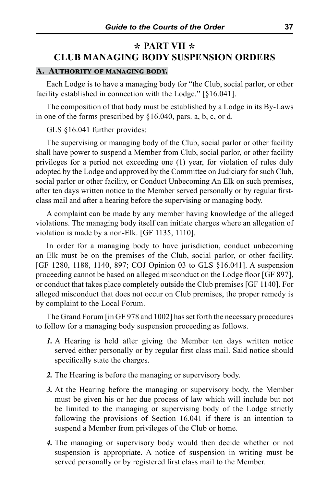# **\* PART VII \* CLUB MANAGING BODY SUSPENSION ORDERS**

#### **A. Authority of managing body.**

Each Lodge is to have a managing body for "the Club, social parlor, or other facility established in connection with the Lodge." [§16.041].

The composition of that body must be established by a Lodge in its By-Laws in one of the forms prescribed by §16.040, pars. a, b, c, or d.

GLS §16.041 further provides:

The supervising or managing body of the Club, social parlor or other facility shall have power to suspend a Member from Club, social parlor, or other facility privileges for a period not exceeding one (1) year, for violation of rules duly adopted by the Lodge and approved by the Committee on Judiciary for such Club, social parlor or other facility, or Conduct Unbecoming An Elk on such premises, after ten days written notice to the Member served personally or by regular firstclass mail and after a hearing before the supervising or managing body.

A complaint can be made by any member having knowledge of the alleged violations. The managing body itself can initiate charges where an allegation of violation is made by a non-Elk. [GF 1135, 1110].

In order for a managing body to have jurisdiction, conduct unbecoming an Elk must be on the premises of the Club, social parlor, or other facility. [GF 1280, 1188, 1140, 897; COJ Opinion 03 to GLS §16.041]. A suspension proceeding cannot be based on alleged misconduct on the Lodge floor [GF 897], or conduct that takes place completely outside the Club premises [GF 1140]. For alleged misconduct that does not occur on Club premises, the proper remedy is by complaint to the Local Forum.

The Grand Forum [in GF 978 and 1002] has set forth the necessary procedures to follow for a managing body suspension proceeding as follows.

- *1.* A Hearing is held after giving the Member ten days written notice served either personally or by regular first class mail. Said notice should specifically state the charges.
- *2.* The Hearing is before the managing or supervisory body.
- *3.* At the Hearing before the managing or supervisory body, the Member must be given his or her due process of law which will include but not be limited to the managing or supervising body of the Lodge strictly following the provisions of Section 16.041 if there is an intention to suspend a Member from privileges of the Club or home.
- *4.* The managing or supervisory body would then decide whether or not suspension is appropriate. A notice of suspension in writing must be served personally or by registered first class mail to the Member.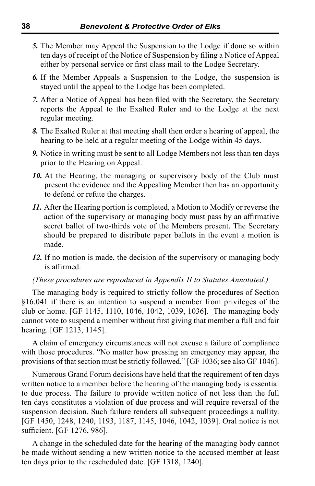- *5.* The Member may Appeal the Suspension to the Lodge if done so within ten days of receipt of the Notice of Suspension by filing a Notice of Appeal either by personal service or first class mail to the Lodge Secretary.
- *6.* If the Member Appeals a Suspension to the Lodge, the suspension is stayed until the appeal to the Lodge has been completed.
- *7.* After a Notice of Appeal has been filed with the Secretary, the Secretary reports the Appeal to the Exalted Ruler and to the Lodge at the next regular meeting.
- *8.* The Exalted Ruler at that meeting shall then order a hearing of appeal, the hearing to be held at a regular meeting of the Lodge within 45 days.
- *9.* Notice in writing must be sent to all Lodge Members not less than ten days prior to the Hearing on Appeal.
- 10. At the Hearing, the managing or supervisory body of the Club must present the evidence and the Appealing Member then has an opportunity to defend or refute the charges.
- *11.* After the Hearing portion is completed, a Motion to Modify or reverse the action of the supervisory or managing body must pass by an affirmative secret ballot of two-thirds vote of the Members present. The Secretary should be prepared to distribute paper ballots in the event a motion is made.
- *12.* If no motion is made, the decision of the supervisory or managing body is affirmed.

#### *(These procedures are reproduced in Appendix II to Statutes Annotated.)*

The managing body is required to strictly follow the procedures of Section §16.041 if there is an intention to suspend a member from privileges of the club or home. [GF 1145, 1110, 1046, 1042, 1039, 1036]. The managing body cannot vote to suspend a member without first giving that member a full and fair hearing. [GF 1213, 1145].

A claim of emergency circumstances will not excuse a failure of compliance with those procedures. "No matter how pressing an emergency may appear, the provisions of that section must be strictly followed." [GF 1036; see also GF 1046].

Numerous Grand Forum decisions have held that the requirement of ten days written notice to a member before the hearing of the managing body is essential to due process. The failure to provide written notice of not less than the full ten days constitutes a violation of due process and will require reversal of the suspension decision. Such failure renders all subsequent proceedings a nullity. [GF 1450, 1248, 1240, 1193, 1187, 1145, 1046, 1042, 1039]. Oral notice is not sufficient. [GF 1276, 986].

A change in the scheduled date for the hearing of the managing body cannot be made without sending a new written notice to the accused member at least ten days prior to the rescheduled date. [GF 1318, 1240].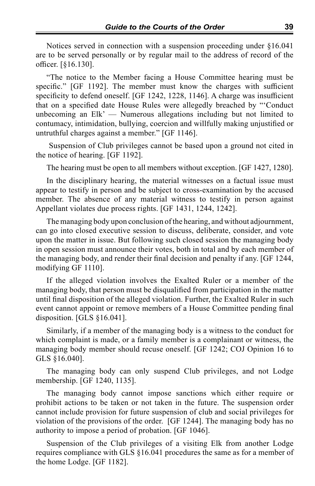Notices served in connection with a suspension proceeding under §16.041 are to be served personally or by regular mail to the address of record of the officer. [§16.130].

"The notice to the Member facing a House Committee hearing must be specific." [GF 1192]. The member must know the charges with sufficient specificity to defend oneself. [GF 1242, 1228, 1146]. A charge was insufficient that on a specified date House Rules were allegedly breached by "'Conduct unbecoming an Elk' — Numerous allegations including but not limited to contumacy, intimidation, bullying, coercion and willfully making unjustified or untruthful charges against a member." [GF 1146].

 Suspension of Club privileges cannot be based upon a ground not cited in the notice of hearing. [GF 1192].

The hearing must be open to all members without exception. [GF 1427, 1280].

In the disciplinary hearing, the material witnesses on a factual issue must appear to testify in person and be subject to cross-examination by the accused member. The absence of any material witness to testify in person against Appellant violates due process rights. [GF 1431, 1244, 1242].

The managing body upon conclusion of the hearing, and without adjournment, can go into closed executive session to discuss, deliberate, consider, and vote upon the matter in issue. But following such closed session the managing body in open session must announce their votes, both in total and by each member of the managing body, and render their final decision and penalty if any. [GF 1244, modifying GF 1110].

If the alleged violation involves the Exalted Ruler or a member of the managing body, that person must be disqualified from participation in the matter until final disposition of the alleged violation. Further, the Exalted Ruler in such event cannot appoint or remove members of a House Committee pending final disposition. [GLS §16.041].

Similarly, if a member of the managing body is a witness to the conduct for which complaint is made, or a family member is a complainant or witness, the managing body member should recuse oneself. [GF 1242; COJ Opinion 16 to GLS §16.040].

The managing body can only suspend Club privileges, and not Lodge membership. [GF 1240, 1135].

The managing body cannot impose sanctions which either require or prohibit actions to be taken or not taken in the future. The suspension order cannot include provision for future suspension of club and social privileges for violation of the provisions of the order. [GF 1244]. The managing body has no authority to impose a period of probation. [GF 1046].

Suspension of the Club privileges of a visiting Elk from another Lodge requires compliance with GLS §16.041 procedures the same as for a member of the home Lodge. [GF 1182].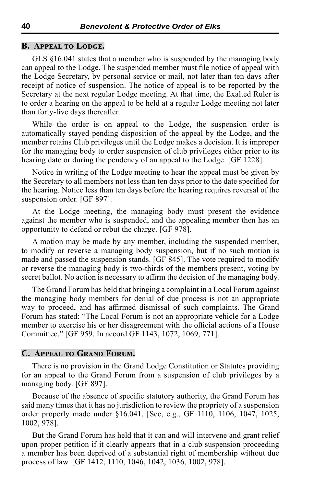#### **B. Appeal to Lodge.**

GLS §16.041 states that a member who is suspended by the managing body can appeal to the Lodge. The suspended member must file notice of appeal with the Lodge Secretary, by personal service or mail, not later than ten days after receipt of notice of suspension. The notice of appeal is to be reported by the Secretary at the next regular Lodge meeting. At that time, the Exalted Ruler is to order a hearing on the appeal to be held at a regular Lodge meeting not later than forty-five days thereafter.

While the order is on appeal to the Lodge, the suspension order is automatically stayed pending disposition of the appeal by the Lodge, and the member retains Club privileges until the Lodge makes a decision. It is improper for the managing body to order suspension of club privileges either prior to its hearing date or during the pendency of an appeal to the Lodge. [GF 1228].

Notice in writing of the Lodge meeting to hear the appeal must be given by the Secretary to all members not less than ten days prior to the date specified for the hearing. Notice less than ten days before the hearing requires reversal of the suspension order. [GF 897].

At the Lodge meeting, the managing body must present the evidence against the member who is suspended, and the appealing member then has an opportunity to defend or rebut the charge. [GF 978].

A motion may be made by any member, including the suspended member, to modify or reverse a managing body suspension, but if no such motion is made and passed the suspension stands. [GF 845]. The vote required to modify or reverse the managing body is two-thirds of the members present, voting by secret ballot. No action is necessary to affirm the decision of the managing body.

The Grand Forum has held that bringing a complaint in a Local Forum against the managing body members for denial of due process is not an appropriate way to proceed, and has affirmed dismissal of such complaints. The Grand Forum has stated: "The Local Forum is not an appropriate vehicle for a Lodge member to exercise his or her disagreement with the official actions of a House Committee." [GF 959. In accord GF 1143, 1072, 1069, 771].

#### **C. Appeal to Grand Forum.**

There is no provision in the Grand Lodge Constitution or Statutes providing for an appeal to the Grand Forum from a suspension of club privileges by a managing body. [GF 897].

Because of the absence of specific statutory authority, the Grand Forum has said many times that it has no jurisdiction to review the propriety of a suspension order properly made under §16.041. [See, e.g., GF 1110, 1106, 1047, 1025, 1002, 978].

But the Grand Forum has held that it can and will intervene and grant relief upon proper petition if it clearly appears that in a club suspension proceeding a member has been deprived of a substantial right of membership without due process of law. [GF 1412, 1110, 1046, 1042, 1036, 1002, 978].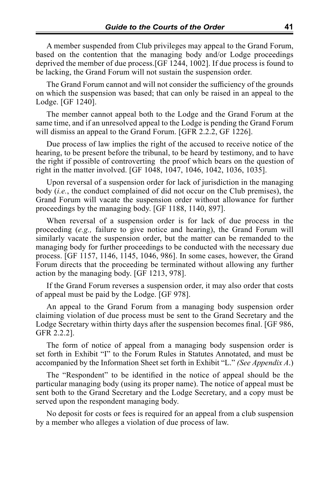A member suspended from Club privileges may appeal to the Grand Forum, based on the contention that the managing body and/or Lodge proceedings deprived the member of due process.[GF 1244, 1002]. If due process is found to be lacking, the Grand Forum will not sustain the suspension order.

The Grand Forum cannot and will not consider the sufficiency of the grounds on which the suspension was based; that can only be raised in an appeal to the Lodge. [GF 1240].

The member cannot appeal both to the Lodge and the Grand Forum at the same time, and if an unresolved appeal to the Lodge is pending the Grand Forum will dismiss an appeal to the Grand Forum. [GFR 2.2.2, GF 1226].

Due process of law implies the right of the accused to receive notice of the hearing, to be present before the tribunal, to be heard by testimony, and to have the right if possible of controverting the proof which bears on the question of right in the matter involved. [GF 1048, 1047, 1046, 1042, 1036, 1035].

Upon reversal of a suspension order for lack of jurisdiction in the managing body (*i.e.*, the conduct complained of did not occur on the Club premises), the Grand Forum will vacate the suspension order without allowance for further proceedings by the managing body. [GF 1188, 1140, 897].

When reversal of a suspension order is for lack of due process in the proceeding (*e.g.,* failure to give notice and hearing), the Grand Forum will similarly vacate the suspension order, but the matter can be remanded to the managing body for further proceedings to be conducted with the necessary due process. [GF 1157, 1146, 1145, 1046, 986]. In some cases, however, the Grand Forum directs that the proceeding be terminated without allowing any further action by the managing body. [GF 1213, 978].

If the Grand Forum reverses a suspension order, it may also order that costs of appeal must be paid by the Lodge. [GF 978].

An appeal to the Grand Forum from a managing body suspension order claiming violation of due process must be sent to the Grand Secretary and the Lodge Secretary within thirty days after the suspension becomes final. [GF 986, GFR 2.2.2].

The form of notice of appeal from a managing body suspension order is set forth in Exhibit "I" to the Forum Rules in Statutes Annotated, and must be accompanied by the Information Sheet set forth in Exhibit "L." *(See Appendix A*.)

The "Respondent" to be identified in the notice of appeal should be the particular managing body (using its proper name). The notice of appeal must be sent both to the Grand Secretary and the Lodge Secretary, and a copy must be served upon the respondent managing body.

No deposit for costs or fees is required for an appeal from a club suspension by a member who alleges a violation of due process of law.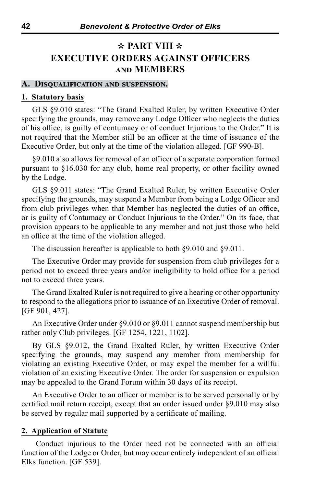# **\* PART VIII \* EXECUTIVE ORDERS AGAINST OFFICERS and MEMBERS**

#### **A. Disqualification and suspension.**

#### **1. Statutory basis**

GLS §9.010 states: "The Grand Exalted Ruler, by written Executive Order specifying the grounds, may remove any Lodge Officer who neglects the duties of his office, is guilty of contumacy or of conduct Injurious to the Order." It is not required that the Member still be an officer at the time of issuance of the Executive Order, but only at the time of the violation alleged. [GF 990-B].

§9.010 also allows for removal of an officer of a separate corporation formed pursuant to §16.030 for any club, home real property, or other facility owned by the Lodge.

GLS §9.011 states: "The Grand Exalted Ruler, by written Executive Order specifying the grounds, may suspend a Member from being a Lodge Officer and from club privileges when that Member has neglected the duties of an office, or is guilty of Contumacy or Conduct Injurious to the Order." On its face, that provision appears to be applicable to any member and not just those who held an office at the time of the violation alleged.

The discussion hereafter is applicable to both §9.010 and §9.011.

The Executive Order may provide for suspension from club privileges for a period not to exceed three years and/or ineligibility to hold office for a period not to exceed three years.

The Grand Exalted Ruler is not required to give a hearing or other opportunity to respond to the allegations prior to issuance of an Executive Order of removal. [GF 901, 427].

An Executive Order under §9.010 or §9.011 cannot suspend membership but rather only Club privileges. [GF 1254, 1221, 1102].

By GLS §9.012, the Grand Exalted Ruler, by written Executive Order specifying the grounds, may suspend any member from membership for violating an existing Executive Order, or may expel the member for a willful violation of an existing Executive Order. The order for suspension or expulsion may be appealed to the Grand Forum within 30 days of its receipt.

An Executive Order to an officer or member is to be served personally or by certified mail return receipt, except that an order issued under §9.010 may also be served by regular mail supported by a certificate of mailing.

#### **2. Application of Statute**

 Conduct injurious to the Order need not be connected with an official function of the Lodge or Order, but may occur entirely independent of an official Elks function. [GF 539].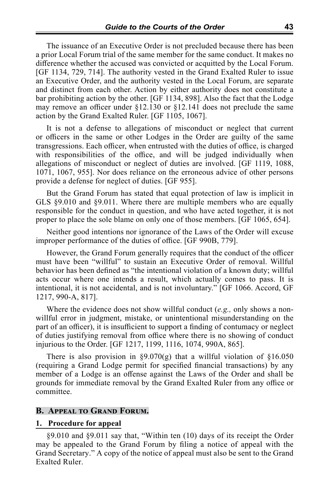The issuance of an Executive Order is not precluded because there has been a prior Local Forum trial of the same member for the same conduct. It makes no difference whether the accused was convicted or acquitted by the Local Forum. [GF 1134, 729, 714]. The authority vested in the Grand Exalted Ruler to issue an Executive Order, and the authority vested in the Local Forum, are separate and distinct from each other. Action by either authority does not constitute a bar prohibiting action by the other. [GF 1134, 898]. Also the fact that the Lodge may remove an officer under  $\S12.130$  or  $\S12.141$  does not preclude the same action by the Grand Exalted Ruler. [GF 1105, 1067].

It is not a defense to allegations of misconduct or neglect that current or officers in the same or other Lodges in the Order are guilty of the same transgressions. Each officer, when entrusted with the duties of office, is charged with responsibilities of the office, and will be judged individually when allegations of misconduct or neglect of duties are involved. [GF 1119, 1088, 1071, 1067, 955]. Nor does reliance on the erroneous advice of other persons provide a defense for neglect of duties. [GF 955].

But the Grand Forum has stated that equal protection of law is implicit in GLS §9.010 and §9.011. Where there are multiple members who are equally responsible for the conduct in question, and who have acted together, it is not proper to place the sole blame on only one of those members. [GF 1065, 654].

Neither good intentions nor ignorance of the Laws of the Order will excuse improper performance of the duties of office. [GF 990B, 779].

However, the Grand Forum generally requires that the conduct of the officer must have been "willful" to sustain an Executive Order of removal. Willful behavior has been defined as "the intentional violation of a known duty; willful acts occur where one intends a result, which actually comes to pass. It is intentional, it is not accidental, and is not involuntary." [GF 1066. Accord, GF 1217, 990-A, 817].

Where the evidence does not show willful conduct (*e.g.,* only shows a nonwillful error in judgment, mistake, or unintentional misunderstanding on the part of an officer), it is insufficient to support a finding of contumacy or neglect of duties justifying removal from office where there is no showing of conduct injurious to the Order. [GF 1217, 1199, 1116, 1074, 990A, 865].

There is also provision in §9.070(g) that a willful violation of §16.050 (requiring a Grand Lodge permit for specified financial transactions) by any member of a Lodge is an offense against the Laws of the Order and shall be grounds for immediate removal by the Grand Exalted Ruler from any office or committee.

#### **B. Appeal to Grand Forum.**

#### **1. Procedure for appeal**

§9.010 and §9.011 say that, "Within ten (10) days of its receipt the Order may be appealed to the Grand Forum by filing a notice of appeal with the Grand Secretary." A copy of the notice of appeal must also be sent to the Grand Exalted Ruler.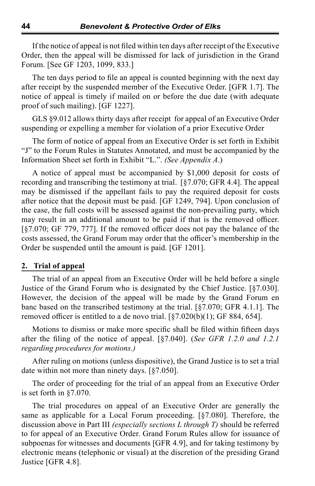If the notice of appeal is not filed within ten days after receipt of the Executive Order, then the appeal will be dismissed for lack of jurisdiction in the Grand Forum. [See GF 1203, 1099, 833.]

The ten days period to file an appeal is counted beginning with the next day after receipt by the suspended member of the Executive Order. [GFR 1.7]. The notice of appeal is timely if mailed on or before the due date (with adequate proof of such mailing). [GF 1227].

GLS §9.012 allows thirty days after receipt for appeal of an Executive Order suspending or expelling a member for violation of a prior Executive Order

The form of notice of appeal from an Executive Order is set forth in Exhibit "J" to the Forum Rules in Statutes Annotated, and must be accompanied by the Information Sheet set forth in Exhibit "L.". *(See Appendix A*.)

A notice of appeal must be accompanied by \$1,000 deposit for costs of recording and transcribing the testimony at trial. [§7.070; GFR 4.4]. The appeal may be dismissed if the appellant fails to pay the required deposit for costs after notice that the deposit must be paid. [GF 1249, 794]. Upon conclusion of the case, the full costs will be assessed against the non-prevailing party, which may result in an additional amount to be paid if that is the removed officer. [§7.070; GF 779, 777]. If the removed officer does not pay the balance of the costs assessed, the Grand Forum may order that the officer's membership in the Order be suspended until the amount is paid. [GF 1201].

#### **2. Trial of appeal**

The trial of an appeal from an Executive Order will be held before a single Justice of the Grand Forum who is designated by the Chief Justice. [§7.030]. However, the decision of the appeal will be made by the Grand Forum en banc based on the transcribed testimony at the trial. [§7.070; GFR 4.1.1]. The removed officer is entitled to a de novo trial.  $\lceil \frac{6}{57.020(b)(1)}$ ; GF 884, 654].

Motions to dismiss or make more specific shall be filed within fifteen days after the filing of the notice of appeal. [§7.040]. (*See GFR 1.2.0 and 1.2.1 regarding procedures for motions.)*

After ruling on motions (unless dispositive), the Grand Justice is to set a trial date within not more than ninety days. [§7.050].

The order of proceeding for the trial of an appeal from an Executive Order is set forth in §7.070.

The trial procedures on appeal of an Executive Order are generally the same as applicable for a Local Forum proceeding. [§7.080]. Therefore, the discussion above in Part III *(especially sections L through T)* should be referred to for appeal of an Executive Order. Grand Forum Rules allow for issuance of subpoenas for witnesses and documents [GFR 4.9], and for taking testimony by electronic means (telephonic or visual) at the discretion of the presiding Grand Justice [GFR 4.8].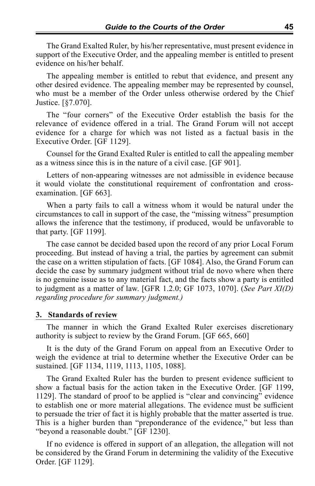The Grand Exalted Ruler, by his/her representative, must present evidence in support of the Executive Order, and the appealing member is entitled to present evidence on his/her behalf.

The appealing member is entitled to rebut that evidence, and present any other desired evidence. The appealing member may be represented by counsel, who must be a member of the Order unless otherwise ordered by the Chief Justice. [§7.070].

The "four corners" of the Executive Order establish the basis for the relevance of evidence offered in a trial. The Grand Forum will not accept evidence for a charge for which was not listed as a factual basis in the Executive Order. [GF 1129].

Counsel for the Grand Exalted Ruler is entitled to call the appealing member as a witness since this is in the nature of a civil case. [GF 901].

Letters of non-appearing witnesses are not admissible in evidence because it would violate the constitutional requirement of confrontation and crossexamination. [GF 663].

When a party fails to call a witness whom it would be natural under the circumstances to call in support of the case, the "missing witness" presumption allows the inference that the testimony, if produced, would be unfavorable to that party. [GF 1199].

The case cannot be decided based upon the record of any prior Local Forum proceeding. But instead of having a trial, the parties by agreement can submit the case on a written stipulation of facts. [GF 1084]. Also, the Grand Forum can decide the case by summary judgment without trial de novo where when there is no genuine issue as to any material fact, and the facts show a party is entitled to judgment as a matter of law. [GFR 1.2.0; GF 1073, 1070]. (*See Part XI(D) regarding procedure for summary judgment.)*

#### **3. Standards of review**

The manner in which the Grand Exalted Ruler exercises discretionary authority is subject to review by the Grand Forum. [GF 665, 660]

It is the duty of the Grand Forum on appeal from an Executive Order to weigh the evidence at trial to determine whether the Executive Order can be sustained. [GF 1134, 1119, 1113, 1105, 1088].

The Grand Exalted Ruler has the burden to present evidence sufficient to show a factual basis for the action taken in the Executive Order. [GF 1199, 1129]. The standard of proof to be applied is "clear and convincing" evidence to establish one or more material allegations. The evidence must be sufficient to persuade the trier of fact it is highly probable that the matter asserted is true. This is a higher burden than "preponderance of the evidence," but less than "beyond a reasonable doubt." [GF 1230].

If no evidence is offered in support of an allegation, the allegation will not be considered by the Grand Forum in determining the validity of the Executive Order. [GF 1129].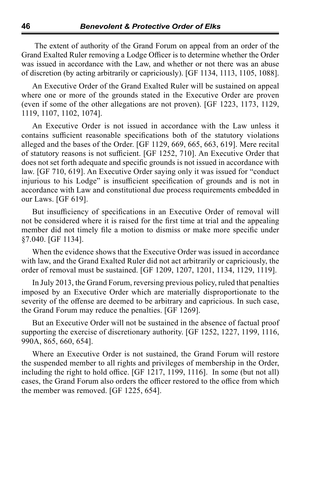The extent of authority of the Grand Forum on appeal from an order of the Grand Exalted Ruler removing a Lodge Officer is to determine whether the Order was issued in accordance with the Law, and whether or not there was an abuse of discretion (by acting arbitrarily or capriciously). [GF 1134, 1113, 1105, 1088].

An Executive Order of the Grand Exalted Ruler will be sustained on appeal where one or more of the grounds stated in the Executive Order are proven (even if some of the other allegations are not proven). [GF 1223, 1173, 1129, 1119, 1107, 1102, 1074].

An Executive Order is not issued in accordance with the Law unless it contains sufficient reasonable specifications both of the statutory violations alleged and the bases of the Order. [GF 1129, 669, 665, 663, 619]. Mere recital of statutory reasons is not sufficient. [GF 1252, 710]. An Executive Order that does not set forth adequate and specific grounds is not issued in accordance with law. [GF 710, 619]. An Executive Order saying only it was issued for "conduct injurious to his Lodge" is insufficient specification of grounds and is not in accordance with Law and constitutional due process requirements embedded in our Laws. [GF 619].

But insufficiency of specifications in an Executive Order of removal will not be considered where it is raised for the first time at trial and the appealing member did not timely file a motion to dismiss or make more specific under §7.040. [GF 1134].

When the evidence shows that the Executive Order was issued in accordance with law, and the Grand Exalted Ruler did not act arbitrarily or capriciously, the order of removal must be sustained. [GF 1209, 1207, 1201, 1134, 1129, 1119].

In July 2013, the Grand Forum, reversing previous policy, ruled that penalties imposed by an Executive Order which are materially disproportionate to the severity of the offense are deemed to be arbitrary and capricious. In such case, the Grand Forum may reduce the penalties. [GF 1269].

But an Executive Order will not be sustained in the absence of factual proof supporting the exercise of discretionary authority. [GF 1252, 1227, 1199, 1116, 990A, 865, 660, 654].

Where an Executive Order is not sustained, the Grand Forum will restore the suspended member to all rights and privileges of membership in the Order, including the right to hold office. [GF 1217, 1199, 1116]. In some (but not all) cases, the Grand Forum also orders the officer restored to the office from which the member was removed. [GF 1225, 654].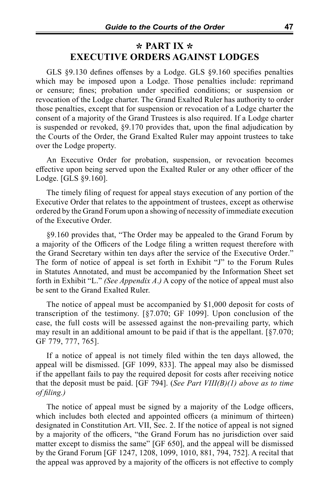## **\* PART IX \* EXECUTIVE ORDERS AGAINST LODGES**

GLS §9.130 defines offenses by a Lodge. GLS §9.160 specifies penalties which may be imposed upon a Lodge. Those penalties include: reprimand or censure; fines; probation under specified conditions; or suspension or revocation of the Lodge charter. The Grand Exalted Ruler has authority to order those penalties, except that for suspension or revocation of a Lodge charter the consent of a majority of the Grand Trustees is also required. If a Lodge charter is suspended or revoked, §9.170 provides that, upon the final adjudication by the Courts of the Order, the Grand Exalted Ruler may appoint trustees to take over the Lodge property.

An Executive Order for probation, suspension, or revocation becomes effective upon being served upon the Exalted Ruler or any other officer of the Lodge. [GLS §9.160].

The timely filing of request for appeal stays execution of any portion of the Executive Order that relates to the appointment of trustees, except as otherwise ordered by the Grand Forum upon a showing of necessity of immediate execution of the Executive Order.

§9.160 provides that, "The Order may be appealed to the Grand Forum by a majority of the Officers of the Lodge filing a written request therefore with the Grand Secretary within ten days after the service of the Executive Order." The form of notice of appeal is set forth in Exhibit "J" to the Forum Rules in Statutes Annotated, and must be accompanied by the Information Sheet set forth in Exhibit "L." *(See Appendix A*.*)* A copy of the notice of appeal must also be sent to the Grand Exalted Ruler.

The notice of appeal must be accompanied by \$1,000 deposit for costs of transcription of the testimony. [§7.070; GF 1099]. Upon conclusion of the case, the full costs will be assessed against the non-prevailing party, which may result in an additional amount to be paid if that is the appellant. [§7.070; GF 779, 777, 765].

If a notice of appeal is not timely filed within the ten days allowed, the appeal will be dismissed. [GF 1099, 833]. The appeal may also be dismissed if the appellant fails to pay the required deposit for costs after receiving notice that the deposit must be paid. [GF 794]. (*See Part VIII(B)(1) above as to time of filing.)*

The notice of appeal must be signed by a majority of the Lodge officers, which includes both elected and appointed officers (a minimum of thirteen) designated in Constitution Art. VII, Sec. 2. If the notice of appeal is not signed by a majority of the officers, "the Grand Forum has no jurisdiction over said matter except to dismiss the same" [GF 650], and the appeal will be dismissed by the Grand Forum [GF 1247, 1208, 1099, 1010, 881, 794, 752]. A recital that the appeal was approved by a majority of the officers is not effective to comply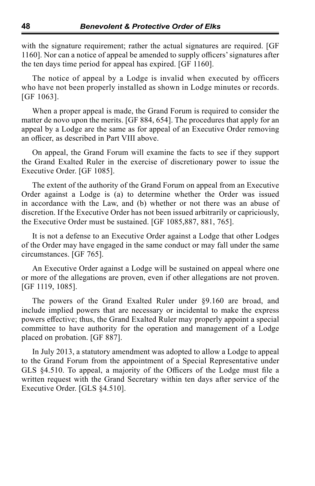with the signature requirement; rather the actual signatures are required. [GF 1160]. Nor can a notice of appeal be amended to supply officers' signatures after the ten days time period for appeal has expired. [GF 1160].

The notice of appeal by a Lodge is invalid when executed by officers who have not been properly installed as shown in Lodge minutes or records. [GF 1063].

When a proper appeal is made, the Grand Forum is required to consider the matter de novo upon the merits. [GF 884, 654]. The procedures that apply for an appeal by a Lodge are the same as for appeal of an Executive Order removing an officer, as described in Part VIII above.

On appeal, the Grand Forum will examine the facts to see if they support the Grand Exalted Ruler in the exercise of discretionary power to issue the Executive Order. [GF 1085].

The extent of the authority of the Grand Forum on appeal from an Executive Order against a Lodge is (a) to determine whether the Order was issued in accordance with the Law, and (b) whether or not there was an abuse of discretion. If the Executive Order has not been issued arbitrarily or capriciously, the Executive Order must be sustained. [GF 1085,887, 881, 765].

It is not a defense to an Executive Order against a Lodge that other Lodges of the Order may have engaged in the same conduct or may fall under the same circumstances. [GF 765].

An Executive Order against a Lodge will be sustained on appeal where one or more of the allegations are proven, even if other allegations are not proven. [GF 1119, 1085].

The powers of the Grand Exalted Ruler under §9.160 are broad, and include implied powers that are necessary or incidental to make the express powers effective; thus, the Grand Exalted Ruler may properly appoint a special committee to have authority for the operation and management of a Lodge placed on probation. [GF 887].

In July 2013, a statutory amendment was adopted to allow a Lodge to appeal to the Grand Forum from the appointment of a Special Representative under GLS §4.510. To appeal, a majority of the Officers of the Lodge must file a written request with the Grand Secretary within ten days after service of the Executive Order. [GLS §4.510].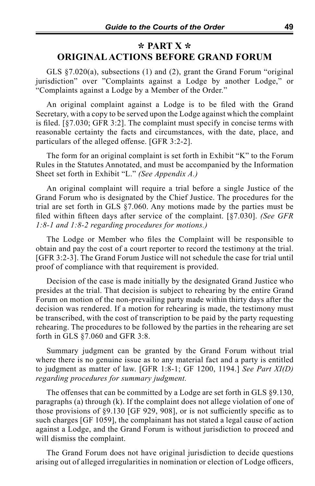## **\* PART X \* ORIGINAL ACTIONS BEFORE GRAND FORUM**

GLS §7.020(a), subsections (1) and (2), grant the Grand Forum "original jurisdiction" over "Complaints against a Lodge by another Lodge," or "Complaints against a Lodge by a Member of the Order."

An original complaint against a Lodge is to be filed with the Grand Secretary, with a copy to be served upon the Lodge against which the complaint is filed. [§7.030; GFR 3:2]. The complaint must specify in concise terms with reasonable certainty the facts and circumstances, with the date, place, and particulars of the alleged offense. [GFR 3:2-2].

The form for an original complaint is set forth in Exhibit "K" to the Forum Rules in the Statutes Annotated, and must be accompanied by the Information Sheet set forth in Exhibit "L." *(See Appendix A.)*

An original complaint will require a trial before a single Justice of the Grand Forum who is designated by the Chief Justice. The procedures for the trial are set forth in GLS §7.060. Any motions made by the parties must be filed within fifteen days after service of the complaint. [§7.030]. *(See GFR 1:8-1 and 1:8-2 regarding procedures for motions.)*

The Lodge or Member who files the Complaint will be responsible to obtain and pay the cost of a court reporter to record the testimony at the trial. [GFR 3:2-3]. The Grand Forum Justice will not schedule the case for trial until proof of compliance with that requirement is provided.

Decision of the case is made initially by the designated Grand Justice who presides at the trial. That decision is subject to rehearing by the entire Grand Forum on motion of the non-prevailing party made within thirty days after the decision was rendered. If a motion for rehearing is made, the testimony must be transcribed, with the cost of transcription to be paid by the party requesting rehearing. The procedures to be followed by the parties in the rehearing are set forth in GLS §7.060 and GFR 3:8.

Summary judgment can be granted by the Grand Forum without trial where there is no genuine issue as to any material fact and a party is entitled to judgment as matter of law. [GFR 1:8-1; GF 1200, 1194.] *See Part XI(D) regarding procedures for summary judgment.*

The offenses that can be committed by a Lodge are set forth in GLS §9.130, paragraphs (a) through (k). If the complaint does not allege violation of one of those provisions of §9.130 [GF 929, 908], or is not sufficiently specific as to such charges [GF 1059], the complainant has not stated a legal cause of action against a Lodge, and the Grand Forum is without jurisdiction to proceed and will dismiss the complaint.

The Grand Forum does not have original jurisdiction to decide questions arising out of alleged irregularities in nomination or election of Lodge officers,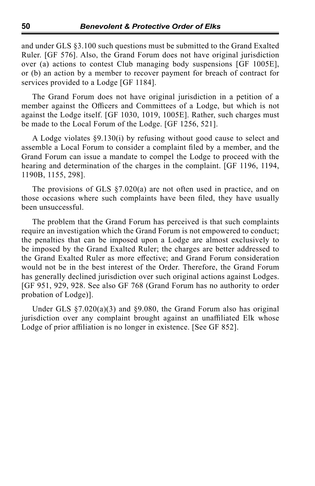and under GLS §3.100 such questions must be submitted to the Grand Exalted Ruler. [GF 576]. Also, the Grand Forum does not have original jurisdiction over (a) actions to contest Club managing body suspensions [GF 1005E], or (b) an action by a member to recover payment for breach of contract for services provided to a Lodge [GF 1184].

The Grand Forum does not have original jurisdiction in a petition of a member against the Officers and Committees of a Lodge, but which is not against the Lodge itself. [GF 1030, 1019, 1005E]. Rather, such charges must be made to the Local Forum of the Lodge. [GF 1256, 521].

A Lodge violates §9.130(i) by refusing without good cause to select and assemble a Local Forum to consider a complaint filed by a member, and the Grand Forum can issue a mandate to compel the Lodge to proceed with the hearing and determination of the charges in the complaint. [GF 1196, 1194, 1190B, 1155, 298].

The provisions of GLS §7.020(a) are not often used in practice, and on those occasions where such complaints have been filed, they have usually been unsuccessful.

The problem that the Grand Forum has perceived is that such complaints require an investigation which the Grand Forum is not empowered to conduct; the penalties that can be imposed upon a Lodge are almost exclusively to be imposed by the Grand Exalted Ruler; the charges are better addressed to the Grand Exalted Ruler as more effective; and Grand Forum consideration would not be in the best interest of the Order. Therefore, the Grand Forum has generally declined jurisdiction over such original actions against Lodges. [GF 951, 929, 928. See also GF 768 (Grand Forum has no authority to order probation of Lodge)].

Under GLS  $\S7.020(a)(3)$  and  $\S9.080$ , the Grand Forum also has original jurisdiction over any complaint brought against an unaffiliated Elk whose Lodge of prior affiliation is no longer in existence. [See GF 852].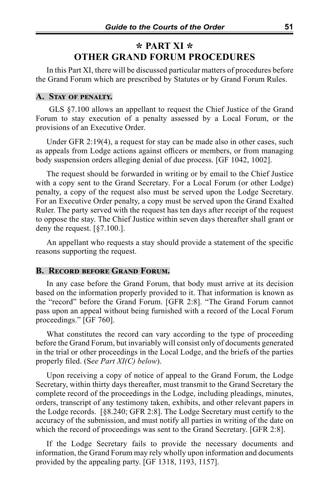## **\* PART XI \* OTHER GRAND FORUM PROCEDURES**

In this Part XI, there will be discussed particular matters of procedures before the Grand Forum which are prescribed by Statutes or by Grand Forum Rules.

#### **A. Stay of penalty.**

 GLS §7.100 allows an appellant to request the Chief Justice of the Grand Forum to stay execution of a penalty assessed by a Local Forum, or the provisions of an Executive Order.

Under GFR 2:19(4), a request for stay can be made also in other cases, such as appeals from Lodge actions against officers or members, or from managing body suspension orders alleging denial of due process. [GF 1042, 1002].

The request should be forwarded in writing or by email to the Chief Justice with a copy sent to the Grand Secretary. For a Local Forum (or other Lodge) penalty, a copy of the request also must be served upon the Lodge Secretary. For an Executive Order penalty, a copy must be served upon the Grand Exalted Ruler. The party served with the request has ten days after receipt of the request to oppose the stay. The Chief Justice within seven days thereafter shall grant or deny the request. [§7.100.].

An appellant who requests a stay should provide a statement of the specific reasons supporting the request.

#### **B. Record before Grand Forum.**

In any case before the Grand Forum, that body must arrive at its decision based on the information properly provided to it. That information is known as the "record" before the Grand Forum. [GFR 2:8]. "The Grand Forum cannot pass upon an appeal without being furnished with a record of the Local Forum proceedings." [GF 760].

What constitutes the record can vary according to the type of proceeding before the Grand Forum, but invariably will consist only of documents generated in the trial or other proceedings in the Local Lodge, and the briefs of the parties properly filed. (S*ee Part XI(C) below*).

Upon receiving a copy of notice of appeal to the Grand Forum, the Lodge Secretary, within thirty days thereafter, must transmit to the Grand Secretary the complete record of the proceedings in the Lodge, including pleadings, minutes, orders, transcript of any testimony taken, exhibits, and other relevant papers in the Lodge records. [§8.240; GFR 2:8]. The Lodge Secretary must certify to the accuracy of the submission, and must notify all parties in writing of the date on which the record of proceedings was sent to the Grand Secretary. [GFR 2:8].

If the Lodge Secretary fails to provide the necessary documents and information, the Grand Forum may rely wholly upon information and documents provided by the appealing party. [GF 1318, 1193, 1157].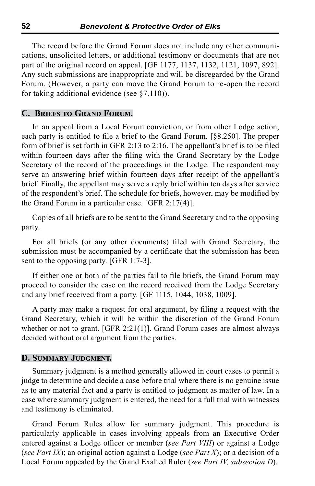The record before the Grand Forum does not include any other communications, unsolicited letters, or additional testimony or documents that are not part of the original record on appeal. [GF 1177, 1137, 1132, 1121, 1097, 892]. Any such submissions are inappropriate and will be disregarded by the Grand Forum. (However, a party can move the Grand Forum to re-open the record for taking additional evidence (see §7.110)).

#### **C. Briefs to Grand Forum.**

In an appeal from a Local Forum conviction, or from other Lodge action, each party is entitled to file a brief to the Grand Forum. [§8.250]. The proper form of brief is set forth in GFR 2:13 to 2:16. The appellant's brief is to be filed within fourteen days after the filing with the Grand Secretary by the Lodge Secretary of the record of the proceedings in the Lodge. The respondent may serve an answering brief within fourteen days after receipt of the appellant's brief. Finally, the appellant may serve a reply brief within ten days after service of the respondent's brief. The schedule for briefs, however, may be modified by the Grand Forum in a particular case. [GFR 2:17(4)].

Copies of all briefs are to be sent to the Grand Secretary and to the opposing party.

For all briefs (or any other documents) filed with Grand Secretary, the submission must be accompanied by a certificate that the submission has been sent to the opposing party. [GFR 1:7-3].

If either one or both of the parties fail to file briefs, the Grand Forum may proceed to consider the case on the record received from the Lodge Secretary and any brief received from a party. [GF 1115, 1044, 1038, 1009].

A party may make a request for oral argument, by filing a request with the Grand Secretary, which it will be within the discretion of the Grand Forum whether or not to grant. [GFR  $2:21(1)$ ]. Grand Forum cases are almost always decided without oral argument from the parties.

#### **D. Summary Judgment.**

Summary judgment is a method generally allowed in court cases to permit a judge to determine and decide a case before trial where there is no genuine issue as to any material fact and a party is entitled to judgment as matter of law. In a case where summary judgment is entered, the need for a full trial with witnesses and testimony is eliminated.

Grand Forum Rules allow for summary judgment. This procedure is particularly applicable in cases involving appeals from an Executive Order entered against a Lodge officer or member (*see Part VIII*) or against a Lodge (*see Part IX*); an original action against a Lodge (*see Part X*); or a decision of a Local Forum appealed by the Grand Exalted Ruler (*see Part IV, subsection D*).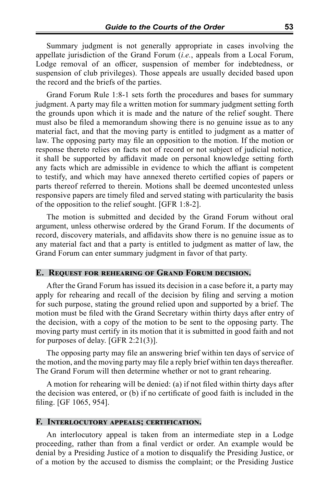Summary judgment is not generally appropriate in cases involving the appellate jurisdiction of the Grand Forum (*i.e.*, appeals from a Local Forum, Lodge removal of an officer, suspension of member for indebtedness, or suspension of club privileges). Those appeals are usually decided based upon the record and the briefs of the parties.

Grand Forum Rule 1:8-1 sets forth the procedures and bases for summary judgment. A party may file a written motion for summary judgment setting forth the grounds upon which it is made and the nature of the relief sought. There must also be filed a memorandum showing there is no genuine issue as to any material fact, and that the moving party is entitled to judgment as a matter of law. The opposing party may file an opposition to the motion. If the motion or response thereto relies on facts not of record or not subject of judicial notice, it shall be supported by affidavit made on personal knowledge setting forth any facts which are admissible in evidence to which the affiant is competent to testify, and which may have annexed thereto certified copies of papers or parts thereof referred to therein. Motions shall be deemed uncontested unless responsive papers are timely filed and served stating with particularity the basis of the opposition to the relief sought. [GFR 1:8-2].

The motion is submitted and decided by the Grand Forum without oral argument, unless otherwise ordered by the Grand Forum. If the documents of record, discovery materials, and affidavits show there is no genuine issue as to any material fact and that a party is entitled to judgment as matter of law, the Grand Forum can enter summary judgment in favor of that party.

#### **E. Request for rehearing of Grand Forum decision.**

After the Grand Forum has issued its decision in a case before it, a party may apply for rehearing and recall of the decision by filing and serving a motion for such purpose, stating the ground relied upon and supported by a brief. The motion must be filed with the Grand Secretary within thirty days after entry of the decision, with a copy of the motion to be sent to the opposing party. The moving party must certify in its motion that it is submitted in good faith and not for purposes of delay. [GFR 2:21(3)].

The opposing party may file an answering brief within ten days of service of the motion, and the moving party may file a reply brief within ten days thereafter. The Grand Forum will then determine whether or not to grant rehearing.

A motion for rehearing will be denied: (a) if not filed within thirty days after the decision was entered, or (b) if no certificate of good faith is included in the filing. [GF 1065, 954].

#### **F. Interlocutory appeals; certification.**

An interlocutory appeal is taken from an intermediate step in a Lodge proceeding, rather than from a final verdict or order. An example would be denial by a Presiding Justice of a motion to disqualify the Presiding Justice, or of a motion by the accused to dismiss the complaint; or the Presiding Justice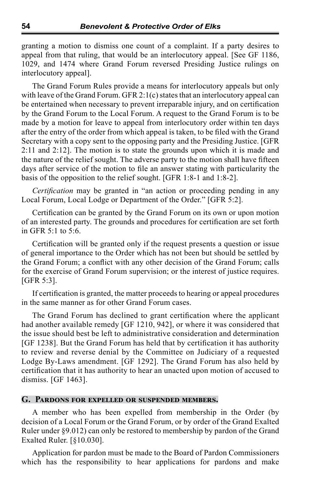granting a motion to dismiss one count of a complaint. If a party desires to appeal from that ruling, that would be an interlocutory appeal. [See GF 1186, 1029, and 1474 where Grand Forum reversed Presiding Justice rulings on interlocutory appeal].

The Grand Forum Rules provide a means for interlocutory appeals but only with leave of the Grand Forum. GFR  $2:1(c)$  states that an interlocutory appeal can be entertained when necessary to prevent irreparable injury, and on certification by the Grand Forum to the Local Forum. A request to the Grand Forum is to be made by a motion for leave to appeal from interlocutory order within ten days after the entry of the order from which appeal is taken, to be filed with the Grand Secretary with a copy sent to the opposing party and the Presiding Justice. [GFR 2:11 and 2:12]. The motion is to state the grounds upon which it is made and the nature of the relief sought. The adverse party to the motion shall have fifteen days after service of the motion to file an answer stating with particularity the basis of the opposition to the relief sought. [GFR 1:8-1 and 1:8-2].

*Certification* may be granted in "an action or proceeding pending in any Local Forum, Local Lodge or Department of the Order." [GFR 5:2].

Certification can be granted by the Grand Forum on its own or upon motion of an interested party. The grounds and procedures for certification are set forth in GFR 5:1 to 5:6.

Certification will be granted only if the request presents a question or issue of general importance to the Order which has not been but should be settled by the Grand Forum; a conflict with any other decision of the Grand Forum; calls for the exercise of Grand Forum supervision; or the interest of justice requires. [GFR 5:3].

If certification is granted, the matter proceeds to hearing or appeal procedures in the same manner as for other Grand Forum cases.

The Grand Forum has declined to grant certification where the applicant had another available remedy [GF 1210, 942], or where it was considered that the issue should best be left to administrative consideration and determination [GF 1238]. But the Grand Forum has held that by certification it has authority to review and reverse denial by the Committee on Judiciary of a requested Lodge By-Laws amendment. [GF 1292]. The Grand Forum has also held by certification that it has authority to hear an unacted upon motion of accused to dismiss. [GF 1463].

#### **G. Pardons for expelled or suspended members.**

A member who has been expelled from membership in the Order (by decision of a Local Forum or the Grand Forum, or by order of the Grand Exalted Ruler under §9.012) can only be restored to membership by pardon of the Grand Exalted Ruler. [§10.030].

Application for pardon must be made to the Board of Pardon Commissioners which has the responsibility to hear applications for pardons and make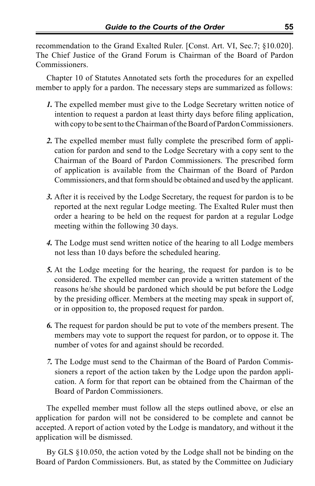recommendation to the Grand Exalted Ruler. [Const. Art. VI, Sec.7; §10.020]. The Chief Justice of the Grand Forum is Chairman of the Board of Pardon Commissioners.

Chapter 10 of Statutes Annotated sets forth the procedures for an expelled member to apply for a pardon. The necessary steps are summarized as follows:

- *1.* The expelled member must give to the Lodge Secretary written notice of intention to request a pardon at least thirty days before filing application, with copy to be sent to the Chairman of the Board of Pardon Commissioners.
- *2.* The expelled member must fully complete the prescribed form of application for pardon and send to the Lodge Secretary with a copy sent to the Chairman of the Board of Pardon Commissioners. The prescribed form of application is available from the Chairman of the Board of Pardon Commissioners, and that form should be obtained and used by the applicant.
- *3.* After it is received by the Lodge Secretary, the request for pardon is to be reported at the next regular Lodge meeting. The Exalted Ruler must then order a hearing to be held on the request for pardon at a regular Lodge meeting within the following 30 days.
- *4.* The Lodge must send written notice of the hearing to all Lodge members not less than 10 days before the scheduled hearing.
- *5.* At the Lodge meeting for the hearing, the request for pardon is to be considered. The expelled member can provide a written statement of the reasons he/she should be pardoned which should be put before the Lodge by the presiding officer. Members at the meeting may speak in support of, or in opposition to, the proposed request for pardon.
- *6.* The request for pardon should be put to vote of the members present. The members may vote to support the request for pardon, or to oppose it. The number of votes for and against should be recorded.
- *7.* The Lodge must send to the Chairman of the Board of Pardon Commissioners a report of the action taken by the Lodge upon the pardon application. A form for that report can be obtained from the Chairman of the Board of Pardon Commissioners.

The expelled member must follow all the steps outlined above, or else an application for pardon will not be considered to be complete and cannot be accepted. A report of action voted by the Lodge is mandatory, and without it the application will be dismissed.

By GLS §10.050, the action voted by the Lodge shall not be binding on the Board of Pardon Commissioners. But, as stated by the Committee on Judiciary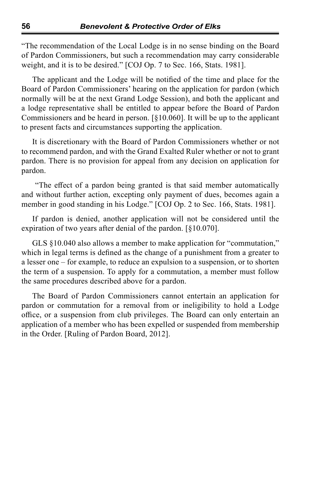"The recommendation of the Local Lodge is in no sense binding on the Board of Pardon Commissioners, but such a recommendation may carry considerable weight, and it is to be desired." [COJ Op. 7 to Sec. 166, Stats. 1981].

The applicant and the Lodge will be notified of the time and place for the Board of Pardon Commissioners' hearing on the application for pardon (which normally will be at the next Grand Lodge Session), and both the applicant and a lodge representative shall be entitled to appear before the Board of Pardon Commissioners and be heard in person. [§10.060]. It will be up to the applicant to present facts and circumstances supporting the application.

It is discretionary with the Board of Pardon Commissioners whether or not to recommend pardon, and with the Grand Exalted Ruler whether or not to grant pardon. There is no provision for appeal from any decision on application for pardon.

 "The effect of a pardon being granted is that said member automatically and without further action, excepting only payment of dues, becomes again a member in good standing in his Lodge." [COJ Op. 2 to Sec. 166, Stats. 1981].

If pardon is denied, another application will not be considered until the expiration of two years after denial of the pardon. [§10.070].

GLS §10.040 also allows a member to make application for "commutation," which in legal terms is defined as the change of a punishment from a greater to a lesser one – for example, to reduce an expulsion to a suspension, or to shorten the term of a suspension. To apply for a commutation, a member must follow the same procedures described above for a pardon.

The Board of Pardon Commissioners cannot entertain an application for pardon or commutation for a removal from or ineligibility to hold a Lodge office, or a suspension from club privileges. The Board can only entertain an application of a member who has been expelled or suspended from membership in the Order. [Ruling of Pardon Board, 2012].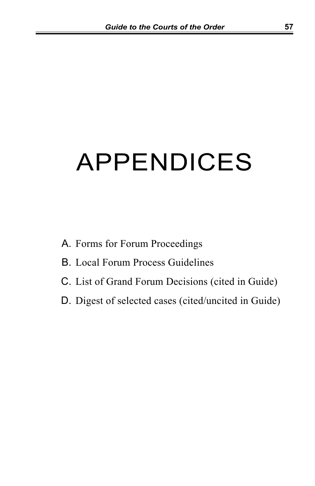# APPENDICES

- A. Forms for Forum Proceedings
- B. Local Forum Process Guidelines
- C. List of Grand Forum Decisions (cited in Guide)
- D. Digest of selected cases (cited/uncited in Guide)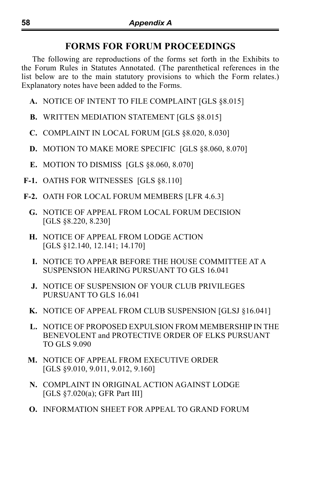# **FORMS FOR FORUM PROCEEDINGS**

The following are reproductions of the forms set forth in the Exhibits to the Forum Rules in Statutes Annotated. (The parenthetical references in the list below are to the main statutory provisions to which the Form relates.) Explanatory notes have been added to the Forms.

- **A.** NOTICE OF INTENT TO FILE COMPLAINT [GLS §8.015]
- **B.** WRITTEN MEDIATION STATEMENT [GLS §8.015]
- **C.** COMPLAINT IN LOCAL FORUM [GLS §8.020, 8.030]
- **D.** MOTION TO MAKE MORE SPECIFIC [GLS §8.060, 8.070]
- **E.** MOTION TO DISMISS [GLS §8.060, 8.070]
- **F-1.** OATHS FOR WITNESSES [GLS §8.110]
- **F-2.** OATH FOR LOCAL FORUM MEMBERS [LFR 4.6.3]
	- **G.** NOTICE OF APPEAL FROM LOCAL FORUM DECISION [GLS §8.220, 8.230]
	- **H.** NOTICE OF APPEAL FROM LODGE ACTION [GLS §12.140, 12.141; 14.170]
	- **I.** NOTICE TO APPEAR BEFORE THE HOUSE COMMITTEE AT A SUSPENSION HEARING PURSUANT TO GLS 16.041
	- **J.** NOTICE OF SUSPENSION OF YOUR CLUB PRIVILEGES PURSUANT TO GLS 16.041
	- **K.** NOTICE OF APPEAL FROM CLUB SUSPENSION [GLSJ §16.041]
	- **L.** NOTICE OF PROPOSED EXPULSION FROM MEMBERSHIP IN THE BENEVOLENT and PROTECTIVE ORDER OF ELKS PURSUANT TO GLS 9.090
	- **M.** NOTICE OF APPEAL FROM EXECUTIVE ORDER [GLS §9.010, 9.011, 9.012, 9.160]
	- **N.** COMPLAINT IN ORIGINAL ACTION AGAINST LODGE [GLS §7.020(a); GFR Part III]
	- **O.** INFORMATION SHEET FOR APPEAL TO GRAND FORUM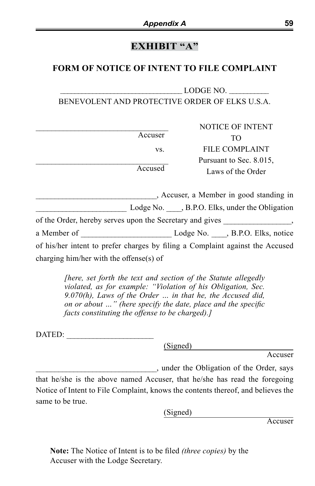# **EXHIBIT "A"**

## **FORM OF NOTICE OF INTENT TO FILE COMPLAINT**

## $\mathop{\rm LODGE}\nolimits$  NO. BENEVOLENT AND PROTECTIVE ORDER OF ELKS U.S.A.

|         | NOTICE OF INTENT                             |
|---------|----------------------------------------------|
| Accuser | TO                                           |
| VS.     | FILE COMPLAINT                               |
| Accused | Pursuant to Sec. 8.015,<br>Laws of the Order |

\_\_\_\_\_\_\_\_\_\_\_\_\_\_\_\_\_\_\_\_\_\_\_\_\_\_\_\_\_\_\_\_, Accuser, a Member in good standing in Lodge No.  $\blacksquare$ , B.P.O. Elks, under the Obligation of the Order, hereby serves upon the Secretary and gives  $\,$ , a Member of \_\_\_\_\_\_\_\_\_\_\_\_\_\_\_\_\_\_\_\_\_\_\_\_\_\_\_\_\_\_\_\_Lodge No. \_\_\_\_, B.P.O. Elks, notice of his/her intent to prefer charges by filing a Complaint against the Accused charging him/her with the offense(s) of

> *[here, set forth the text and section of the Statute allegedly violated, as for example: "Violation of his Obligation, Sec. 9.070(h), Laws of the Order … in that he, the Accused did, on or about …" (here specify the date, place and the specific facts constituting the offense to be charged).]*

DATED:

(Signed)

Accuser

\_\_\_\_\_\_\_\_\_\_\_\_\_\_\_\_\_\_\_\_\_\_\_\_\_\_\_\_\_\_\_\_, under the Obligation of the Order, says

that he/she is the above named Accuser, that he/she has read the foregoing Notice of Intent to File Complaint, knows the contents thereof, and believes the same to be true.

(Signed)

Accuser

**Note:** The Notice of Intent is to be filed *(three copies)* by the Accuser with the Lodge Secretary.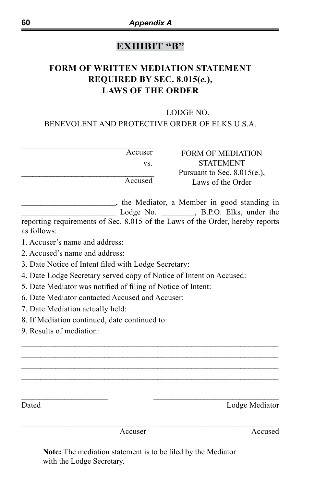# **EXHIBIT "B"**

# **FORM OF WRITTEN MEDIATION STATEMENT REQUIRED BY SEC. 8.015(***e.***), LAWS OF THE ORDER**

## $\text{LODGE NO}.$ BENEVOLENT AND PROTECTIVE ORDER OF ELKS U.S.A.

| Accuser | <b>FORM OF MEDIATION</b>      |
|---------|-------------------------------|
| VS.     | <b>STATEMENT</b>              |
|         | Pursuant to Sec. $8.015(e)$ , |
| Accused | Laws of the Order             |
|         |                               |

\_\_\_\_\_\_\_\_\_\_\_\_\_\_\_\_\_\_\_\_\_\_\_\_\_, the Mediator, a Member in good standing in \_\_\_\_\_\_\_\_\_\_\_\_\_\_\_\_\_\_\_\_\_\_\_\_\_ Lodge No. \_\_\_\_\_\_\_\_\_, B.P.O. Elks, under the reporting requirements of Sec. 8.015 of the Laws of the Order, hereby reports as follows:

 $\mathcal{L}_\mathcal{L} = \mathcal{L}_\mathcal{L} = \mathcal{L}_\mathcal{L} = \mathcal{L}_\mathcal{L} = \mathcal{L}_\mathcal{L} = \mathcal{L}_\mathcal{L} = \mathcal{L}_\mathcal{L} = \mathcal{L}_\mathcal{L} = \mathcal{L}_\mathcal{L} = \mathcal{L}_\mathcal{L} = \mathcal{L}_\mathcal{L} = \mathcal{L}_\mathcal{L} = \mathcal{L}_\mathcal{L} = \mathcal{L}_\mathcal{L} = \mathcal{L}_\mathcal{L} = \mathcal{L}_\mathcal{L} = \mathcal{L}_\mathcal{L}$ \_\_\_\_\_\_\_\_\_\_\_\_\_\_\_\_\_\_\_\_\_\_\_\_\_\_\_\_\_\_\_\_\_\_\_\_\_\_\_\_\_\_\_\_\_\_\_\_\_\_\_\_\_\_\_\_\_\_\_\_\_\_\_\_\_\_\_\_ \_\_\_\_\_\_\_\_\_\_\_\_\_\_\_\_\_\_\_\_\_\_\_\_\_\_\_\_\_\_\_\_\_\_\_\_\_\_\_\_\_\_\_\_\_\_\_\_\_\_\_\_\_\_\_\_\_\_\_\_\_\_\_\_\_\_\_\_  $\mathcal{L}_\mathcal{L} = \mathcal{L}_\mathcal{L} = \mathcal{L}_\mathcal{L} = \mathcal{L}_\mathcal{L} = \mathcal{L}_\mathcal{L} = \mathcal{L}_\mathcal{L} = \mathcal{L}_\mathcal{L} = \mathcal{L}_\mathcal{L} = \mathcal{L}_\mathcal{L} = \mathcal{L}_\mathcal{L} = \mathcal{L}_\mathcal{L} = \mathcal{L}_\mathcal{L} = \mathcal{L}_\mathcal{L} = \mathcal{L}_\mathcal{L} = \mathcal{L}_\mathcal{L} = \mathcal{L}_\mathcal{L} = \mathcal{L}_\mathcal{L}$ 

 $\_$  , and the set of the set of the set of the set of the set of the set of the set of the set of the set of the set of the set of the set of the set of the set of the set of the set of the set of the set of the set of th

1. Accuser's name and address:

2. Accused's name and address:

3. Date Notice of Intent filed with Lodge Secretary:

4. Date Lodge Secretary served copy of Notice of Intent on Accused:

5. Date Mediator was notified of filing of Notice of Intent:

6. Date Mediator contacted Accused and Accuser:

7. Date Mediation actually held:

8. If Mediation continued, date continued to:

9. Results of mediation:

\_\_\_\_\_\_\_\_\_\_\_\_\_\_\_\_\_\_\_\_\_\_\_\_ \_\_\_\_\_\_\_\_\_\_\_\_\_\_\_\_\_\_\_\_\_\_\_\_\_\_\_\_\_\_\_\_\_\_\_ Dated Lodge Mediator

Accuser Accused

**Note:** The mediation statement is to be filed by the Mediator with the Lodge Secretary.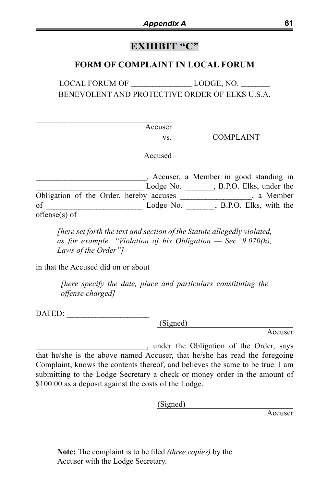## **EXHIBIT "C"**

## **FORM OF COMPLAINT IN LOCAL FORUM**

LOCAL FORUM OF LODGE, NO. BENEVOLENT AND PROTECTIVE ORDER OF ELKS U.S.A.

Accuser

vs. COMPLAINT

Accused

\_\_\_\_\_\_\_\_\_\_\_\_\_\_\_\_\_\_\_\_\_\_\_\_\_\_\_\_\_\_\_, Accuser, a Member in good standing in Lodge No. \_\_\_\_\_\_\_\_, B.P.O. Elks, under the Obligation of the Order, hereby accuses \_\_\_\_\_\_\_\_\_\_\_\_\_\_\_\_\_\_\_\_, a Member of \_\_\_\_\_\_\_\_\_\_\_\_\_\_\_\_\_\_\_\_\_\_\_\_\_\_\_ Lodge No. \_\_\_\_\_\_\_\_, B.P.O. Elks, with the offense(s) of

*[here set forth the text and section of the Statute allegedly violated, as for example: "Violation of his Obligation — Sec. 9.070(h), Laws of the Order"]*

in that the Accused did on or about

 $\mathcal{L}_\text{max}$  and  $\mathcal{L}_\text{max}$  and  $\mathcal{L}_\text{max}$  and  $\mathcal{L}_\text{max}$ 

 $\mathcal{L}_\text{max}$  and  $\mathcal{L}_\text{max}$  and  $\mathcal{L}_\text{max}$  and  $\mathcal{L}_\text{max}$ 

*[here specify the date, place and particulars constituting the offense charged]*

DATED:

(Signed)

Accuser

\_\_\_\_\_\_\_\_\_\_\_\_\_\_\_\_\_\_\_\_\_\_\_\_\_\_\_\_\_\_\_, under the Obligation of the Order, says that he/she is the above named Accuser, that he/she has read the foregoing Complaint, knows the contents thereof, and believes the same to be true. I am submitting to the Lodge Secretary a check or money order in the amount of \$100.00 as a deposit against the costs of the Lodge.

(Signed)

Accuser

**Note:** The complaint is to be filed *(three copies)* by the Accuser with the Lodge Secretary.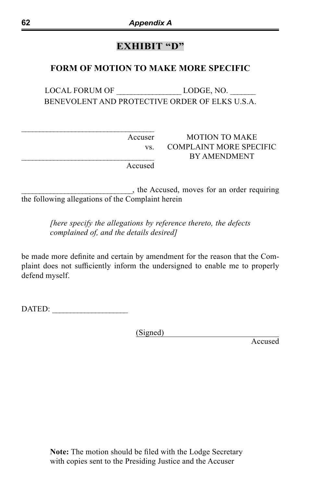# **EXHIBIT "D"**

## **FORM OF MOTION TO MAKE MORE SPECIFIC**

LOCAL FORUM OF LODGE, NO. BENEVOLENT AND PROTECTIVE ORDER OF ELKS U.S.A.

Accuser MOTION TO MAKE vs. COMPLAINT MORE SPECIFIC \_\_\_\_\_\_\_\_\_\_\_\_\_\_\_\_\_\_\_\_\_\_\_\_\_\_\_\_\_\_\_\_\_\_\_\_\_ BY AMENDMENT

Accused

\_\_\_\_\_\_\_\_\_\_\_\_\_\_\_\_\_\_\_\_\_\_\_\_\_\_\_\_\_\_\_, the Accused, moves for an order requiring the following allegations of the Complaint herein

> *[here specify the allegations by reference thereto, the defects complained of, and the details desired]*

be made more definite and certain by amendment for the reason that the Complaint does not sufficiently inform the undersigned to enable me to properly defend myself.

DATED: \_\_\_\_\_\_\_\_\_\_\_\_\_\_\_\_\_\_\_\_\_

 $\mathcal{L}_\text{max}$  , where  $\mathcal{L}_\text{max}$  and  $\mathcal{L}_\text{max}$  and  $\mathcal{L}_\text{max}$ 

(Signed)

Accused

**Note:** The motion should be filed with the Lodge Secretary with copies sent to the Presiding Justice and the Accuser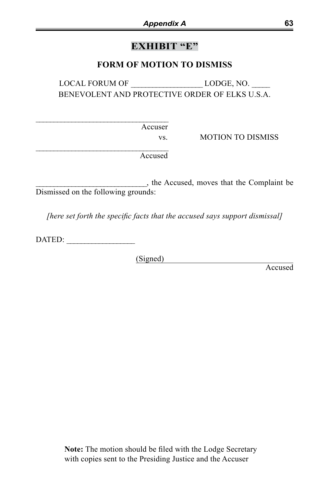# **EXHIBIT "E"**

## **FORM OF MOTION TO DISMISS**

LOCAL FORUM OF LODGE, NO. BENEVOLENT AND PROTECTIVE ORDER OF ELKS U.S.A.

Accuser

vs. MOTION TO DISMISS

Accused

\_\_\_\_\_\_\_\_\_\_\_\_\_\_\_\_\_\_\_\_\_\_\_\_\_\_\_\_\_\_\_, the Accused, moves that the Complaint be Dismissed on the following grounds:

*[here set forth the specific facts that the accused says support dismissal]*

DATED:

 $\mathcal{L}_\text{max}$  and  $\mathcal{L}_\text{max}$  and  $\mathcal{L}_\text{max}$  and  $\mathcal{L}_\text{max}$ 

 $\mathcal{L}_\text{max}$  and  $\mathcal{L}_\text{max}$  and  $\mathcal{L}_\text{max}$  and  $\mathcal{L}_\text{max}$ 

(Signed)

Accused

**Note:** The motion should be filed with the Lodge Secretary with copies sent to the Presiding Justice and the Accuser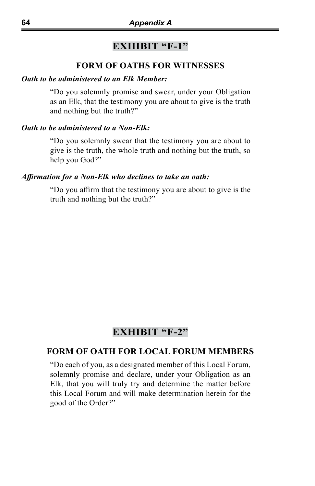## **EXHIBIT "F-1"**

### **FORM OF OATHS FOR WITNESSES**

#### *Oath to be administered to an Elk Member:*

"Do you solemnly promise and swear, under your Obligation as an Elk, that the testimony you are about to give is the truth and nothing but the truth?"

#### *Oath to be administered to a Non-Elk:*

"Do you solemnly swear that the testimony you are about to give is the truth, the whole truth and nothing but the truth, so help you God?"

#### *Affirmation for a Non-Elk who declines to take an oath:*

"Do you affirm that the testimony you are about to give is the truth and nothing but the truth?"

## **EXHIBIT "F-2"**

#### **FORM OF OATH FOR LOCAL FORUM MEMBERS**

"Do each of you, as a designated member of this Local Forum, solemnly promise and declare, under your Obligation as an Elk, that you will truly try and determine the matter before this Local Forum and will make determination herein for the good of the Order?"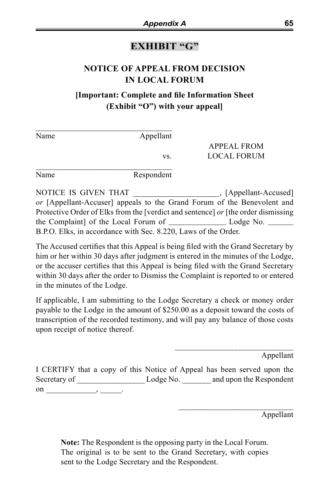## **EXHIBIT "G"**

# **NOTICE OF APPEAL FROM DECISION IN LOCAL FORUM**

## **[Important: Complete and file Information Sheet (Exhibit "O") with your appeal]**

| Name | Appellant  |                    |
|------|------------|--------------------|
|      |            | <b>APPEAL FROM</b> |
|      | VS.        | LOCAL FORUM        |
| Name | Respondent |                    |

NOTICE IS GIVEN THAT (Appellant-Accused] *or* [Appellant-Accuser] appeals to the Grand Forum of the Benevolent and Protective Order of Elks from the [verdict and sentence] *or* [the order dismissing the Complaint] of the Local Forum of \_\_\_\_\_\_\_\_\_\_\_\_\_\_\_\_\_\_\_ Lodge No. \_\_\_\_\_\_\_\_ B.P.O. Elks, in accordance with Sec. 8.220, Laws of the Order.

The Accused certifies that this Appeal is being filed with the Grand Secretary by him or her within 30 days after judgment is entered in the minutes of the Lodge, or the accuser certifies that this Appeal is being filed with the Grand Secretary within 30 days after the order to Dismiss the Complaint is reported to or entered in the minutes of the Lodge.

If applicable, I am submitting to the Lodge Secretary a check or money order payable to the Lodge in the amount of \$250.00 as a deposit toward the costs of transcription of the recorded testimony, and will pay any balance of those costs upon receipt of notice thereof.

Appellant

 $\mathcal{L}_\text{max}$  , where  $\mathcal{L}_\text{max}$  and  $\mathcal{L}_\text{max}$  and  $\mathcal{L}_\text{max}$ 

\_\_\_\_\_\_\_\_\_\_\_\_\_\_\_\_\_\_\_\_\_\_\_\_\_\_\_\_\_\_\_\_

I CERTIFY that a copy of this Notice of Appeal has been served upon the Secretary of  $Lodge No.$  and upon the Respondent on \_\_\_\_\_\_\_\_\_\_\_\_\_, \_\_\_\_\_\_\_\_.

Appellant

**Note:** The Respondent is the opposing party in the Local Forum. The original is to be sent to the Grand Secretary, with copies sent to the Lodge Secretary and the Respondent.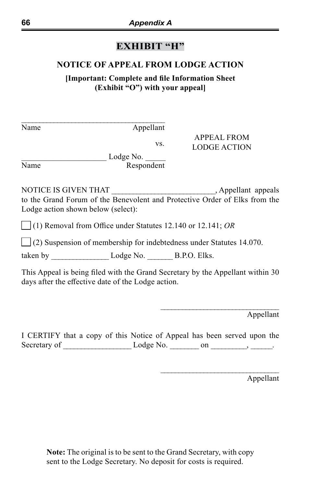# **EXHIBIT "H"**

## **NOTICE OF APPEAL FROM LODGE ACTION**

**[Important: Complete and file Information Sheet (Exhibit "O") with your appeal]**

| Name | Appellant                                                                   |                                                                                |
|------|-----------------------------------------------------------------------------|--------------------------------------------------------------------------------|
|      |                                                                             | <b>APPEAL FROM</b>                                                             |
|      | VS.                                                                         | <b>LODGE ACTION</b>                                                            |
|      | Lodge No.                                                                   |                                                                                |
| Name | Respondent                                                                  |                                                                                |
|      | Lodge action shown below (select):                                          | to the Grand Forum of the Benevolent and Protective Order of Elks from the     |
|      | $\Box$ (1) Removal from Office under Statutes 12.140 or 12.141; OR          |                                                                                |
|      | $\Box$ (2) Suspension of membership for indebtedness under Statutes 14.070. |                                                                                |
|      | taken by $\_\_\_\_\_\_\_\_\_\$ Lodge No. $\_\_\_\_\_\_\_\$ B.P.O. Elks.     |                                                                                |
|      | days after the effective date of the Lodge action.                          | This Appeal is being filed with the Grand Secretary by the Appellant within 30 |
|      |                                                                             | Appellant                                                                      |
|      |                                                                             |                                                                                |

I CERTIFY that a copy of this Notice of Appeal has been served upon the Secretary of \_\_\_\_\_\_\_\_\_\_\_\_\_\_\_\_\_\_\_ Lodge No. \_\_\_\_\_\_\_\_ on \_\_\_\_\_\_\_\_\_\_, \_\_\_\_\_\_.

Appellant

\_\_\_\_\_\_\_\_\_\_\_\_\_\_\_\_\_\_\_\_\_\_\_\_\_\_\_\_\_\_\_\_\_

**Note:** The original is to be sent to the Grand Secretary, with copy sent to the Lodge Secretary. No deposit for costs is required.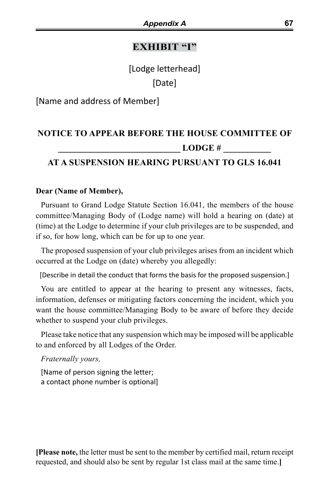# **EXHIBIT "I"**

[Lodge letterhead] [Date]

[Name and address of Member]

# **NOTICE TO APPEAR BEFORE THE HOUSE COMMITTEE OF LODGE #**

# **AT A SUSPENSION HEARING PURSUANT TO GLS 16.041**

#### **Dear (Name of Member),**

Pursuant to Grand Lodge Statute Section 16.041, the members of the house committee/Managing Body of (Lodge name) will hold a hearing on (date) at (time) at the Lodge to determine if your club privileges are to be suspended, and if so, for how long, which can be for up to one year.

The proposed suspension of your club privileges arises from an incident which occurred at the Lodge on (date) whereby you allegedly:

[Describe in detail the conduct that forms the basis for the proposed suspension.]

You are entitled to appear at the hearing to present any witnesses, facts, information, defenses or mitigating factors concerning the incident, which you want the house committee/Managing Body to be aware of before they decide whether to suspend your club privileges.

Please take notice that any suspension which may be imposed will be applicable to and enforced by all Lodges of the Order.

*Fraternally yours,*

[Name of person signing the letter; a contact phone number is optional]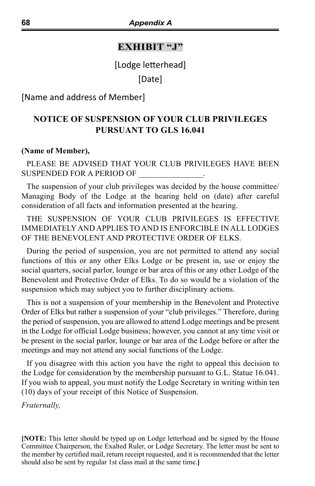#### **EXHIBIT "J"**

[Lodge letterhead]

[Date]

[Name and address of Member]

# **NOTICE OF SUSPENSION OF YOUR CLUB PRIVILEGES PURSUANT TO GLS 16.041**

#### **(Name of Member),**

#### PLEASE BE ADVISED THAT YOUR CLUB PRIVILEGES HAVE BEEN SUSPENDED FOR A PERIOD OF

The suspension of your club privileges was decided by the house committee/ Managing Body of the Lodge at the hearing held on (date) after careful consideration of all facts and information presented at the hearing.

THE SUSPENSION OF YOUR CLUB PRIVILEGES IS EFFECTIVE IMMEDIATELY AND APPLIES TO AND IS ENFORCIBLE IN ALL LODGES OF THE BENEVOLENT AND PROTECTIVE ORDER OF ELKS.

During the period of suspension, you are not permitted to attend any social functions of this or any other Elks Lodge or be present in, use or enjoy the social quarters, social parlor, lounge or bar area of this or any other Lodge of the Benevolent and Protective Order of Elks. To do so would be a violation of the suspension which may subject you to further disciplinary actions.

This is not a suspension of your membership in the Benevolent and Protective Order of Elks but rather a suspension of your "club privileges." Therefore, during the period of suspension, you are allowed to attend Lodge meetings and be present in the Lodge for official Lodge business; however, you cannot at any time visit or be present in the social parlor, lounge or bar area of the Lodge before or after the meetings and may not attend any social functions of the Lodge.

If you disagree with this action you have the right to appeal this decision to the Lodge for consideration by the membership pursuant to G.L. Statue 16.041. If you wish to appeal, you must notify the Lodge Secretary in writing within ten (10) days of your receipt of this Notice of Suspension.

*Fraternally,*

**[NOTE:** This letter should be typed up on Lodge letterhead and be signed by the House Committee Chairperson, the Exalted Ruler, or Lodge Secretary. The letter must be sent to the member by certified mail, return receipt requested, and it is recommended that the letter should also be sent by regular 1st class mail at the same time.**]**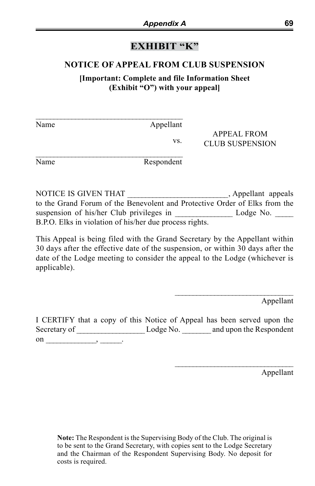# **EXHIBIT "K"**

## **NOTICE OF APPEAL FROM CLUB SUSPENSION**

**[Important: Complete and file Information Sheet (Exhibit "O") with your appeal]**

| Name | Appellant |                                       |
|------|-----------|---------------------------------------|
|      | VS.       | APPEAL FROM<br><b>CLUB SUSPENSION</b> |

Name Respondent

NOTICE IS GIVEN THAT \_\_\_\_\_\_\_\_\_\_\_\_\_\_\_\_\_\_\_\_\_\_\_\_\_\_\_, Appellant appeals to the Grand Forum of the Benevolent and Protective Order of Elks from the suspension of his/her Club privileges in Lodge No. B.P.O. Elks in violation of his/her due process rights.

This Appeal is being filed with the Grand Secretary by the Appellant within 30 days after the effective date of the suspension, or within 30 days after the date of the Lodge meeting to consider the appeal to the Lodge (whichever is applicable).

Appellant

\_\_\_\_\_\_\_\_\_\_\_\_\_\_\_\_\_\_\_\_\_\_\_\_\_\_\_\_\_\_\_\_\_

\_\_\_\_\_\_\_\_\_\_\_\_\_\_\_\_\_\_\_\_\_\_\_\_\_\_\_\_\_\_\_\_\_

I CERTIFY that a copy of this Notice of Appeal has been served upon the Secretary of \_\_\_\_\_\_\_\_\_\_\_\_\_\_\_\_\_\_\_\_\_\_\_Lodge No. \_\_\_\_\_\_\_\_\_ and upon the Respondent on \_\_\_\_\_\_\_\_\_\_\_\_\_\_\_, \_\_\_\_\_\_\_.

Appellant

**Note:** The Respondent is the Supervising Body of the Club. The original is to be sent to the Grand Secretary, with copies sent to the Lodge Secretary and the Chairman of the Respondent Supervising Body. No deposit for costs is required.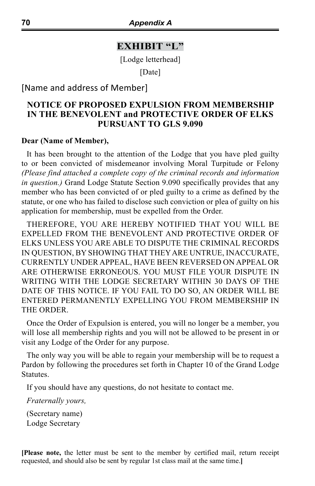#### **EXHIBIT "L"**

[Lodge letterhead]

[Date]

[Name and address of Member]

## **NOTICE OF PROPOSED EXPULSION FROM MEMBERSHIP IN THE BENEVOLENT and PROTECTIVE ORDER OF ELKS PURSUANT TO GLS 9.090**

#### **Dear (Name of Member),**

It has been brought to the attention of the Lodge that you have pled guilty to or been convicted of misdemeanor involving Moral Turpitude or Felony *(Please find attached a complete copy of the criminal records and information in question.)* Grand Lodge Statute Section 9.090 specifically provides that any member who has been convicted of or pled guilty to a crime as defined by the statute, or one who has failed to disclose such conviction or plea of guilty on his application for membership, must be expelled from the Order.

THEREFORE, YOU ARE HEREBY NOTIFIED THAT YOU WILL BE EXPELLED FROM THE BENEVOLENT AND PROTECTIVE ORDER OF ELKS UNLESS YOU ARE ABLE TO DISPUTE THE CRIMINAL RECORDS IN QUESTION, BY SHOWING THAT THEY ARE UNTRUE, INACCURATE, CURRENTLY UNDER APPEAL, HAVE BEEN REVERSED ON APPEAL OR ARE OTHERWISE ERRONEOUS. YOU MUST FILE YOUR DISPUTE IN WRITING WITH THE LODGE SECRETARY WITHIN 30 DAYS OF THE DATE OF THIS NOTICE. IF YOU FAIL TO DO SO, AN ORDER WILL BE ENTERED PERMANENTLY EXPELLING YOU FROM MEMBERSHIP IN THE ORDER.

Once the Order of Expulsion is entered, you will no longer be a member, you will lose all membership rights and you will not be allowed to be present in or visit any Lodge of the Order for any purpose.

The only way you will be able to regain your membership will be to request a Pardon by following the procedures set forth in Chapter 10 of the Grand Lodge Statutes.

If you should have any questions, do not hesitate to contact me.

*Fraternally yours,*

(Secretary name) Lodge Secretary

**[Please note,** the letter must be sent to the member by certified mail, return receipt requested, and should also be sent by regular 1st class mail at the same time.**]**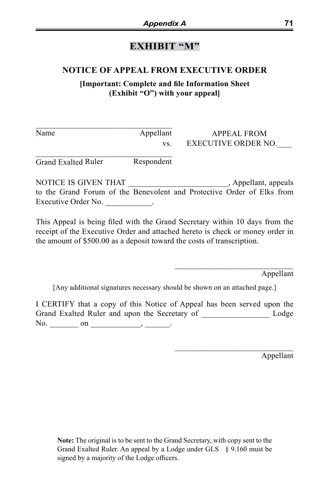# **EXHIBIT "M"**

# **NOTICE OF APPEAL FROM EXECUTIVE ORDER**

**[Important: Complete and file Information Sheet (Exhibit "O") with your appeal]**

| Name | Appellant<br>VS. | APPEAL FROM<br>EXECUTIVE ORDER NO. |
|------|------------------|------------------------------------|
|      |                  |                                    |

Grand Exalted Ruler Respondent

NOTICE IS GIVEN THAT \_\_\_\_\_\_\_\_\_\_\_\_\_\_\_\_\_\_\_\_\_\_\_\_\_\_\_\_, Appellant, appeals to the Grand Forum of the Benevolent and Protective Order of Elks from Executive Order No. 2012.

This Appeal is being filed with the Grand Secretary within 10 days from the receipt of the Executive Order and attached hereto is check or money order in the amount of \$500.00 as a deposit toward the costs of transcription.

Appellant

 $\mathcal{L}_\text{max}$  and  $\mathcal{L}_\text{max}$  and  $\mathcal{L}_\text{max}$  and  $\mathcal{L}_\text{max}$ 

 $\mathcal{L}_\text{max}$  and  $\mathcal{L}_\text{max}$  and  $\mathcal{L}_\text{max}$  and  $\mathcal{L}_\text{max}$ 

[Any additional signatures necessary should be shown on an attached page.]

I CERTIFY that a copy of this Notice of Appeal has been served upon the Grand Exalted Ruler and upon the Secretary of \_\_\_\_\_\_\_\_\_\_\_\_\_\_\_\_\_\_ Lodge No.  $\_\_\_\_$  on  $\_\_\_\_\_\_$ 

Appellant

**Note:** The original is to be sent to the Grand Secretary, with copy sent to the Grand Exalted Ruler. An appeal by a Lodge under GLS § 9.160 must be signed by a majority of the Lodge officers.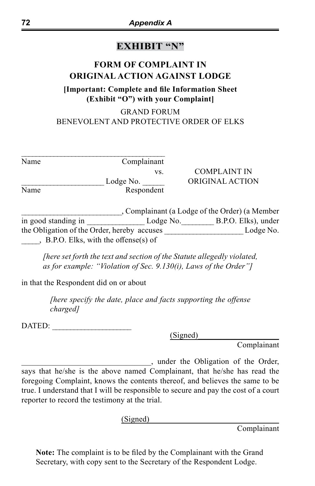# **EXHIBIT "N"**

# **FORM OF COMPLAINT IN ORIGINAL ACTION AGAINST LODGE**

## **[Important: Complete and file Information Sheet (Exhibit "O") with your Complaint]**

# GRAND FORUM BENEVOLENT AND PROTECTIVE ORDER OF ELKS

| Name                | Complainant |                                                |
|---------------------|-------------|------------------------------------------------|
|                     | VS.         | <b>COMPLAINT IN</b>                            |
|                     | Lodge No.   | ORIGINAL ACTION                                |
| Name                | Respondent  |                                                |
|                     |             | , Complainant (a Lodge of the Order) (a Member |
| in good standing in | Lodge No.   | B.P.O. Elks), under                            |

the Obligation of the Order, hereby accuses \_\_\_\_\_\_\_\_\_\_\_\_\_\_\_\_\_\_\_\_\_\_ Lodge No. \_\_\_\_\_, B.P.O. Elks, with the offense(s) of

*[here set forth the text and section of the Statute allegedly violated, as for example: "Violation of Sec. 9.130(i), Laws of the Order"]*

in that the Respondent did on or about

*[here specify the date, place and facts supporting the offense charged]*

DATED:

(Signed)\_\_\_\_\_\_\_\_\_\_\_\_\_\_\_\_\_\_\_\_

Complainant

\_\_\_\_\_\_\_\_\_\_\_\_\_\_\_\_\_\_\_\_\_\_\_\_\_\_\_\_\_\_\_\_, under the Obligation of the Order, says that he/she is the above named Complainant, that he/she has read the foregoing Complaint, knows the contents thereof, and believes the same to be true. I understand that I will be responsible to secure and pay the cost of a court reporter to record the testimony at the trial.

 $(Signed)$ 

Complainant

**Note:** The complaint is to be filed by the Complainant with the Grand Secretary, with copy sent to the Secretary of the Respondent Lodge.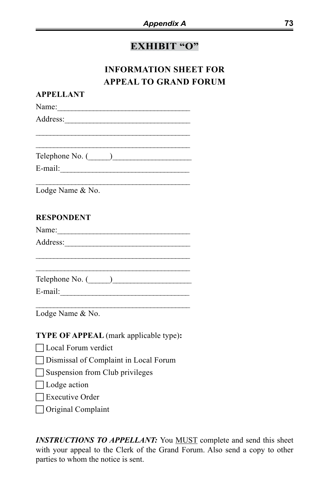# **EXHIBIT "O"**

# **INFORMATION SHEET FOR APPEAL TO GRAND FORUM**

| AFFLLLANI                                                                                                                                                                                                                                         |  |
|---------------------------------------------------------------------------------------------------------------------------------------------------------------------------------------------------------------------------------------------------|--|
|                                                                                                                                                                                                                                                   |  |
| Address:                                                                                                                                                                                                                                          |  |
|                                                                                                                                                                                                                                                   |  |
|                                                                                                                                                                                                                                                   |  |
| Telephone No. $(\_\_)$                                                                                                                                                                                                                            |  |
|                                                                                                                                                                                                                                                   |  |
|                                                                                                                                                                                                                                                   |  |
| the control of the control of the control of the control of the control of the control of the control of the control of the control of the control of the control of the control of the control of the control of the control<br>Lodge Name & No. |  |
|                                                                                                                                                                                                                                                   |  |
| <b>RESPONDENT</b>                                                                                                                                                                                                                                 |  |
|                                                                                                                                                                                                                                                   |  |
|                                                                                                                                                                                                                                                   |  |
|                                                                                                                                                                                                                                                   |  |
|                                                                                                                                                                                                                                                   |  |
|                                                                                                                                                                                                                                                   |  |
| Telephone No. (Compared a contract of the Machinese Compared and Telephone No. (Compared and Telephone Compared and Telephone Compared and Telephone No. (Compared and Telephone Compared and Telephone Compared and Telephone                    |  |
|                                                                                                                                                                                                                                                   |  |
| Lodge Name & No.                                                                                                                                                                                                                                  |  |
|                                                                                                                                                                                                                                                   |  |
| TYPE OF APPEAL (mark applicable type):                                                                                                                                                                                                            |  |
| □ Local Forum verdict                                                                                                                                                                                                                             |  |
| □ Dismissal of Complaint in Local Forum                                                                                                                                                                                                           |  |
| Suspension from Club privileges                                                                                                                                                                                                                   |  |
| $\Box$ Lodge action                                                                                                                                                                                                                               |  |
|                                                                                                                                                                                                                                                   |  |
| $\Box$ Executive Order                                                                                                                                                                                                                            |  |
| □ Original Complaint                                                                                                                                                                                                                              |  |
|                                                                                                                                                                                                                                                   |  |

**APPELLANT**

**INSTRUCTIONS TO APPELLANT:** You **MUST** complete and send this sheet with your appeal to the Clerk of the Grand Forum. Also send a copy to other parties to whom the notice is sent.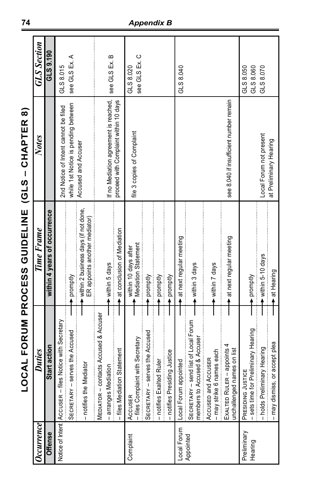|                           |                                                                                | <br> <br> <br> <br> <br> <br>                                           | )<br>-<br>-<br>-<br>-<br>-<br>į         |                        |
|---------------------------|--------------------------------------------------------------------------------|-------------------------------------------------------------------------|-----------------------------------------|------------------------|
| $c$ currence              | <b>Duties</b>                                                                  | Time Frame                                                              | Notes                                   | <b>GLS</b> Section     |
| <b>Offense</b>            | Start action                                                                   | within 4 years of occurrence                                            |                                         | GLS 9.190              |
| Notice of Intent AccusER- | files Notice with Secretary                                                    |                                                                         | 2nd Notice of Intent cannot be filed    | GLS 8.015              |
|                           | - serves the Accused<br><b>SECRETARY</b>                                       | promptly                                                                | while 1st Notice is pending between     | see GLS Ex. A          |
|                           | - notifies the Mediator                                                        | ► within 2 business days (if not done,<br>ER appoints another mediator) | Accused and Accuser                     |                        |
|                           | contacts Accused & Accuser<br>MEDIATOR-                                        |                                                                         |                                         |                        |
|                           |                                                                                | within 5 days                                                           | If no Mediation agreement is reached,   | see GLS Ex. B          |
|                           | – arranges Mediation<br>– files Mediation Statement                            | at conclusion of Mediation                                              | proceed with Complaint within 10 days   |                        |
| Complaint                 |                                                                                | within 10 days after                                                    |                                         | GLS 8.020              |
|                           | AccusER<br>- files Complaint with Secretary                                    | Mediation Statement                                                     | file 3 copies of Complaint              | see GLS Ex. C          |
|                           | - serves the Accused<br><b>SECRETARY</b>                                       | promptly                                                                |                                         |                        |
|                           | - notifies Exalted Ruler                                                       | promptly                                                                |                                         |                        |
|                           | esiding Justice<br>- notifies Pr                                               | promptly                                                                |                                         |                        |
| Local Forum               | appointed<br>Local Forum                                                       | at next regular meeting                                                 |                                         | GLS 8.040              |
| Appointed                 | - send list of Local Forum<br>members to Accused & Accuser<br><b>SECRETARY</b> | within 3 days                                                           |                                         |                        |
|                           | 6 names each<br>Accused and Accuser<br>- may strike                            | within 7 days                                                           |                                         |                        |
|                           | EXALTED RULER - appoints 4<br>unchallenged names on list                       | → at next regular meeting                                               | see 8.040 if insufficient number remain |                        |
| Preliminary<br>Hearing    | for Preliminary Hearing<br>PRESIDING JUSTICE<br>- sets time                    | promptly                                                                |                                         | GLS 8.050<br>GLS 8.060 |
|                           | iminary Hearing<br>- holds Prel                                                | within 5-10 days                                                        | Local Forum not present                 | GLS 8.070              |
|                           | ss, or accept plea<br>- may dismi                                              | at Hearing                                                              | at Preliminary Hearing                  |                        |

LOCAL FORUM PROCESS GUIDELINE (GLS - CHAPTER 8) **LOCAL FORUM PROCESS GUIDELINE (GLS – CHAPTER 8)**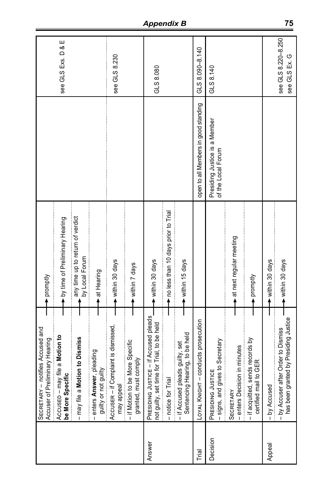|          | - notifies Accused and<br>Accuser of Preliminary Hearing<br><b>SECRETARY</b>        | promptly                                           |                                                     |                                      |
|----------|-------------------------------------------------------------------------------------|----------------------------------------------------|-----------------------------------------------------|--------------------------------------|
|          | may file a Motion to<br>be More Specific<br>AccusED-                                | by time of Preliminary Hearing                     |                                                     | see GLS Exs. D & E                   |
|          | <b>Motion to Dismiss</b><br>- may file a                                            | any time up to return of verdict<br>by Local Forum |                                                     |                                      |
|          | – enters Answer, pleading<br>guilty or not guilty                                   | + at Hearing                                       |                                                     |                                      |
|          | ccus∈R – if Complaint is dismissed,<br>may appeal<br>AccusER-                       | within 30 days                                     |                                                     | see GLS 8.230                        |
|          | -- if Motion to be More Specific<br>granted, must comply                            | within 7 days                                      |                                                     |                                      |
| Answer   | PRESIDING JUSTICE - if Accused pleads<br>not guilty, set time for Trial, to be held | within 30 days                                     |                                                     | GLS 8.080                            |
|          | Trial<br>- notice for                                                               | no less than 10 days prior to Trial                |                                                     |                                      |
|          | Sentencing Hearing, to be held<br>pleads guilty, set<br>- if Accused                | within 15 days                                     |                                                     |                                      |
| Trial    | HT-conducts prosecution<br>LOYAL KNIGH                                              |                                                    | open to all Members in good standing                | $GLS 8.090 - 8.140$                  |
| Decision | - signs, and gives to Secretary<br>PRESIDING JUSTICE                                |                                                    | Presiding Justice is a Member<br>of the Local Forum | GLS 8.140                            |
|          | - enters Decision in minutes<br><b>SECRETARY</b>                                    | at next regular meeting                            |                                                     |                                      |
|          | - if acquitted, sends records by<br>certified mail to GER                           | promptly                                           |                                                     |                                      |
| Appeal   | - by Accused                                                                        | within 30 days                                     |                                                     |                                      |
|          | has been granted by Presiding Justice<br>- by Accuser after Order to Dismiss        | within 30 days                                     |                                                     | see GLS 8.220-8.250<br>see GLS Ex. G |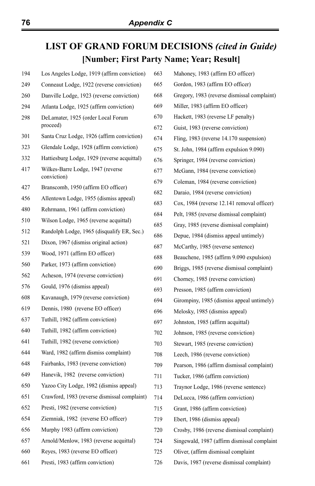# **LIST OF GRAND FORUM DECISIONS** *(cited in Guide)* **[Number; First Party Name; Year; Result]**

| 194 | Los Angeles Lodge, 1919 (affirm conviction)        | 663 | Mahoney, 1983 (affirm EO officer)           |
|-----|----------------------------------------------------|-----|---------------------------------------------|
| 249 | Conneaut Lodge, 1922 (reverse conviction)          | 665 | Gordon, 1983 (affirm EO officer)            |
| 260 | Danville Lodge, 1923 (reverse conviction)          | 668 | Gregory, 1983 (reverse dismissal complaint) |
| 294 | Atlanta Lodge, 1925 (affirm conviction)            | 669 | Miller, 1983 (affirm EO officer)            |
| 298 | DeLamater, 1925 (order Local Forum                 | 670 | Hackett, 1983 (reverse LF penalty)          |
|     | proceed)                                           | 672 | Guist, 1983 (reverse conviction)            |
| 301 | Santa Cruz Lodge, 1926 (affirm conviction)         | 674 | Fling, 1983 (reverse 14.170 suspension)     |
| 323 | Glendale Lodge, 1928 (affirm conviction)           | 675 | St. John, 1984 (affirm expulsion 9.090)     |
| 332 | Hattiesburg Lodge, 1929 (reverse acquittal)        | 676 | Springer, 1984 (reverse conviction)         |
| 417 | Wilkes-Barre Lodge, 1947 (reverse                  | 677 | McGann, 1984 (reverse conviction)           |
|     | conviction)<br>Branscomb, 1950 (affirm EO officer) | 679 | Coleman, 1984 (reverse conviction)          |
| 427 |                                                    | 682 | Daraio, 1984 (reverse conviction)           |
| 456 | Allentown Lodge, 1955 (dismiss appeal)             | 683 | Cox, 1984 (reverse 12.141 removal officer)  |
| 480 | Rehrmann, 1961 (affirm conviction)                 | 684 | Pelt, 1985 (reverse dismissal complaint)    |
| 510 | Wilson Lodge, 1965 (reverse acquittal)             | 685 | Gray, 1985 (reverse dismissal complaint)    |
| 512 | Randolph Lodge, 1965 (disqualify ER, Sec.)         | 686 | Depue, 1984 (dismiss appeal untimely)       |
| 521 | Dixon, 1967 (dismiss original action)              | 687 | McCarthy, 1985 (reverse sentence)           |
| 539 | Wood, 1971 (affirm EO officer)                     | 688 | Beauchene, 1985 (affirm 9.090 expulsion)    |
| 560 | Parker, 1973 (affirm conviction)                   | 690 | Briggs, 1985 (reverse dismissal complaint)  |
| 562 | Acheson, 1974 (reverse conviction)                 | 691 | Chorney, 1985 (reverse conviction)          |
| 576 | Gould, 1976 (dismiss appeal)                       | 693 | Presson, 1985 (affirm conviction)           |
| 608 | Kavanaugh, 1979 (reverse conviction)               | 694 | Girompiny, 1985 (dismiss appeal untimely)   |
| 619 | Dennis, 1980 (reverse EO officer)                  | 696 | Melosky, 1985 (dismiss appeal)              |
| 637 | Tuthill, 1982 (affirm conviction)                  | 697 | Johnston, 1985 (affirm acquittal)           |
| 640 | Tuthill, 1982 (affirm conviction)                  | 702 | Johnson, 1985 (reverse conviction)          |
| 641 | Tuthill, 1982 (reverse conviction)                 | 703 | Stewart, 1985 (reverse conviction)          |
| 644 | Ward, 1982 (affirm dismiss complaint)              | 708 | Leech, 1986 (reverse conviction)            |
| 648 | Fairbanks, 1983 (reverse conviction)               | 709 | Pearson, 1986 (affirm dismissal complaint)  |
| 649 | Hanevik, 1982 (reverse conviction)                 | 711 | Tucker, 1986 (affirm conviction)            |
| 650 | Yazoo City Lodge, 1982 (dismiss appeal)            | 713 | Traynor Lodge, 1986 (reverse sentence)      |
| 651 | Crawford, 1983 (reverse dismissal complaint)       | 714 | DeLucca, 1986 (affirm conviction)           |
| 652 | Presti, 1982 (reverse conviction)                  | 715 | Grant, 1986 (affirm conviction)             |
| 654 | Ziemniak, 1982 (reverse EO officer)                | 719 | Ebert, 1986 (dismiss appeal)                |
| 656 | Murphy 1983 (affirm conviction)                    | 720 | Crosby, 1986 (reverse dismissal complaint)  |
| 657 | Arnold/Menlow, 1983 (reverse acquittal)            | 724 | Singewald, 1987 (affirm dismissal complaint |
| 660 | Reyes, 1983 (reverse EO officer)                   | 725 | Oliver, (affirm dismissal complaint         |
| 661 | Presti, 1983 (affirm conviction)                   | 726 | Davis, 1987 (reverse dismissal complaint)   |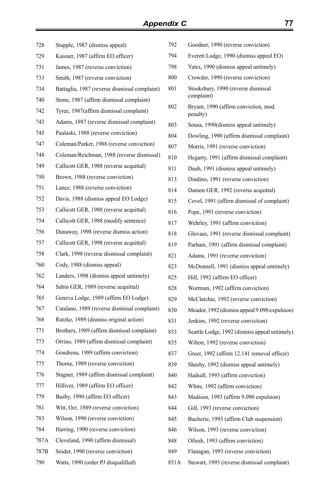| 728  | Stupple, 1987 (dismiss appeal)                | 792  | Goodner, 1990 (reverse conviction)                |
|------|-----------------------------------------------|------|---------------------------------------------------|
| 729  | Kaisner, 1987 (affirm EO officer)             | 794  | Everett Lodge, 1990 (dismiss appeal EO)           |
| 731  | James, 1987 (reverse conviction)              | 798  | Yates, 1990 (dismiss appeal untimely)             |
| 733  | Smith, 1987 (reverse conviction)              | 800  | Crowder, 1990 (reverse conviction)                |
| 734  | Battaglia, 1987 (reverse dismissal complaint) | 801  | Stooksbury, 1990 (reverse dismissal               |
| 740  | Stone, 1987 (affirm dismissal complaint)      |      | complaint)                                        |
| 742  | Tyree, 1987(affirm dismissal complaint)       | 802  | Bryant, 1990 (affirm conviction, mod.<br>penalty) |
| 743  | Adams, 1987 (reverse dismissal complaint)     | 803  | Sousa, 1990(dismiss appeal untimely)              |
| 745  | Paulaski, 1988 (reverse conviction)           | 804  | Dowling, 1990 (affirm dismissal complaint)        |
| 747  | Coleman/Parker, 1988 (reverse conviction)     | 807  | Morris, 1991 (reverse conviction)                 |
| 748  | Coleman/Reichman, 1988 (reverse dismissal)    | 810  | Hegarty, 1991 (affirm dismissal complaint)        |
| 749  | Callicott GER, 1988 (reverse acquittal)       | 811  | Daub, 1991 (dismiss appeal untimely)              |
| 750  | Brown, 1988 (reverse conviction)              | 813  | Dindino, 1991 (reverse conviction)                |
| 751  | Lance, 1988 (reverse conviction)              | 814  | Damon GER, 1992 (reverse acquittal)               |
| 752  | Davis, 1988 (dismiss appeal EO Lodge)         | 815  | Covel, 1991 (affirm dismissal of complaint)       |
| 753  | Callicott GER, 1988 (reverse acquittal)       | 816  | Pope, 1991 (reverse conviction)                   |
| 754  | Callicott GER, 1988 (modify sentence)         | 817  | Wehrley, 1991 (affirm conviction)                 |
| 756  | Dunaway, 1998 (reverse dismiss action)        | 818  | Glovaas, 1991 (reverse dismissal complaint)       |
| 757  | Callicott GER, 1998 (reverse acquittal)       | 819  | Parham, 1991 (affirm dismissal complaint)         |
| 758  | Clark, 1998 (reverse dismissal complaint)     | 821  | Adams, 1991 (reverse conviction)                  |
| 760  | Cody, 1988 (dismiss appeal)                   | 823  | McDonnell, 1991 (dismiss appeal untimely)         |
| 762  | Landers, 1998 (dismiss appeal untimely)       | 825  | Hill, 1992 (affirm EO officer)                    |
| 764  | Sabin GER, 1989 (reverse acquittal)           | 828  | Wortman, 1992 (affirm conviction)                 |
| 765  | Geneva Lodge, 1989 (affirm EO Lodge)          | 829  | McClatchie, 1992 (reverse conviction)             |
| 767  | Catalano, 1989 (reverse dismissal complaint)  | 830  | Meador, 1992 (dismiss appeal 9.090 expulsion)     |
| 768  | Rutzke, 1989 (dismiss original action)        | 831  | Jenkins, 1992 (reverse conviction)                |
| 771  | Brothers, 1989 (affirm dismissal complaint)   | 833  | Seattle Lodge, 1992 (dismiss appeal untimely)     |
| 773  | Orrino, 1989 (affirm dismissal complaint)     | 835  | Wilton, 1992 (reverse conviction)                 |
| 774  | Goudreau, 1989 (affirm conviction)            | 837  | Greer, 1992 (affirm 12.141 removal officer)       |
| 775  | Thorne, 1989 (reverse conviction)             | 839  | Sheehy, 1992 (dismiss appeal untimely)            |
| 776  | Stagner, 1989 (affirm dismissal complaint)    | 840  | Hadsall, 1993 (affirm conviction)                 |
| 777  | Hilliver, 1989 (affirm EO officer)            | 842  | White, 1992 (affirm conviction)                   |
| 779  | Busby, 1990 (affirm EO officer)               | 843  | Madison, 1993 (affirm 9.090 expulsion)            |
| 781  | Witt, Oct. 1989 (reverse conviction)          | 844  | Gill, 1993 (reverse conviction)                   |
| 783  | Wilson, 1990 (reverse conviction)             | 845  | Bucherie, 1993 (affirm Club suspension)           |
| 784  | Harring, 1990 (reverse conviction)            | 846  | Wilson, 1993 (reverse conviction)                 |
| 787A | Cleveland, 1990 (affirm dismissal)            | 848  | Ofiesh, 1993 (affirm conviction)                  |
| 787B | Snider, 1990 (reverse conviction)             | 849  | Flanagan, 1993 (reverse conviction)               |
| 790  | Watts, 1990 (order PJ disqualified)           | 851A | Stewart, 1993 (reverse dismissal complaint)       |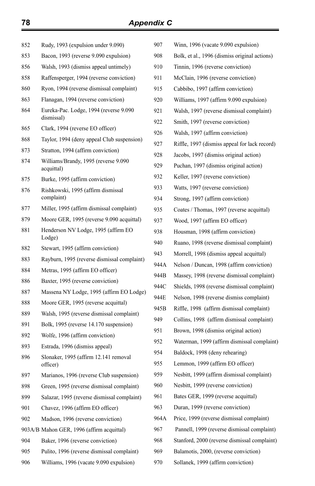| 852 | Rudy, 1993 (expulsion under 9.090)                 | 907  | Winn, 1996 (vacate 9.090 expulsion)           |
|-----|----------------------------------------------------|------|-----------------------------------------------|
| 853 | Bacon, 1993 (reverse 9.090 expulsion)              | 908  | Bolk, et al., 1996 (dismiss original actions) |
| 856 | Walsh, 1993 (dismiss appeal untimely)              | 910  | Tinnin, 1996 (reverse conviction)             |
| 858 | Raffensperger, 1994 (reverse conviction)           | 911  | McClain, 1996 (reverse conviction)            |
| 860 | Ryon, 1994 (reverse dismissal complaint)           | 915  | Cabbibo, 1997 (affirm conviction)             |
| 863 | Flanagan, 1994 (reverse conviction)                | 920  | Williams, 1997 (affirm 9.090 expulsion)       |
| 864 | Eureka-Pac. Lodge, 1994 (reverse 9.090             | 921  | Walsh, 1997 (reverse dismissal complaint)     |
|     | dismissal)                                         | 922  | Smith, 1997 (reverse conviction)              |
| 865 | Clark, 1994 (reverse EO officer)                   | 926  | Walsh, 1997 (affirm conviction)               |
| 868 | Taylor, 1994 (deny appeal Club suspension)         | 927  | Riffle, 1997 (dismiss appeal for lack record) |
| 873 | Stratton, 1994 (affirm conviction)                 | 928  | Jacobs, 1997 (dismiss original action)        |
| 874 | Williams/Brandy, 1995 (reverse 9.090<br>acquittal) | 929  | Puchan, 1997 (dismiss original action)        |
| 875 | Burke, 1995 (affirm conviction)                    | 932  | Keller, 1997 (reverse conviction)             |
| 876 | Rishkowski, 1995 (affirm dismissal                 | 933  | Watts, 1997 (reverse conviction)              |
|     | complaint)                                         | 934  | Strong, 1997 (affirm conviction)              |
| 877 | Miller, 1995 (affirm dismissal complaint)          | 935  | Coates / Thomas, 1997 (reverse acquittal)     |
| 879 | Moore GER, 1995 (reverse 9.090 acquittal)          | 937  | Wood, 1997 (affirm EO officer)                |
| 881 | Henderson NV Lodge, 1995 (affirm EO<br>Lodge)      | 938  | Housman, 1998 (affirm conviction)             |
| 882 | Stewart, 1995 (affirm conviction)                  | 940  | Ruano, 1998 (reverse dismissal complaint)     |
| 883 | Rayburn, 1995 (reverse dismissal complaint)        | 943  | Morrell, 1998 (dismiss appeal acquittal)      |
| 884 | Metras, 1995 (affirm EO officer)                   | 944A | Nelson / Duncan, 1998 (affirm conviction)     |
| 886 | Baxter, 1995 (reverse conviction)                  | 944B | Massey, 1998 (reverse dismissal complaint)    |
| 887 | Massena NY Lodge, 1995 (affirm EO Lodge)           | 944C | Shields, 1998 (reverse dismissal complaint)   |
| 888 | Moore GER, 1995 (reverse acquittal)                | 944E | Nelson, 1998 (reverse dismiss complaint)      |
| 889 | Walsh, 1995 (reverse dismissal complaint)          | 945B | Riffle, 1998 (affirm dismissal complaint)     |
| 891 | Bolk, 1995 (reverse 14.170 suspension)             | 949  | Collins, 1998 (affirm dismissal complaint)    |
| 892 | Wolfe, 1996 (affirm conviction)                    | 951  | Brown, 1998 (dismiss original action)         |
| 893 | Estrada, 1996 (dismiss appeal)                     | 952  | Waterman, 1999 (affirm dismissal complaint)   |
| 896 | Slonaker, 1995 (affirm 12.141 removal              | 954  | Baldock, 1998 (deny rehearing)                |
|     | officer)                                           | 955  | Lemmon, 1999 (affirm EO officer)              |
| 897 | Marianos, 1996 (reverse Club suspension)           | 959  | Nesbitt, 1999 (affirm dismissal complaint)    |
| 898 | Green, 1995 (reverse dismissal complaint)          | 960  | Nesbitt, 1999 (reverse conviction)            |
| 899 | Salazar, 1995 (reverse dismissal complaint)        | 961  | Bates GER, 1999 (reverse acquittal)           |
| 901 | Chavez, 1996 (affirm EO officer)                   | 963  | Duran, 1999 (reverse conviction)              |
| 902 | Madson, 1996 (reverse conviction)                  | 964A | Price, 1999 (reverse dismissal complaint)     |
|     | 903A/B Mahon GER, 1996 (affirm acquittal)          | 967  | Pannell, 1999 (reverse dismissal complaint)   |
| 904 | Baker, 1996 (reverse conviction)                   | 968  | Stanford, 2000 (reverse dismissal complaint)  |
| 905 | Pulito, 1996 (reverse dismissal complaint)         | 969  | Balamotis, 2000, (reverse conviction)         |
| 906 | Williams, 1996 (vacate 9.090 expulsion)            | 970  | Sollanek, 1999 (affirm conviction)            |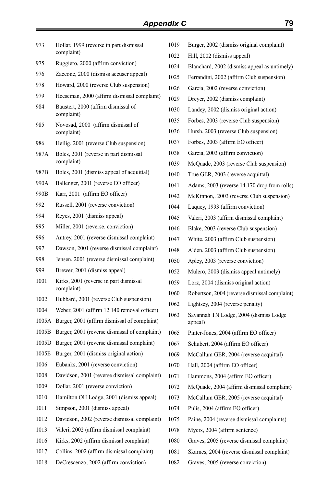| Hollar, 1999 (reverse in part dismissal              | 101                                                                                                                                  |
|------------------------------------------------------|--------------------------------------------------------------------------------------------------------------------------------------|
|                                                      | 102                                                                                                                                  |
|                                                      | $102 -$                                                                                                                              |
|                                                      | 102                                                                                                                                  |
|                                                      | 102                                                                                                                                  |
| Heeseman, 2000 (affirm dismissal complaint)          | 102                                                                                                                                  |
| Baustert, 2000 (affirm dismissal of<br>complaint)    | 103                                                                                                                                  |
| Novosad, 2000 (affirm dismissal of<br>complaint)     | 103<br>103                                                                                                                           |
| Heilig, 2001 (reverse Club suspension)               | 103                                                                                                                                  |
| Boles, 2001 (reverse in part dismissal<br>complaint) | 103<br>103                                                                                                                           |
| Boles, 2001 (dismiss appeal of acquittal)            | 104                                                                                                                                  |
| Ballenger, 2001 (reverse EO officer)                 | 104                                                                                                                                  |
| Karr, 2001 (affirm EO officer)                       | 104                                                                                                                                  |
| Russell, 2001 (reverse conviction)                   | 104                                                                                                                                  |
| Reyes, 2001 (dismiss appeal)                         | 104                                                                                                                                  |
| Miller, 2001 (reverse. conviction)                   | 104                                                                                                                                  |
| Autrey, 2001 (reverse dismissal complaint)           | 104                                                                                                                                  |
| Dawson, 2001 (reverse dismissal complaint)           | 104                                                                                                                                  |
| Jensen, 2001 (reverse dismissal complaint)           | 105                                                                                                                                  |
| Brewer, 2001 (dismiss appeal)                        | 105                                                                                                                                  |
| Kirks, 2001 (reverse in part dismissal<br>complaint) | 105                                                                                                                                  |
| Hubbard, 2001 (reverse Club suspension)              | 106                                                                                                                                  |
| Weber, 2001 (affirm 12.140 removal officer)          | 106<br>106                                                                                                                           |
| Burger, 2001 (affirm dismissal of complaint)         |                                                                                                                                      |
| Burger, 2001 (reverse dismissal of complaint)        | 106                                                                                                                                  |
| Burger, 2001 (reverse dismissal complaint)           | 106                                                                                                                                  |
| Burger, 2001 (dismiss original action)               | 106                                                                                                                                  |
| Eubanks, 2001 (reverse conviction)                   | 107                                                                                                                                  |
| Davidson, 2001 (reverse dismissal complaint)         | 107                                                                                                                                  |
| Dollar, 2001 (reverse conviction)                    | 107                                                                                                                                  |
| Hamilton OH Lodge, 2001 (dismiss appeal)             | 107                                                                                                                                  |
| Simpson, 2001 (dismiss appeal)                       | 107                                                                                                                                  |
| Davidson, 2002 (reverse dismissal complaint)         | 107                                                                                                                                  |
| Valeri, 2002 (affirm dismissal complaint)            | 107                                                                                                                                  |
| Kirks, 2002 (affirm dismissal complaint)             | 108                                                                                                                                  |
| Collins, 2002 (affirm dismissal complaint)           | 108                                                                                                                                  |
| DeCrescenzo, 2002 (affirm conviction)                | 108                                                                                                                                  |
|                                                      | complaint)<br>Ruggiero, 2000 (affirm conviction)<br>Zaccone, 2000 (dismiss accuser appeal)<br>Howard, 2000 (reverse Club suspension) |

| 1019 | Burger, 2002 (dismiss original complaint)         |
|------|---------------------------------------------------|
| 1022 | Hill, 2002 (dismiss appeal)                       |
| 1024 | Blanchard, 2002 (dismiss appeal as untimely)      |
| 1025 | Ferrandini, 2002 (affirm Club suspension)         |
| 1026 | Garcia, 2002 (reverse conviction)                 |
| 1029 | Dreyer, 2002 (dismiss complaint)                  |
| 1030 | Landey, 2002 (dismiss original action)            |
| 1035 | Forbes, 2003 (reverse Club suspension)            |
| 1036 | Hursh, 2003 (reverse Club suspension)             |
| 1037 | Forbes, 2003 (affirm EO officer)                  |
| 1038 | Garcia, 2003 (affirm conviction)                  |
| 1039 | McQuade, 2003 (reverse Club suspension)           |
| 1040 | True GER, 2003 (reverse acquittal)                |
| 1041 | Adams, 2003 (reverse 14.170 drop from rolls)      |
| 1042 | McKinnon,. 2003 (reverse Club suspension)         |
| 1044 | Laquey, 1993 (affirm conviction)                  |
| 1045 | Valeri, 2003 (affirm dismissal complaint)         |
| 1046 | Blake, 2003 (reverse Club suspension)             |
| 1047 | White, 2003 (affirm Club suspension)              |
| 1048 | Alden, 2003 (affirm Club suspension)              |
| 1050 | Apley, 2003 (reverse conviction)                  |
| 1052 | Mulero, 2003 (dismiss appeal untimely)            |
| 1059 | Lorz, 2004 (dismiss original action)              |
| 1060 | Robertson, 2004 (reverse dismissal complaint)     |
| 1062 | Lightsey, 2004 (reverse penalty)                  |
| 1063 | Savannah TN Lodge, 2004 (dismiss Lodge<br>appeal) |
| 1065 | Pinter-Jones, 2004 (affirm EO officer)            |
| 1067 | Schubert, 2004 (affirm EO officer)                |
| 1069 | McCallum GER, 2004 (reverse acquittal)            |
| 1070 | Hall, 2004 (affirm EO officer)                    |
| 1071 | Hammons, 2004 (affirm EO officer)                 |
| 1072 | McQuade, 2004 (affirm dismissal complaint)        |
| 1073 | McCallum GER, 2005 (reverse acquittal)            |
| 1074 | Pulis, 2004 (affirm EO officer)                   |
| 1075 | Paine, 2004 (reverse dismissal complaints)        |
| 1078 | Myers, 2004 (affirm sentence)                     |
| 1080 | Graves, 2005 (reverse dismissal complaint)        |
| 1081 | Skarnes, 2004 (reverse dismissal complaint)       |

12 Graves, 2005 (reverse conviction)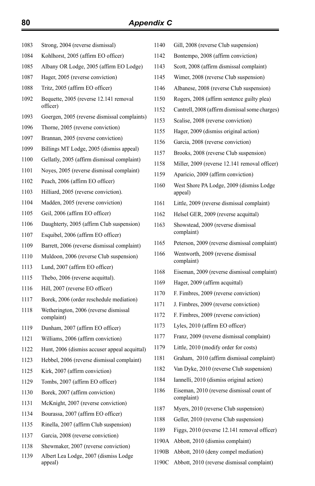| 1083 | Strong, 2004 (reverse dismissal)                    | 1140  | Gill, 2008 (reverse Club suspension)             |
|------|-----------------------------------------------------|-------|--------------------------------------------------|
| 1084 | Kohlhorst, 2005 (affirm EO officer)                 | 1142  | Bontempo, 2008 (affirm conviction)               |
| 1085 | Albany OR Lodge, 2005 (affirm EO Lodge)             | 1143  | Scott, 2008 (affirm dismissal complaint)         |
| 1087 | Hager, 2005 (reverse conviction)                    | 1145  | Wimer, 2008 (reverse Club suspension)            |
| 1088 | Tritz, 2005 (affirm EO officer)                     | 1146  | Albanese, 2008 (reverse Club suspension)         |
| 1092 | Bequette, 2005 (reverse 12.141 removal              | 1150  | Rogers, 2008 (affirm sentence guilty plea)       |
|      | officer)                                            | 1152  | Cantrell, 2008 (affirm dismissal some charges)   |
| 1093 | Goergen, 2005 (reverse dismissal complaints)        | 1153  | Scalise, 2008 (reverse conviction)               |
| 1096 | Thorne, 2005 (reverse conviction)                   | 1155  | Hager, 2009 (dismiss original action)            |
| 1097 | Brannan, 2005 (reverse conviction)                  | 1156  | Garcia, 2008 (reverse conviction)                |
| 1099 | Billings MT Lodge, 2005 (dismiss appeal)            | 1157  | Brooks, 2008 (reverse Club suspension)           |
| 1100 | Gellatly, 2005 (affirm dismissal complaint)         | 1158  | Miller, 2009 (reverse 12.141 removal officer)    |
| 1101 | Noyes, 2005 (reverse dismissal complaint)           | 1159  | Aparicio, 2009 (affirm conviction)               |
| 1102 | Peach, 2006 (affirm EO officer)                     | 1160  | West Shore PA Lodge, 2009 (dismiss Lodge)        |
| 1103 | Hilliard, 2005 (reverse conviction).                |       | appeal)                                          |
| 1104 | Madden, 2005 (reverse conviction)                   | 1161  | Little, 2009 (reverse dismissal complaint)       |
| 1105 | Geil, 2006 (affirm EO officer)                      | 1162  | Helsel GER, 2009 (reverse acquittal)             |
| 1106 | Daughterty, 2005 (affirm Club suspension)           | 1163  | Showstead, 2009 (reverse dismissal               |
| 1107 | Esquibel, 2006 (affirm EO officer)                  |       | complaint)                                       |
| 1109 | Barrett, 2006 (reverse dismissal complaint)         | 1165  | Peterson, 2009 (reverse dismissal complaint)     |
| 1110 | Muldoon, 2006 (reverse Club suspension)             | 1166  | Wentworth, 2009 (reverse dismissal<br>complaint) |
| 1113 | Lund, 2007 (affirm EO officer)                      | 1168  | Eiseman, 2009 (reverse dismissal complaint)      |
| 1115 | Thebo, 2006 (reverse acquittal).                    | 1169  | Hager, 2009 (affirm acquittal)                   |
| 1116 | Hill, 2007 (reverse EO officer)                     | 1170  | F. Fimbres, 2009 (reverse conviction)            |
| 1117 | Borek, 2006 (order reschedule mediation)            | 1171  | J. Fimbres, 2009 (reverse conviction)            |
| 1118 | Wetherington, 2006 (reverse dismissal<br>complaint) | 1172  | F. Fimbres, 2009 (reverse conviction)            |
| 1119 | Dunham, 2007 (affirm EO officer)                    | 1173  | Lyles, 2010 (affirm EO officer)                  |
| 1121 | Williams, 2006 (affirm conviction)                  | 1177  | Franz, 2009 (reverse dismissal complaint)        |
| 1122 | Hunt, 2006 (dismiss accuser appeal acquittal)       | 1179  | Little, 2010 (modify order for costs)            |
| 1123 | Hebbel, 2006 (reverse dismissal complaint)          | 1181  | Graham, 2010 (affirm dismissal complaint)        |
| 1125 | Kirk, 2007 (affirm conviction)                      | 1182  | Van Dyke, 2010 (reverse Club suspension)         |
| 1129 | Tombs, 2007 (affirm EO officer)                     | 1184  | Iannelli, 2010 (dismiss original action)         |
| 1130 | Borek, 2007 (affirm conviction)                     | 1186  | Eiseman, 2010 (reverse dismissal count of        |
| 1131 | McKnight, 2007 (reverse conviction)                 |       | complaint)                                       |
| 1134 | Bourassa, 2007 (affirm EO officer)                  | 1187  | Myers, 2010 (reverse Club suspension)            |
| 1135 | Rinella, 2007 (affirm Club suspension)              | 1188  | Geller, 2010 (reverse Club suspension)           |
| 1137 | Garcia, 2008 (reverse conviction)                   | 1189  | Figgs, 2010 (reverse 12.141 removal officer)     |
| 1138 | Shewmaker, 2007 (reverse conviction)                | 1190A | Abbott, 2010 (dismiss complaint)                 |
| 1139 | Albert Lea Lodge, 2007 (dismiss Lodge               | 1190B | Abbott, 2010 (deny compel mediation)             |
|      | appeal)                                             | 1190C | Abbott, 2010 (reverse dismissal complaint)       |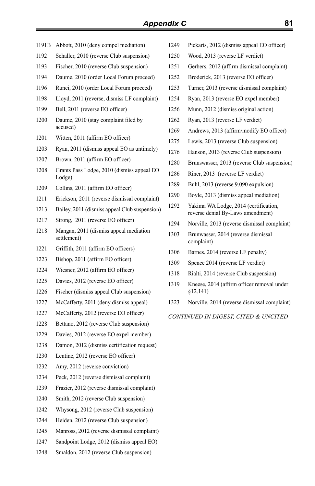- 1191B Abbott, 2010 (deny compel mediation)
- Schaller, 2010 (reverse Club suspension)
- Fischer, 2010 (reverse Club suspension)
- Daume, 2010 (order Local Forum proceed)
- Runci, 2010 (order Local Forum proceed)
- Lloyd, 2011 (reverse, dismiss LF complaint)
- 1199 Bell, 2011 (reverse EO officer)
- 1200 Daume, 2010 (stay complaint filed by accused)
- Witten, 2011 (affirm EO officer)
- Ryan, 2011 (dismiss appeal EO as untimely)
- Brown, 2011 (affirm EO officer)
- 1208 Grants Pass Lodge, 2010 (dismiss appeal EO Lodge)
- Collins, 2011 (affirm EO officer)
- Erickson, 2011 (reverse dismissal complaint)
- Bailey, 2011 (dismiss appeal Club suspension)
- Strong, 2011 (reverse EO officer)
- 1218 Mangan, 2011 (dismiss appeal mediation settlement)
- Griffith, 2011 (affirm EO officers)
- Bishop, 2011 (affirm EO officer)
- Wiesner, 2012 (affirm EO officer)
- Davies, 2012 (reverse EO officer)
- Fischer (dismiss appeal Club suspension)
- McCafferty, 2011 (deny dismiss appeal)
- McCafferty, 2012 (reverse EO officer)
- Bettano, 2012 (reverse Club suspension)
- Davies, 2012 (reverse EO expel member)
- Damon, 2012 (dismiss certification request)
- Lentine, 2012 (reverse EO officer)
- Amy, 2012 (reverse conviction)
- Peck, 2012 (reverse dismissal complaint)
- Frazier, 2012 (reverse dismissal complaint)
- Smith, 2012 (reverse Club suspension)
- Whysong, 2012 (reverse Club suspension)
- Heiden, 2012 (reverse Club suspension)
- Manross, 2012 (reverse dismissal complaint)
- Sandpoint Lodge, 2012 (dismiss appeal EO)
- Smaldon, 2012 (reverse Club suspension)
- Pickarts, 2012 (dismiss appeal EO officer)
- Wood, 2013 (reverse LF verdict)
- Gerbers, 2012 (affirm dismissal complaint)
- Broderick, 2013 (reverse EO officer)
- Turner, 2013 (reverse dismissal complaint)
- Ryan, 2013 (reverse EO expel member)
- Munn, 2012 (dismiss original action)
- Ryan, 2013 (reverse LF verdict)
- Andrews, 2013 (affirm/modify EO officer)
- Lewis, 2013 (reverse Club suspension)
- Hanson, 2013 (reverse Club suspension)
- Brunswasser, 2013 (reverse Club suspension)
- Riner, 2013 (reverse LF verdict)
- Buhl, 2013 (reverse 9.090 expulsion)
- Boyle, 2013 (dismiss appeal mediation)
- 1292 Yakima WA Lodge, 2014 (certification, reverse denial By-Laws amendment)
- Norville, 2013 (reverse dismissal complaint)
- 1303 Brunwasser, 2014 (reverse dismissal complaint)
- Barnes, 2014 (reverse LF penalty)
- 1309 Spence 2014 (reverse LF verdict)
- 1318 Rialti, 2014 (reverse Club suspension)
- 1319 Kneese, 2014 (affirm officer removal under §12.141)
- Norville, 2014 (reverse dismissal complaint)

#### *CONTINUED IN DIGEST, CITED & UNCITED*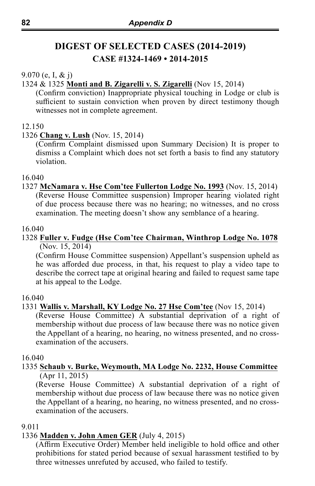# **DIGEST OF SELECTED CASES (2014-2019) CASE #1324-1469 • 2014-2015**

#### 9.070 (e, I, & j)

#### 1324 & 1325 **Monti and B. Zigarelli v. S. Zigarelli** (Nov 15, 2014)

(Confirm conviction) Inappropriate physical touching in Lodge or club is sufficient to sustain conviction when proven by direct testimony though witnesses not in complete agreement.

#### 12.150

#### 1326 **Chang v. Lush** (Nov. 15, 2014)

(Confirm Complaint dismissed upon Summary Decision) It is proper to dismiss a Complaint which does not set forth a basis to find any statutory violation.

#### 16.040

1327 **McNamara v. Hse Com'tee Fullerton Lodge No. 1993** (Nov. 15, 2014) (Reverse House Committee suspension) Improper hearing violated right of due process because there was no hearing; no witnesses, and no cross examination. The meeting doesn't show any semblance of a hearing.

#### 16.040

#### 1328 **Fuller v. Fudge (Hse Com'tee Chairman, Winthrop Lodge No. 1078**  $(Nov. 15, 2014)$

(Confirm House Committee suspension) Appellant's suspension upheld as he was afforded due process, in that, his request to play a video tape to describe the correct tape at original hearing and failed to request same tape at his appeal to the Lodge.

#### 16.040

#### 1331 **Wallis v. Marshall, KY Lodge No. 27 Hse Com'tee** (Nov 15, 2014)

(Reverse House Committee) A substantial deprivation of a right of membership without due process of law because there was no notice given the Appellant of a hearing, no hearing, no witness presented, and no crossexamination of the accusers.

#### 16.040

#### 1335 **Schaub v. Burke, Weymouth, MA Lodge No. 2232, House Committee**  $(Apr 11, 2015)$

(Reverse House Committee) A substantial deprivation of a right of membership without due process of law because there was no notice given the Appellant of a hearing, no hearing, no witness presented, and no crossexamination of the accusers.

#### 9.011

# 1336 **Madden v. John Amen GER** (July 4, 2015)

(Affirm Executive Order) Member held ineligible to hold office and other prohibitions for stated period because of sexual harassment testified to by three witnesses unrefuted by accused, who failed to testify.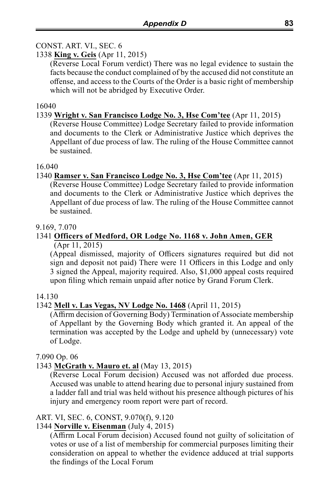# CONST. ART. VI., SEC. 6

#### 1338 **King v. Geis** (Apr 11, 2015)

(Reverse Local Forum verdict) There was no legal evidence to sustain the facts because the conduct complained of by the accused did not constitute an offense, and access to the Courts of the Order is a basic right of membership which will not be abridged by Executive Order.

#### 16040

#### 1339 **Wright v. San Francisco Lodge No. 3, Hse Com'tee** (Apr 11, 2015)

(Reverse House Committee) Lodge Secretary failed to provide information and documents to the Clerk or Administrative Justice which deprives the Appellant of due process of law. The ruling of the House Committee cannot be sustained.

#### 16.040

#### 1340 **Ramser v. San Francisco Lodge No. 3, Hse Com'tee** (Apr 11, 2015)

(Reverse House Committee) Lodge Secretary failed to provide information and documents to the Clerk or Administrative Justice which deprives the Appellant of due process of law. The ruling of the House Committee cannot be sustained.

#### 9.169, 7.070

#### 1341 **Officers of Medford, OR Lodge No. 1168 v. John Amen, GER** (Apr 11, 2015)

(Appeal dismissed, majority of Officers signatures required but did not sign and deposit not paid) There were 11 Officers in this Lodge and only 3 signed the Appeal, majority required. Also, \$1,000 appeal costs required upon filing which remain unpaid after notice by Grand Forum Clerk.

#### 14.130

#### 1342 **Mell v. Las Vegas, NV Lodge No. 1468** (April 11, 2015)

(Affirm decision of Governing Body) Termination of Associate membership of Appellant by the Governing Body which granted it. An appeal of the termination was accepted by the Lodge and upheld by (unnecessary) vote of Lodge.

#### 7.090 Op. 06

# 1343 **McGrath v. Mauro et. al** (May 13, 2015)

(Reverse Local Forum decision) Accused was not afforded due process. Accused was unable to attend hearing due to personal injury sustained from a ladder fall and trial was held without his presence although pictures of his injury and emergency room report were part of record.

#### ART. VI, SEC. 6, CONST, 9.070(f), 9.120

#### 1344 **Norville v. Eisenman** (July 4, 2015)

(Affirm Local Forum decision) Accused found not guilty of solicitation of votes or use of a list of membership for commercial purposes limiting their consideration on appeal to whether the evidence adduced at trial supports the findings of the Local Forum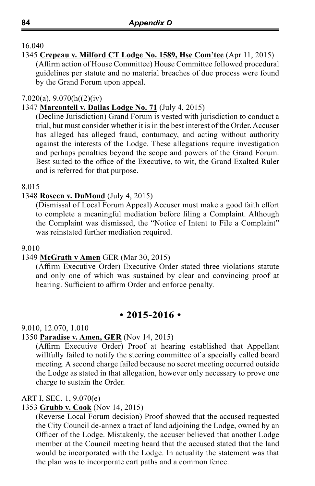1345 **Crepeau v. Milford CT Lodge No. 1589, Hse Com'tee** (Apr 11, 2015) (Affirm action of House Committee) House Committee followed procedural guidelines per statute and no material breaches of due process were found by the Grand Forum upon appeal.

#### 7.020(a), 9.070(h((2)(iv)

#### 1347 **Marcontell v. Dallas Lodge No. 71** (July 4, 2015)

(Decline Jurisdiction) Grand Forum is vested with jurisdiction to conduct a trial, but must consider whether it is in the best interest of the Order. Accuser has alleged has alleged fraud, contumacy, and acting without authority against the interests of the Lodge. These allegations require investigation and perhaps penalties beyond the scope and powers of the Grand Forum. Best suited to the office of the Executive, to wit, the Grand Exalted Ruler and is referred for that purpose.

#### 8.015

#### 1348 **Roseen v. DuMond** (July 4, 2015)

(Dismissal of Local Forum Appeal) Accuser must make a good faith effort to complete a meaningful mediation before filing a Complaint. Although the Complaint was dismissed, the "Notice of Intent to File a Complaint" was reinstated further mediation required.

#### 9.010

#### 1349 **McGrath v Amen** GER (Mar 30, 2015)

(Affirm Executive Order) Executive Order stated three violations statute and only one of which was sustained by clear and convincing proof at hearing. Sufficient to affirm Order and enforce penalty.

#### **• 2015-2016 •**

#### 9.010, 12.070, 1.010

#### 1350 **Paradise v. Amen, GER** (Nov 14, 2015)

(Affirm Executive Order) Proof at hearing established that Appellant willfully failed to notify the steering committee of a specially called board meeting. A second charge failed because no secret meeting occurred outside the Lodge as stated in that allegation, however only necessary to prove one charge to sustain the Order.

#### ART I, SEC. 1, 9.070(e)

#### 1353 **Grubb v. Cook** (Nov 14, 2015)

(Reverse Local Forum decision) Proof showed that the accused requested the City Council de-annex a tract of land adjoining the Lodge, owned by an Officer of the Lodge. Mistakenly, the accuser believed that another Lodge member at the Council meeting heard that the accused stated that the land would be incorporated with the Lodge. In actuality the statement was that the plan was to incorporate cart paths and a common fence.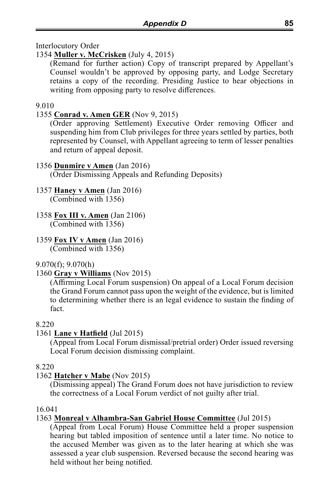Interlocutory Order

# 1354 **Muller v. McCrisken** (July 4, 2015)

(Remand for further action) Copy of transcript prepared by Appellant's Counsel wouldn't be approved by opposing party, and Lodge Secretary retains a copy of the recording. Presiding Justice to hear objections in writing from opposing party to resolve differences.

#### 9.010

# 1355 **Conrad v. Amen GER** (Nov 9, 2015)

(Order approving Settlement) Executive Order removing Officer and suspending him from Club privileges for three years settled by parties, both represented by Counsel, with Appellant agreeing to term of lesser penalties and return of appeal deposit.

#### 1356 **Dunmire v Amen** (Jan 2016)

(Order Dismissing Appeals and Refunding Deposits)

# 1357 **Haney v Amen** (Jan 2016)

(Combined with 1356)

- 1358 **Fox III v. Amen** (Jan 2106) (Combined with 1356)
- 1359 **Fox IV v Amen** (Jan 2016) (Combined with 1356)

# 9.070(f); 9.070(h)

# 1360 **Gray v Williams** (Nov 2015)

(Affirming Local Forum suspension) On appeal of a Local Forum decision the Grand Forum cannot pass upon the weight of the evidence, but is limited to determining whether there is an legal evidence to sustain the finding of fact.

# 8.220

# 1361 **Lane v Hatfield** (Jul 2015)

(Appeal from Local Forum dismissal/pretrial order) Order issued reversing Local Forum decision dismissing complaint.

#### 8.220

# 1362 **Hatcher v Mabe** (Nov 2015)

(Dismissing appeal) The Grand Forum does not have jurisdiction to review the correctness of a Local Forum verdict of not guilty after trial.

#### 16.041

# 1363 **Monreal v Alhambra-San Gabriel House Committee** (Jul 2015)

(Appeal from Local Forum) House Committee held a proper suspension hearing but tabled imposition of sentence until a later time. No notice to the accused Member was given as to the later hearing at which she was assessed a year club suspension. Reversed because the second hearing was held without her being notified.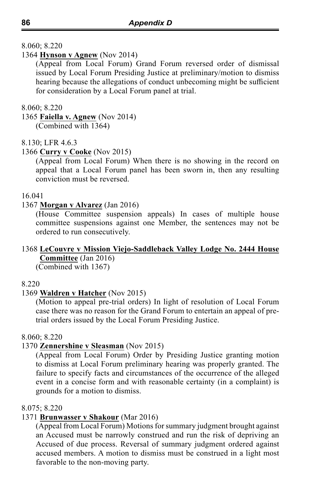#### 8.060; 8.220

#### 1364 **Hynson v Agnew** (Nov 2014)

(Appeal from Local Forum) Grand Forum reversed order of dismissal issued by Local Forum Presiding Justice at preliminary/motion to dismiss hearing because the allegations of conduct unbecoming might be sufficient for consideration by a Local Forum panel at trial.

#### 8.060; 8.220

1365 **Faiella v. Agnew** (Nov 2014) (Combined with 1364)

#### 8.130; LFR 4.6.3

#### 1366 **Curry v Cooke** (Nov 2015)

(Appeal from Local Forum) When there is no showing in the record on appeal that a Local Forum panel has been sworn in, then any resulting conviction must be reversed.

#### 16.041

#### 1367 **Morgan v Alvarez** (Jan 2016)

(House Committee suspension appeals) In cases of multiple house committee suspensions against one Member, the sentences may not be ordered to run consecutively.

#### 1368 **LeCouvre v Mission Viejo-Saddleback Valley Lodge No. 2444 House Committee** (Jan 2016)

(Combined with 1367)

#### 8.220

#### 1369 **Waldren v Hatcher** (Nov 2015)

(Motion to appeal pre-trial orders) In light of resolution of Local Forum case there was no reason for the Grand Forum to entertain an appeal of pretrial orders issued by the Local Forum Presiding Justice.

#### 8.060; 8.220

#### 1370 **Zennershine v Sleasman** (Nov 2015)

(Appeal from Local Forum) Order by Presiding Justice granting motion to dismiss at Local Forum preliminary hearing was properly granted. The failure to specify facts and circumstances of the occurrence of the alleged event in a concise form and with reasonable certainty (in a complaint) is grounds for a motion to dismiss.

#### 8.075; 8.220

#### 1371 **Brunwasser v Shakour** (Mar 2016)

(Appeal from Local Forum) Motions for summary judgment brought against an Accused must be narrowly construed and run the risk of depriving an Accused of due process. Reversal of summary judgment ordered against accused members. A motion to dismiss must be construed in a light most favorable to the non-moving party.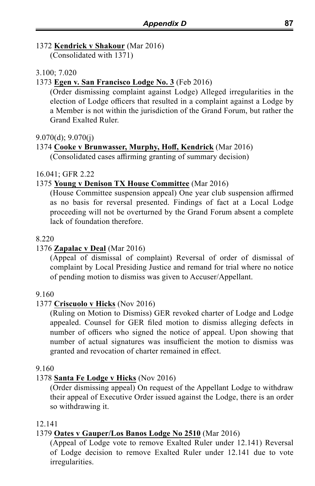# 1372 **Kendrick v Shakour** (Mar 2016)

(Consolidated with 1371)

#### 3.100; 7.020

#### 1373 **Egen v. San Francisco Lodge No. 3** (Feb 2016)

(Order dismissing complaint against Lodge) Alleged irregularities in the election of Lodge officers that resulted in a complaint against a Lodge by a Member is not within the jurisdiction of the Grand Forum, but rather the Grand Exalted Ruler.

#### 9.070(d); 9.070(j)

#### 1374 **Cooke v Brunwasser, Murphy, Hoff, Kendrick** (Mar 2016)

(Consolidated cases affirming granting of summary decision)

#### 16.041; GFR 2.22

#### 1375 **Young v Denison TX House Committee** (Mar 2016)

(House Committee suspension appeal) One year club suspension affirmed as no basis for reversal presented. Findings of fact at a Local Lodge proceeding will not be overturned by the Grand Forum absent a complete lack of foundation therefore.

#### 8.220

#### 1376 **Zapalac v Deal** (Mar 2016)

(Appeal of dismissal of complaint) Reversal of order of dismissal of complaint by Local Presiding Justice and remand for trial where no notice of pending motion to dismiss was given to Accuser/Appellant.

#### 9.160

#### 1377 **Criscuolo v Hicks** (Nov 2016)

(Ruling on Motion to Dismiss) GER revoked charter of Lodge and Lodge appealed. Counsel for GER filed motion to dismiss alleging defects in number of officers who signed the notice of appeal. Upon showing that number of actual signatures was insufficient the motion to dismiss was granted and revocation of charter remained in effect.

#### 9.160

# 1378 **Santa Fe Lodge v Hicks** (Nov 2016)

(Order dismissing appeal) On request of the Appellant Lodge to withdraw their appeal of Executive Order issued against the Lodge, there is an order so withdrawing it.

#### 12.141

#### 1379 **Oates v Gauper/Los Banos Lodge No 2510** (Mar 2016)

(Appeal of Lodge vote to remove Exalted Ruler under 12.141) Reversal of Lodge decision to remove Exalted Ruler under 12.141 due to vote irregularities.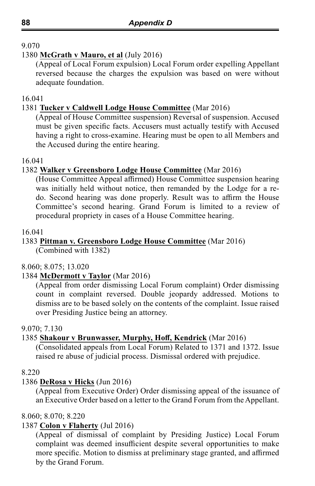#### 1380 **McGrath v Mauro, et al** (July 2016)

(Appeal of Local Forum expulsion) Local Forum order expelling Appellant reversed because the charges the expulsion was based on were without adequate foundation.

16.041

# 1381 **Tucker v Caldwell Lodge House Committee** (Mar 2016)

(Appeal of House Committee suspension) Reversal of suspension. Accused must be given specific facts. Accusers must actually testify with Accused having a right to cross-examine. Hearing must be open to all Members and the Accused during the entire hearing.

16.041

#### 1382 **Walker v Greensboro Lodge House Committee** (Mar 2016)

(House Committee Appeal affirmed) House Committee suspension hearing was initially held without notice, then remanded by the Lodge for a redo. Second hearing was done properly. Result was to affirm the House Committee's second hearing. Grand Forum is limited to a review of procedural propriety in cases of a House Committee hearing.

16.041

## 1383 **Pittman v. Greensboro Lodge House Committee** (Mar 2016)

(Combined with 1382)

#### 8.060; 8.075; 13.020

1384 **McDermott v Taylor** (Mar 2016)

(Appeal from order dismissing Local Forum complaint) Order dismissing count in complaint reversed. Double jeopardy addressed. Motions to dismiss are to be based solely on the contents of the complaint. Issue raised over Presiding Justice being an attorney.

#### 9.070; 7.130

#### 1385 **Shakour v Brunwasser, Murphy, Hoff, Kendrick** (Mar 2016)

(Consolidated appeals from Local Forum) Related to 1371 and 1372. Issue raised re abuse of judicial process. Dismissal ordered with prejudice.

#### 8.220

# 1386 **DeRosa v Hicks** (Jun 2016)

(Appeal from Executive Order) Order dismissing appeal of the issuance of an Executive Order based on a letter to the Grand Forum from the Appellant.

#### 8.060; 8.070; 8.220

#### 1387 **Colon v Flaherty** (Jul 2016)

(Appeal of dismissal of complaint by Presiding Justice) Local Forum complaint was deemed insufficient despite several opportunities to make more specific. Motion to dismiss at preliminary stage granted, and affirmed by the Grand Forum.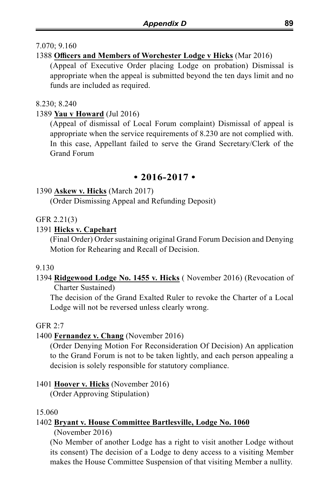## 7.070; 9.160

# 1388 **Officers and Members of Worchester Lodge v Hicks** (Mar 2016)

(Appeal of Executive Order placing Lodge on probation) Dismissal is appropriate when the appeal is submitted beyond the ten days limit and no funds are included as required.

#### 8.230; 8.240

# 1389 **Yau v Howard** (Jul 2016)

(Appeal of dismissal of Local Forum complaint) Dismissal of appeal is appropriate when the service requirements of 8.230 are not complied with. In this case, Appellant failed to serve the Grand Secretary/Clerk of the Grand Forum

# **• 2016-2017 •**

# 1390 **Askew v. Hicks** (March 2017)

(Order Dismissing Appeal and Refunding Deposit)

# GFR 2.21(3)

# 1391 **Hicks v. Capehart**

(Final Order) Order sustaining original Grand Forum Decision and Denying Motion for Rehearing and Recall of Decision.

# 9.130

# 1394 **Ridgewood Lodge No. 1455 v. Hicks** ( November 2016) (Revocation of Charter Sustained)

The decision of the Grand Exalted Ruler to revoke the Charter of a Local Lodge will not be reversed unless clearly wrong.

# GFR 2:7

# 1400 **Fernandez v. Chang** (November 2016)

(Order Denying Motion For Reconsideration Of Decision) An application to the Grand Forum is not to be taken lightly, and each person appealing a decision is solely responsible for statutory compliance.

# 1401 **Hoover v. Hicks** (November 2016)

(Order Approving Stipulation)

# 15.060

# 1402 **Bryant v. House Committee Bartlesville, Lodge No. 1060**

(November 2016)

(No Member of another Lodge has a right to visit another Lodge without its consent) The decision of a Lodge to deny access to a visiting Member makes the House Committee Suspension of that visiting Member a nullity.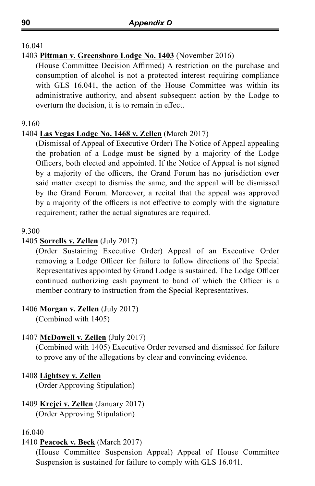#### 1403 **Pittman v. Greensboro Lodge No. 1403** (November 2016)

(House Committee Decision Affirmed) A restriction on the purchase and consumption of alcohol is not a protected interest requiring compliance with GLS 16.041, the action of the House Committee was within its administrative authority, and absent subsequent action by the Lodge to overturn the decision, it is to remain in effect.

#### 9.160

#### 1404 **Las Vegas Lodge No. 1468 v. Zellen** (March 2017)

(Dismissal of Appeal of Executive Order) The Notice of Appeal appealing the probation of a Lodge must be signed by a majority of the Lodge Officers, both elected and appointed. If the Notice of Appeal is not signed by a majority of the officers, the Grand Forum has no jurisdiction over said matter except to dismiss the same, and the appeal will be dismissed by the Grand Forum. Moreover, a recital that the appeal was approved by a majority of the officers is not effective to comply with the signature requirement; rather the actual signatures are required.

#### 9.300

#### 1405 **Sorrells v. Zellen** (July 2017)

(Order Sustaining Executive Order) Appeal of an Executive Order removing a Lodge Officer for failure to follow directions of the Special Representatives appointed by Grand Lodge is sustained. The Lodge Officer continued authorizing cash payment to band of which the Officer is a member contrary to instruction from the Special Representatives.

#### 1406 **Morgan v. Zellen** (July 2017)

(Combined with 1405)

#### 1407 **McDowell v. Zellen** (July 2017)

(Combined with 1405) Executive Order reversed and dismissed for failure to prove any of the allegations by clear and convincing evidence.

#### 1408 **Lightsey v. Zellen**

(Order Approving Stipulation)

# 1409 **Krejci v. Zellen** (January 2017)

(Order Approving Stipulation)

#### 16.040

#### 1410 **Peacock v. Beck** (March 2017)

(House Committee Suspension Appeal) Appeal of House Committee Suspension is sustained for failure to comply with GLS 16.041.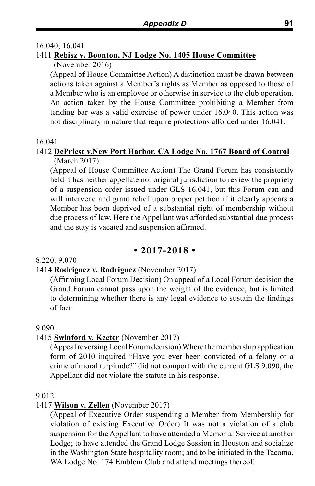#### 16.040; 16.041

#### 1411 **Rebisz v. Boonton, NJ Lodge No. 1405 House Committee** (November 2016)

(Appeal of House Committee Action) A distinction must be drawn between actions taken against a Member's rights as Member as opposed to those of a Member who is an employee or otherwise in service to the club operation. An action taken by the House Committee prohibiting a Member from tending bar was a valid exercise of power under 16.040. This action was not disciplinary in nature that require protections afforded under 16.041.

#### 16.041

#### 1412 **DePriest v.New Port Harbor, CA Lodge No. 1767 Board of Control** (March 2017)

(Appeal of House Committee Action) The Grand Forum has consistently held it has neither appellate nor original jurisdiction to review the propriety of a suspension order issued under GLS 16.041, but this Forum can and will intervene and grant relief upon proper petition if it clearly appears a Member has been deprived of a substantial right of membership without due process of law. Here the Appellant was afforded substantial due process and the stay is vacated and suspension affirmed.

#### **• 2017-2018 •**

#### 8.220; 9.070

#### 1414 **Rodriguez v. Rodriguez** (November 2017)

(Affirming Local Forum Decision) On appeal of a Local Forum decision the Grand Forum cannot pass upon the weight of the evidence, but is limited to determining whether there is any legal evidence to sustain the findings of fact.

#### 9.090

#### 1415 **Swinford v. Keeter** (November 2017)

(Appeal reversing Local Forum decision) Where the membership application form of 2010 inquired "Have you ever been convicted of a felony or a crime of moral turpitude?" did not comport with the current GLS 9.090, the Appellant did not violate the statute in his response.

#### 9.012

#### 1417 **Wilson v. Zellen** (November 2017)

(Appeal of Executive Order suspending a Member from Membership for violation of existing Executive Order) It was not a violation of a club suspension for the Appellant to have attended a Memorial Service at another Lodge; to have attended the Grand Lodge Session in Houston and socialize in the Washington State hospitality room; and to be initiated in the Tacoma, WA Lodge No. 174 Emblem Club and attend meetings thereof.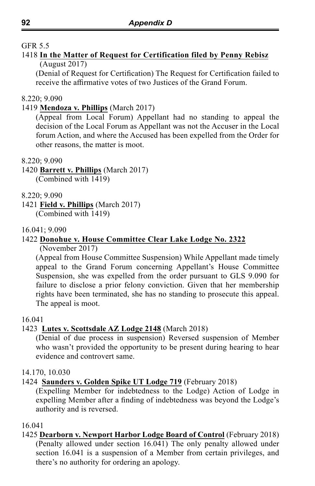# GFR 5.5

#### 1418 **In the Matter of Request for Certification filed by Penny Rebisz** (August 2017)

(Denial of Request for Certification) The Request for Certification failed to receive the affirmative votes of two Justices of the Grand Forum.

#### 8.220; 9.090

#### 1419 **Mendoza v. Phillips** (March 2017)

(Appeal from Local Forum) Appellant had no standing to appeal the decision of the Local Forum as Appellant was not the Accuser in the Local forum Action, and where the Accused has been expelled from the Order for other reasons, the matter is moot.

#### 8.220; 9.090

#### 1420 **Barrett v. Phillips** (March 2017) (Combined with 1419)

8.220; 9.090

1421 **Field v. Phillips** (March 2017) (Combined with 1419)

#### 16.041; 9.090

# 1422 **Donohue v. House Committee Clear Lake Lodge No. 2322**

(November 2017)

(Appeal from House Committee Suspension) While Appellant made timely appeal to the Grand Forum concerning Appellant's House Committee Suspension, she was expelled from the order pursuant to GLS 9.090 for failure to disclose a prior felony conviction. Given that her membership rights have been terminated, she has no standing to prosecute this appeal. The appeal is moot.

#### 16.041

#### 1423 **Lutes v. Scottsdale AZ Lodge 2148** (March 2018)

(Denial of due process in suspension) Reversed suspension of Member who wasn't provided the opportunity to be present during hearing to hear evidence and controvert same.

#### 14.170, 10.030

#### 1424 **Saunders v. Golden Spike UT Lodge 719** (February 2018)

(Expelling Member for indebtedness to the Lodge) Action of Lodge in expelling Member after a finding of indebtedness was beyond the Lodge's authority and is reversed.

#### 16.041

#### 1425 **Dearborn v. Newport Harbor Lodge Board of Control** (February 2018) (Penalty allowed under section 16.041) The only penalty allowed under section 16.041 is a suspension of a Member from certain privileges, and there's no authority for ordering an apology.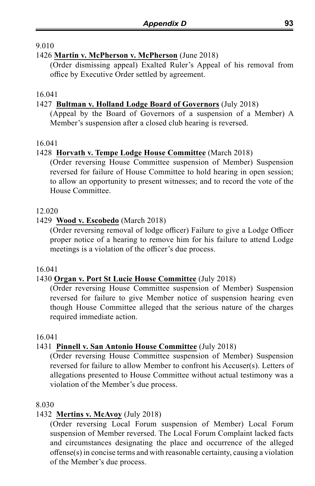#### 1426 **Martin v. McPherson v. McPherson** (June 2018)

(Order dismissing appeal) Exalted Ruler's Appeal of his removal from office by Executive Order settled by agreement.

#### 16.041

# 1427 **Bultman v. Holland Lodge Board of Governors** (July 2018)

(Appeal by the Board of Governors of a suspension of a Member) A Member's suspension after a closed club hearing is reversed.

#### 16.041

#### 1428 **Horvath v. Tempe Lodge House Committee** (March 2018)

(Order reversing House Committee suspension of Member) Suspension reversed for failure of House Committee to hold hearing in open session; to allow an opportunity to present witnesses; and to record the vote of the House Committee.

#### 12.020

#### 1429 **Wood v. Escobedo** (March 2018)

(Order reversing removal of lodge officer) Failure to give a Lodge Officer proper notice of a hearing to remove him for his failure to attend Lodge meetings is a violation of the officer's due process.

#### 16.041

#### 1430 **Organ v. Port St Lucie House Committee** (July 2018)

(Order reversing House Committee suspension of Member) Suspension reversed for failure to give Member notice of suspension hearing even though House Committee alleged that the serious nature of the charges required immediate action.

#### 16.041

# 1431 **Pinnell v. San Antonio House Committee** (July 2018)

(Order reversing House Committee suspension of Member) Suspension reversed for failure to allow Member to confront his Accuser(s). Letters of allegations presented to House Committee without actual testimony was a violation of the Member's due process.

#### 8.030

#### 1432 **Mertins v. McAvoy** (July 2018)

(Order reversing Local Forum suspension of Member) Local Forum suspension of Member reversed. The Local Forum Complaint lacked facts and circumstances designating the place and occurrence of the alleged offense(s) in concise terms and with reasonable certainty, causing a violation of the Member's due process.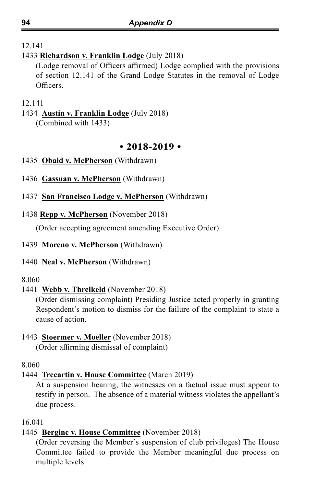# 1433 **Richardson v. Franklin Lodge** (July 2018)

(Lodge removal of Officers affirmed) Lodge complied with the provisions of section 12.141 of the Grand Lodge Statutes in the removal of Lodge Officers.

#### 12.141

# 1434 **Austin v. Franklin Lodge** (July 2018)

(Combined with 1433)

# **• 2018-2019 •**

- 1435 **Obaid v. McPherson** (Withdrawn)
- 1436 **Gassuan v. McPherson** (Withdrawn)
- 1437 **San Francisco Lodge v. McPherson** (Withdrawn)
- 1438 **Repp v. McPherson** (November 2018)

(Order accepting agreement amending Executive Order)

## 1439 **Moreno v. McPherson** (Withdrawn)

1440 **Neal v. McPherson** (Withdrawn)

#### 8.060

1441 **Webb v. Threlkeld** (November 2018)

(Order dismissing complaint) Presiding Justice acted properly in granting Respondent's motion to dismiss for the failure of the complaint to state a cause of action.

# 1443 **Stoermer v. Moeller** (November 2018)

(Order affirming dismissal of complaint)

# 8.060

# 1444 **Trecartin v. House Committee** (March 2019)

At a suspension hearing, the witnesses on a factual issue must appear to testify in person. The absence of a material witness violates the appellant's due process.

# 16.041

# 1445 **Berginc v. House Committee** (November 2018)

(Order reversing the Member's suspension of club privileges) The House Committee failed to provide the Member meaningful due process on multiple levels.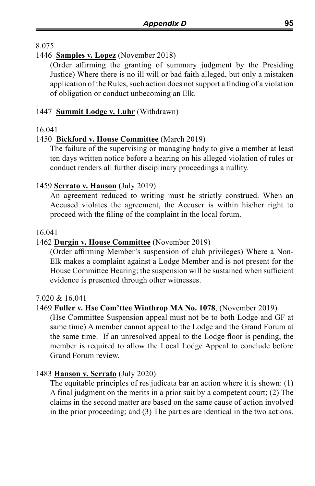## 1446 **Samples v. Lopez** (November 2018)

(Order affirming the granting of summary judgment by the Presiding Justice) Where there is no ill will or bad faith alleged, but only a mistaken application of the Rules, such action does not support a finding of a violation of obligation or conduct unbecoming an Elk.

## 1447 **Summit Lodge v. Luhr** (Withdrawn)

#### 16.041

#### 1450 **Bickford v. House Committee** (March 2019)

The failure of the supervising or managing body to give a member at least ten days written notice before a hearing on his alleged violation of rules or conduct renders all further disciplinary proceedings a nullity.

#### 1459 **Serrato v. Hanson** (July 2019)

An agreement reduced to writing must be strictly construed. When an Accused violates the agreement, the Accuser is within his/her right to proceed with the filing of the complaint in the local forum.

#### 16.041

## 1462 **Durgin v. House Committee** (November 2019)

(Order affirming Member's suspension of club privileges) Where a Non-Elk makes a complaint against a Lodge Member and is not present for the House Committee Hearing; the suspension will be sustained when sufficient evidence is presented through other witnesses.

#### 7.020 & 16.041

#### 1469 **Fuller v. Hse Com'ttee Winthrop MA No. 1078**, (November 2019)

(Hse Committee Suspension appeal must not be to both Lodge and GF at same time) A member cannot appeal to the Lodge and the Grand Forum at the same time. If an unresolved appeal to the Lodge floor is pending, the member is required to allow the Local Lodge Appeal to conclude before Grand Forum review.

#### 1483 **Hanson v. Serrato** (July 2020)

The equitable principles of res judicata bar an action where it is shown: (1) A final judgment on the merits in a prior suit by a competent court; (2) The claims in the second matter are based on the same cause of action involved in the prior proceeding; and (3) The parties are identical in the two actions.